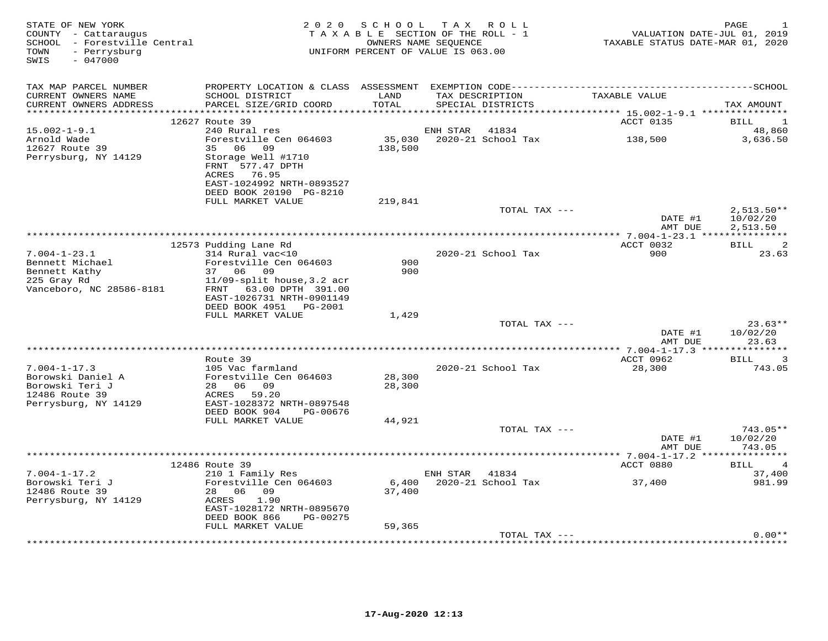| STATE OF NEW YORK<br>COUNTY - Cattaraugus<br>SCHOOL - Forestville Central<br>- Perrysburg<br>TOWN<br>$-047000$<br>SWIS | 2 0 2 0                                                                                      | SCHOOL TAX ROLL<br>TAXABLE SECTION OF THE ROLL - 1<br>OWNERS NAME SEQUENCE<br>UNIFORM PERCENT OF VALUE IS 063.00 |                         |                                      | VALUATION DATE-JUL 01, 2019<br>TAXABLE STATUS DATE-MAR 01, 2020 | PAGE<br>1            |
|------------------------------------------------------------------------------------------------------------------------|----------------------------------------------------------------------------------------------|------------------------------------------------------------------------------------------------------------------|-------------------------|--------------------------------------|-----------------------------------------------------------------|----------------------|
| TAX MAP PARCEL NUMBER                                                                                                  | PROPERTY LOCATION & CLASS ASSESSMENT EXEMPTION CODE-----------------------------------SCHOOL |                                                                                                                  |                         |                                      | TAXABLE VALUE                                                   |                      |
| CURRENT OWNERS NAME<br>CURRENT OWNERS ADDRESS                                                                          | SCHOOL DISTRICT<br>PARCEL SIZE/GRID COORD                                                    | LAND<br>TOTAL                                                                                                    |                         | TAX DESCRIPTION<br>SPECIAL DISTRICTS |                                                                 | TAX AMOUNT           |
|                                                                                                                        | 12627 Route 39                                                                               |                                                                                                                  |                         |                                      | ACCT 0135                                                       | BILL<br>1            |
| $15.002 - 1 - 9.1$                                                                                                     | 240 Rural res                                                                                |                                                                                                                  | ENH STAR                | 41834                                |                                                                 | 48,860               |
| Arnold Wade                                                                                                            | Forestville Cen 064603                                                                       | 35,030                                                                                                           |                         | 2020-21 School Tax                   | 138,500                                                         | 3,636.50             |
| 12627 Route 39                                                                                                         | 35<br>06<br>09                                                                               | 138,500                                                                                                          |                         |                                      |                                                                 |                      |
| Perrysburg, NY 14129                                                                                                   | Storage Well #1710<br>FRNT 577.47 DPTH<br>ACRES 76.95                                        |                                                                                                                  |                         |                                      |                                                                 |                      |
|                                                                                                                        | EAST-1024992 NRTH-0893527<br>DEED BOOK 20190 PG-8210                                         |                                                                                                                  |                         |                                      |                                                                 |                      |
|                                                                                                                        | FULL MARKET VALUE                                                                            | 219,841                                                                                                          |                         |                                      |                                                                 |                      |
|                                                                                                                        |                                                                                              |                                                                                                                  |                         | TOTAL TAX ---                        |                                                                 | $2,513.50**$         |
|                                                                                                                        |                                                                                              |                                                                                                                  |                         |                                      | DATE #1<br>AMT DUE                                              | 10/02/20<br>2,513.50 |
|                                                                                                                        |                                                                                              |                                                                                                                  |                         |                                      |                                                                 |                      |
|                                                                                                                        | 12573 Pudding Lane Rd                                                                        |                                                                                                                  |                         |                                      | ACCT 0032                                                       | 2<br>BILL            |
| $7.004 - 1 - 23.1$                                                                                                     | 314 Rural vac<10                                                                             |                                                                                                                  |                         | 2020-21 School Tax                   | 900                                                             | 23.63                |
| Bennett Michael                                                                                                        | Forestville Cen 064603                                                                       | 900                                                                                                              |                         |                                      |                                                                 |                      |
| Bennett Kathy                                                                                                          | 37 06 09                                                                                     | 900                                                                                                              |                         |                                      |                                                                 |                      |
| 225 Gray Rd                                                                                                            | $11/09$ -split house, 3.2 acr                                                                |                                                                                                                  |                         |                                      |                                                                 |                      |
| Vanceboro, NC 28586-8181                                                                                               | FRNT 63.00 DPTH 391.00                                                                       |                                                                                                                  |                         |                                      |                                                                 |                      |
|                                                                                                                        | EAST-1026731 NRTH-0901149<br>DEED BOOK 4951 PG-2001                                          |                                                                                                                  |                         |                                      |                                                                 |                      |
|                                                                                                                        | FULL MARKET VALUE                                                                            | 1,429                                                                                                            |                         |                                      |                                                                 |                      |
|                                                                                                                        |                                                                                              |                                                                                                                  |                         | TOTAL TAX ---                        |                                                                 | $23.63**$            |
|                                                                                                                        |                                                                                              |                                                                                                                  |                         |                                      | DATE #1                                                         | 10/02/20             |
|                                                                                                                        |                                                                                              |                                                                                                                  |                         |                                      | AMT DUE                                                         | 23.63                |
|                                                                                                                        |                                                                                              |                                                                                                                  |                         |                                      |                                                                 |                      |
|                                                                                                                        | Route 39                                                                                     |                                                                                                                  |                         |                                      | ACCT 0962                                                       | 3<br>BILL            |
| $7.004 - 1 - 17.3$                                                                                                     | 105 Vac farmland                                                                             |                                                                                                                  |                         | 2020-21 School Tax                   | 28,300                                                          | 743.05               |
| Borowski Daniel A                                                                                                      | Forestville Cen 064603                                                                       | 28,300                                                                                                           |                         |                                      |                                                                 |                      |
| Borowski Teri J                                                                                                        | 28 06 09                                                                                     | 28,300                                                                                                           |                         |                                      |                                                                 |                      |
| 12486 Route 39                                                                                                         | ACRES 59.20                                                                                  |                                                                                                                  |                         |                                      |                                                                 |                      |
| Perrysburg, NY 14129                                                                                                   | EAST-1028372 NRTH-0897548<br>DEED BOOK 904<br>PG-00676                                       |                                                                                                                  |                         |                                      |                                                                 |                      |
|                                                                                                                        | FULL MARKET VALUE                                                                            | 44,921                                                                                                           |                         |                                      |                                                                 |                      |
|                                                                                                                        |                                                                                              |                                                                                                                  |                         | TOTAL TAX ---                        |                                                                 | 743.05**             |
|                                                                                                                        |                                                                                              |                                                                                                                  |                         |                                      | DATE #1                                                         | 10/02/20             |
|                                                                                                                        |                                                                                              |                                                                                                                  | *********************** |                                      | AMT DUE                                                         | 743.05               |
|                                                                                                                        |                                                                                              |                                                                                                                  |                         |                                      | ********* 7.004-1-17.2 ****************                         | $\overline{4}$       |
| $7.004 - 1 - 17.2$                                                                                                     | 12486 Route 39<br>210 1 Family Res                                                           |                                                                                                                  | ENH STAR 41834          |                                      | ACCT 0880                                                       | BILL<br>37,400       |
| Borowski Teri J                                                                                                        | Forestville Cen 064603                                                                       | 6,400                                                                                                            |                         | 2020-21 School Tax                   | 37,400                                                          | 981.99               |
| 12486 Route 39                                                                                                         | 28 06 09                                                                                     | 37,400                                                                                                           |                         |                                      |                                                                 |                      |
| Perrysburg, NY 14129                                                                                                   | 1.90<br>ACRES                                                                                |                                                                                                                  |                         |                                      |                                                                 |                      |
|                                                                                                                        | EAST-1028172 NRTH-0895670                                                                    |                                                                                                                  |                         |                                      |                                                                 |                      |
|                                                                                                                        | DEED BOOK 866<br>PG-00275                                                                    |                                                                                                                  |                         |                                      |                                                                 |                      |
|                                                                                                                        | FULL MARKET VALUE                                                                            | 59,365                                                                                                           |                         |                                      |                                                                 |                      |
|                                                                                                                        |                                                                                              |                                                                                                                  |                         | TOTAL TAX ---                        |                                                                 | $0.00**$             |
|                                                                                                                        |                                                                                              |                                                                                                                  |                         |                                      |                                                                 |                      |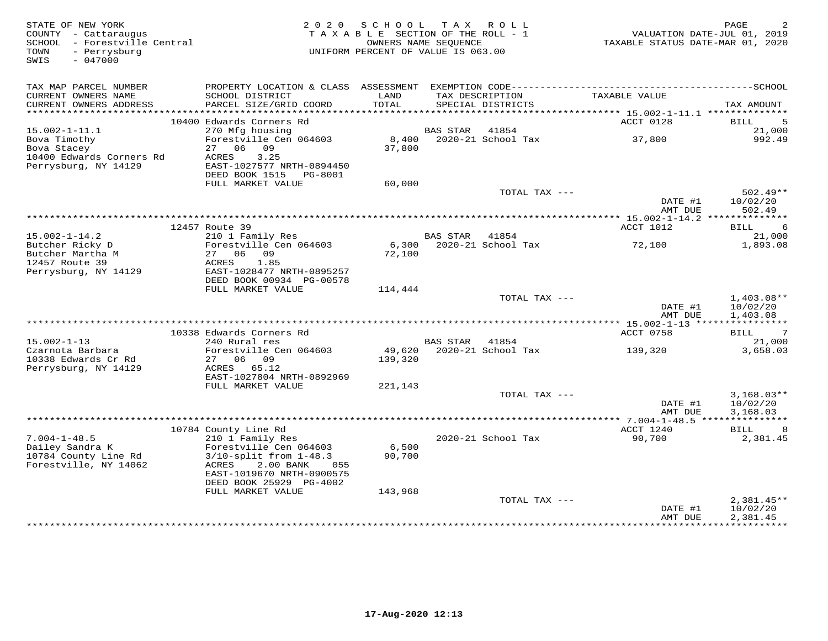| STATE OF NEW YORK<br>COUNTY - Cattaraugus<br>SCHOOL - Forestville Central<br>- Perrysburg<br>TOWN<br>SWIS<br>$-047000$ | TAX ROLL<br>2 0 2 0<br>S C H O O L<br>TAXABLE SECTION OF THE ROLL - 1<br>OWNERS NAME SEQUENCE<br>UNIFORM PERCENT OF VALUE IS 063.00 |                 |                 |                                      | PAGE<br>VALUATION DATE-JUL 01, 2019<br>TAXABLE STATUS DATE-MAR 01, 2020 |                            |
|------------------------------------------------------------------------------------------------------------------------|-------------------------------------------------------------------------------------------------------------------------------------|-----------------|-----------------|--------------------------------------|-------------------------------------------------------------------------|----------------------------|
| TAX MAP PARCEL NUMBER                                                                                                  |                                                                                                                                     |                 |                 |                                      |                                                                         |                            |
| CURRENT OWNERS NAME<br>CURRENT OWNERS ADDRESS                                                                          | SCHOOL DISTRICT<br>PARCEL SIZE/GRID COORD                                                                                           | LAND<br>TOTAL   |                 | TAX DESCRIPTION<br>SPECIAL DISTRICTS | TAXABLE VALUE                                                           | TAX AMOUNT                 |
|                                                                                                                        | 10400 Edwards Corners Rd                                                                                                            |                 |                 |                                      | ACCT 0128                                                               | 5<br>BILL                  |
| $15.002 - 1 - 11.1$                                                                                                    | 270 Mfg housing                                                                                                                     |                 | BAS STAR        | 41854                                |                                                                         | 21,000                     |
| Bova Timothy                                                                                                           | Forestville Cen 064603                                                                                                              | 8,400           |                 | 2020-21 School Tax                   | 37,800                                                                  | 992.49                     |
| Bova Stacey                                                                                                            | 27 06 09                                                                                                                            | 37,800          |                 |                                      |                                                                         |                            |
| 10400 Edwards Corners Rd                                                                                               | 3.25<br>ACRES                                                                                                                       |                 |                 |                                      |                                                                         |                            |
| Perrysburg, NY 14129                                                                                                   | EAST-1027577 NRTH-0894450                                                                                                           |                 |                 |                                      |                                                                         |                            |
|                                                                                                                        | DEED BOOK 1515 PG-8001<br>FULL MARKET VALUE                                                                                         | 60,000          |                 |                                      |                                                                         |                            |
|                                                                                                                        |                                                                                                                                     |                 |                 | TOTAL TAX ---                        |                                                                         | $502.49**$                 |
|                                                                                                                        |                                                                                                                                     |                 |                 |                                      | DATE #1                                                                 | 10/02/20                   |
|                                                                                                                        |                                                                                                                                     |                 |                 |                                      | AMT DUE                                                                 | 502.49                     |
|                                                                                                                        |                                                                                                                                     |                 |                 |                                      |                                                                         |                            |
| $15.002 - 1 - 14.2$                                                                                                    | 12457 Route 39<br>210 1 Family Res                                                                                                  |                 | BAS STAR        | 41854                                | ACCT 1012                                                               | <b>BILL</b><br>6<br>21,000 |
| Butcher Ricky D                                                                                                        | Forestville Cen 064603                                                                                                              | 6,300           |                 | 2020-21 School Tax                   | 72,100                                                                  | 1,893.08                   |
| Butcher Martha M                                                                                                       | 27 06 09                                                                                                                            | 72,100          |                 |                                      |                                                                         |                            |
| 12457 Route 39                                                                                                         | 1.85<br>ACRES                                                                                                                       |                 |                 |                                      |                                                                         |                            |
| Perrysburg, NY 14129                                                                                                   | EAST-1028477 NRTH-0895257                                                                                                           |                 |                 |                                      |                                                                         |                            |
|                                                                                                                        | DEED BOOK 00934 PG-00578                                                                                                            |                 |                 |                                      |                                                                         |                            |
|                                                                                                                        | FULL MARKET VALUE                                                                                                                   | 114,444         |                 | TOTAL TAX ---                        |                                                                         | $1,403.08**$               |
|                                                                                                                        |                                                                                                                                     |                 |                 |                                      | DATE #1                                                                 | 10/02/20                   |
|                                                                                                                        |                                                                                                                                     |                 |                 |                                      | AMT DUE                                                                 | 1,403.08                   |
|                                                                                                                        |                                                                                                                                     |                 |                 |                                      |                                                                         | ***********                |
| $15.002 - 1 - 13$                                                                                                      | 10338 Edwards Corners Rd<br>240 Rural res                                                                                           |                 | <b>BAS STAR</b> | 41854                                | ACCT 0758                                                               | 7<br>BILL                  |
| Czarnota Barbara                                                                                                       | Forestville Cen 064603                                                                                                              |                 |                 | 49,620 2020-21 School Tax            | 139,320                                                                 | 21,000<br>3,658.03         |
| 10338 Edwards Cr Rd                                                                                                    | 27 06 09                                                                                                                            | 139,320         |                 |                                      |                                                                         |                            |
| Perrysburg, NY 14129                                                                                                   | ACRES 65.12                                                                                                                         |                 |                 |                                      |                                                                         |                            |
|                                                                                                                        | EAST-1027804 NRTH-0892969                                                                                                           |                 |                 |                                      |                                                                         |                            |
|                                                                                                                        | FULL MARKET VALUE                                                                                                                   | 221,143         |                 |                                      |                                                                         |                            |
|                                                                                                                        |                                                                                                                                     |                 |                 | TOTAL TAX ---                        | DATE #1                                                                 | $3,168.03**$<br>10/02/20   |
|                                                                                                                        |                                                                                                                                     |                 |                 |                                      | AMT DUE                                                                 | 3,168.03                   |
|                                                                                                                        |                                                                                                                                     |                 |                 |                                      |                                                                         |                            |
|                                                                                                                        | 10784 County Line Rd                                                                                                                |                 |                 |                                      | ACCT 1240                                                               | BILL<br>8                  |
| $7.004 - 1 - 48.5$                                                                                                     | 210 1 Family Res                                                                                                                    |                 |                 | 2020-21 School Tax                   | 90,700                                                                  | 2,381.45                   |
| Dailey Sandra K                                                                                                        | Forestville Cen 064603                                                                                                              | 6,500<br>90,700 |                 |                                      |                                                                         |                            |
| 10784 County Line Rd<br>Forestville, NY 14062                                                                          | $3/10$ -split from $1-48.3$<br>2.00 BANK<br>ACRES<br>055                                                                            |                 |                 |                                      |                                                                         |                            |
|                                                                                                                        | EAST-1019670 NRTH-0900575                                                                                                           |                 |                 |                                      |                                                                         |                            |
|                                                                                                                        | DEED BOOK 25929 PG-4002                                                                                                             |                 |                 |                                      |                                                                         |                            |
|                                                                                                                        | FULL MARKET VALUE                                                                                                                   | 143,968         |                 |                                      |                                                                         |                            |
|                                                                                                                        |                                                                                                                                     |                 |                 | TOTAL TAX ---                        |                                                                         | $2,381.45**$               |
|                                                                                                                        |                                                                                                                                     |                 |                 |                                      | DATE #1<br>AMT DUE                                                      | 10/02/20<br>2,381.45       |
|                                                                                                                        |                                                                                                                                     |                 |                 |                                      |                                                                         |                            |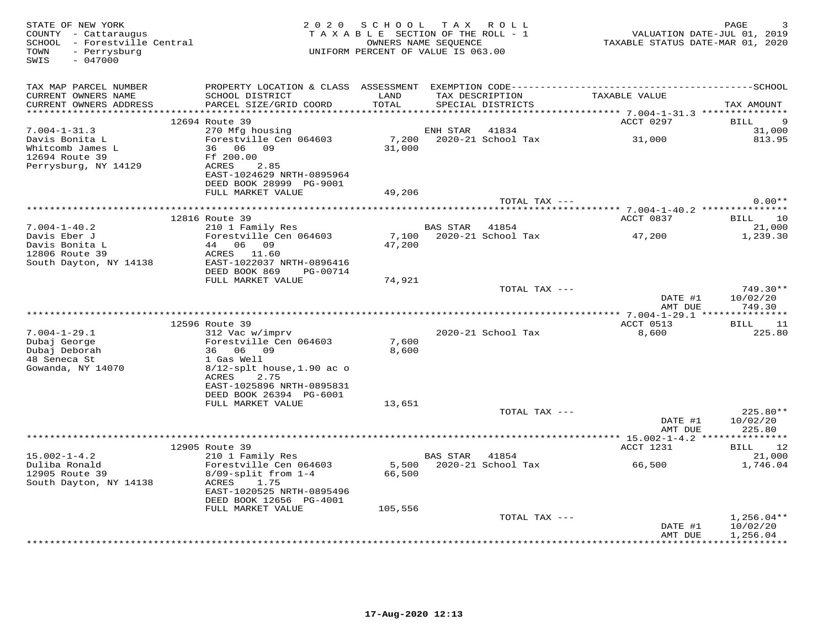| STATE OF NEW YORK<br>COUNTY - Cattaraugus<br>SCHOOL - Forestville Central<br>- Perrysburg<br>TOWN<br>$-047000$<br>SWIS | 2 0 2 0                                              | S C H O O L<br>TAXABLE SECTION OF THE ROLL - 1<br>OWNERS NAME SEQUENCE<br>UNIFORM PERCENT OF VALUE IS 063.00 |                 | TAX ROLL                 | VALUATION DATE-JUL 01, 2019<br>TAXABLE STATUS DATE-MAR 01, 2020 | PAGE               |
|------------------------------------------------------------------------------------------------------------------------|------------------------------------------------------|--------------------------------------------------------------------------------------------------------------|-----------------|--------------------------|-----------------------------------------------------------------|--------------------|
| TAX MAP PARCEL NUMBER                                                                                                  |                                                      |                                                                                                              |                 |                          |                                                                 |                    |
| CURRENT OWNERS NAME                                                                                                    | SCHOOL DISTRICT                                      | LAND                                                                                                         |                 | TAX DESCRIPTION          | TAXABLE VALUE                                                   |                    |
| CURRENT OWNERS ADDRESS                                                                                                 | PARCEL SIZE/GRID COORD                               | TOTAL                                                                                                        |                 | SPECIAL DISTRICTS        |                                                                 | TAX AMOUNT         |
|                                                                                                                        | 12694 Route 39                                       |                                                                                                              |                 |                          | ACCT 0297                                                       | 9<br>BILL          |
| $7.004 - 1 - 31.3$                                                                                                     | 270 Mfg housing                                      |                                                                                                              | ENH STAR        | 41834                    |                                                                 | 31,000             |
| Davis Bonita L                                                                                                         | Forestville Cen 064603                               |                                                                                                              |                 | 7,200 2020-21 School Tax | 31,000                                                          | 813.95             |
| Whitcomb James L                                                                                                       | 36 06 09                                             | 31,000                                                                                                       |                 |                          |                                                                 |                    |
| 12694 Route 39                                                                                                         | Ff 200.00                                            |                                                                                                              |                 |                          |                                                                 |                    |
| Perrysburg, NY 14129                                                                                                   | ACRES<br>2.85                                        |                                                                                                              |                 |                          |                                                                 |                    |
|                                                                                                                        | EAST-1024629 NRTH-0895964                            |                                                                                                              |                 |                          |                                                                 |                    |
|                                                                                                                        | DEED BOOK 28999 PG-9001                              |                                                                                                              |                 |                          |                                                                 |                    |
|                                                                                                                        | FULL MARKET VALUE                                    | 49,206                                                                                                       |                 |                          |                                                                 |                    |
|                                                                                                                        |                                                      |                                                                                                              |                 | TOTAL TAX ---            |                                                                 | $0.00**$           |
|                                                                                                                        | 12816 Route 39                                       |                                                                                                              |                 |                          | ACCT 0837                                                       | BILL<br>10         |
| $7.004 - 1 - 40.2$                                                                                                     | 210 1 Family Res                                     |                                                                                                              | BAS STAR        | 41854                    |                                                                 | 21,000             |
| Davis Eber J                                                                                                           | Forestville Cen 064603                               |                                                                                                              |                 | 7,100 2020-21 School Tax | 47,200                                                          | 1,239.30           |
| Davis Bonita L                                                                                                         | 44 06 09                                             | 47,200                                                                                                       |                 |                          |                                                                 |                    |
| 12806 Route 39                                                                                                         | ACRES 11.60                                          |                                                                                                              |                 |                          |                                                                 |                    |
| South Dayton, NY 14138                                                                                                 | EAST-1022037 NRTH-0896416                            |                                                                                                              |                 |                          |                                                                 |                    |
|                                                                                                                        | DEED BOOK 869<br>PG-00714                            |                                                                                                              |                 |                          |                                                                 |                    |
|                                                                                                                        | FULL MARKET VALUE                                    | 74,921                                                                                                       |                 |                          |                                                                 |                    |
|                                                                                                                        |                                                      |                                                                                                              |                 | TOTAL TAX ---            |                                                                 | 749.30**           |
|                                                                                                                        |                                                      |                                                                                                              |                 |                          | DATE #1<br>AMT DUE                                              | 10/02/20<br>749.30 |
|                                                                                                                        |                                                      |                                                                                                              |                 |                          |                                                                 |                    |
|                                                                                                                        | 12596 Route 39                                       |                                                                                                              |                 |                          | ACCT 0513                                                       | BILL<br>11         |
| $7.004 - 1 - 29.1$                                                                                                     | 312 Vac w/imprv                                      |                                                                                                              |                 | 2020-21 School Tax       | 8,600                                                           | 225.80             |
| Dubaj George                                                                                                           | Forestville Cen 064603                               | 7,600                                                                                                        |                 |                          |                                                                 |                    |
| Dubaj Deborah                                                                                                          | 36 06 09                                             | 8,600                                                                                                        |                 |                          |                                                                 |                    |
| 48 Seneca St                                                                                                           | 1 Gas Well                                           |                                                                                                              |                 |                          |                                                                 |                    |
| Gowanda, NY 14070                                                                                                      | $8/12$ -splt house, 1.90 ac o                        |                                                                                                              |                 |                          |                                                                 |                    |
|                                                                                                                        | 2.75<br>ACRES                                        |                                                                                                              |                 |                          |                                                                 |                    |
|                                                                                                                        | EAST-1025896 NRTH-0895831<br>DEED BOOK 26394 PG-6001 |                                                                                                              |                 |                          |                                                                 |                    |
|                                                                                                                        | FULL MARKET VALUE                                    | 13,651                                                                                                       |                 |                          |                                                                 |                    |
|                                                                                                                        |                                                      |                                                                                                              |                 | TOTAL TAX ---            |                                                                 | $225.80**$         |
|                                                                                                                        |                                                      |                                                                                                              |                 |                          | DATE #1                                                         | 10/02/20           |
|                                                                                                                        |                                                      |                                                                                                              |                 |                          | AMT DUE                                                         | 225.80             |
|                                                                                                                        |                                                      |                                                                                                              |                 |                          |                                                                 |                    |
|                                                                                                                        | 12905 Route 39                                       |                                                                                                              |                 |                          | ACCT 1231                                                       | 12<br>BILL         |
| $15.002 - 1 - 4.2$                                                                                                     | 210 1 Family Res                                     |                                                                                                              | <b>BAS STAR</b> | 41854                    |                                                                 | 21,000             |
| Duliba Ronald                                                                                                          | Forestville Cen 064603                               | 5,500                                                                                                        |                 | 2020-21 School Tax       | 66,500                                                          | 1,746.04           |
| 12905 Route 39                                                                                                         | $8/09$ -split from $1-4$                             | 66,500                                                                                                       |                 |                          |                                                                 |                    |
| South Dayton, NY 14138                                                                                                 | ACRES<br>1.75                                        |                                                                                                              |                 |                          |                                                                 |                    |
|                                                                                                                        | EAST-1020525 NRTH-0895496<br>DEED BOOK 12656 PG-4001 |                                                                                                              |                 |                          |                                                                 |                    |
|                                                                                                                        | FULL MARKET VALUE                                    | 105,556                                                                                                      |                 |                          |                                                                 |                    |
|                                                                                                                        |                                                      |                                                                                                              |                 | TOTAL TAX ---            |                                                                 | $1,256.04**$       |
|                                                                                                                        |                                                      |                                                                                                              |                 |                          | DATE #1                                                         | 10/02/20           |
|                                                                                                                        |                                                      |                                                                                                              |                 |                          | AMT DUE                                                         | 1,256.04           |
|                                                                                                                        |                                                      |                                                                                                              |                 |                          |                                                                 | **********         |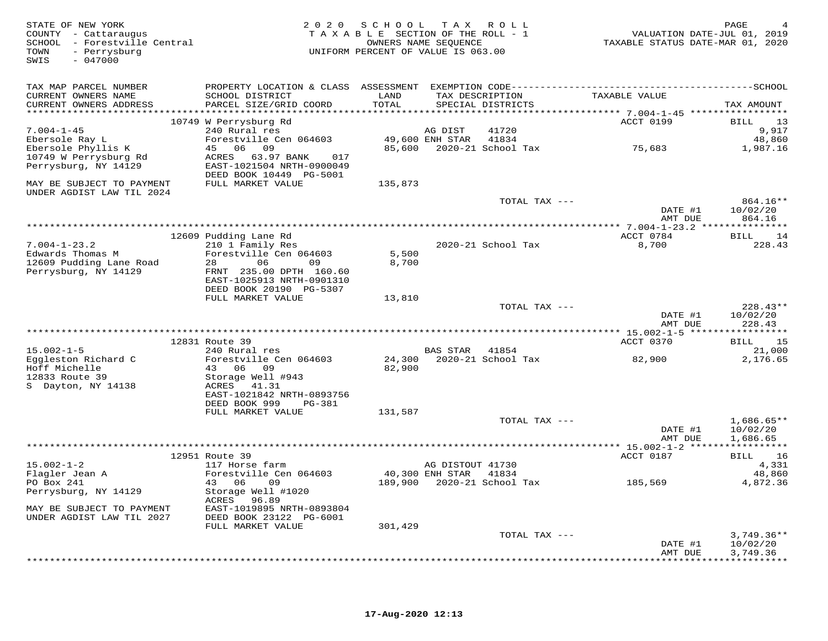| STATE OF NEW YORK<br>COUNTY - Cattaraugus<br>SCHOOL - Forestville Central<br>- Perrysburg<br>TOWN<br>$-047000$<br>SWIS | 2 0 2 0                                                                         | SCHOOL TAX ROLL<br>TAXABLE SECTION OF THE ROLL - 1<br>OWNERS NAME SEOUENCE<br>UNIFORM PERCENT OF VALUE IS 063.00 |                  |                                      | TAXABLE STATUS DATE-MAR 01, 2020 | PAGE<br>VALUATION DATE-JUL 01, 2019 |
|------------------------------------------------------------------------------------------------------------------------|---------------------------------------------------------------------------------|------------------------------------------------------------------------------------------------------------------|------------------|--------------------------------------|----------------------------------|-------------------------------------|
| TAX MAP PARCEL NUMBER                                                                                                  |                                                                                 |                                                                                                                  |                  |                                      |                                  |                                     |
| CURRENT OWNERS NAME<br>CURRENT OWNERS ADDRESS                                                                          | SCHOOL DISTRICT<br>PARCEL SIZE/GRID COORD                                       | LAND<br>TOTAL                                                                                                    |                  | TAX DESCRIPTION<br>SPECIAL DISTRICTS | TAXABLE VALUE                    | TAX AMOUNT                          |
|                                                                                                                        | 10749 W Perrysburg Rd                                                           |                                                                                                                  |                  |                                      | ACCT 0199                        | 13<br>BILL                          |
| $7.004 - 1 - 45$                                                                                                       | 240 Rural res                                                                   |                                                                                                                  | AG DIST          | 41720                                |                                  | 9,917                               |
| Ebersole Ray L                                                                                                         | Forestville Cen 064603                                                          |                                                                                                                  | 49,600 ENH STAR  | 41834                                |                                  | 48,860                              |
| Ebersole Phyllis K                                                                                                     | 45 06 09                                                                        |                                                                                                                  |                  | 85,600 2020-21 School Tax            | 75,683                           | 1,987.16                            |
| 10749 W Perrysburg Rd<br>Perrysburg, NY 14129                                                                          | ACRES 63.97 BANK<br>017<br>EAST-1021504 NRTH-0900049<br>DEED BOOK 10449 PG-5001 |                                                                                                                  |                  |                                      |                                  |                                     |
| MAY BE SUBJECT TO PAYMENT<br>UNDER AGDIST LAW TIL 2024                                                                 | FULL MARKET VALUE                                                               | 135,873                                                                                                          |                  |                                      |                                  |                                     |
|                                                                                                                        |                                                                                 |                                                                                                                  |                  | TOTAL TAX ---                        | DATE #1                          | 864.16**<br>10/02/20                |
|                                                                                                                        |                                                                                 |                                                                                                                  |                  |                                      | AMT DUE                          | 864.16                              |
|                                                                                                                        |                                                                                 |                                                                                                                  |                  |                                      | ACCT 0784                        | BILL 14                             |
| $7.004 - 1 - 23.2$                                                                                                     | 12609 Pudding Lane Rd<br>210 1 Family Res                                       |                                                                                                                  |                  | 2020-21 School Tax                   | 8,700                            | 228.43                              |
| Edwards Thomas M                                                                                                       | Forestville Cen 064603                                                          | 5,500                                                                                                            |                  |                                      |                                  |                                     |
| 12609 Pudding Lane Road                                                                                                | 06<br>28<br>09                                                                  | 8,700                                                                                                            |                  |                                      |                                  |                                     |
| Perrysburg, NY 14129                                                                                                   | FRNT 235.00 DPTH 160.60                                                         |                                                                                                                  |                  |                                      |                                  |                                     |
|                                                                                                                        | EAST-1025913 NRTH-0901310<br>DEED BOOK 20190 PG-5307                            |                                                                                                                  |                  |                                      |                                  |                                     |
|                                                                                                                        | FULL MARKET VALUE                                                               | 13,810                                                                                                           |                  |                                      |                                  |                                     |
|                                                                                                                        |                                                                                 |                                                                                                                  |                  | TOTAL TAX ---                        |                                  | $228.43**$                          |
|                                                                                                                        |                                                                                 |                                                                                                                  |                  |                                      | DATE #1<br>AMT DUE               | 10/02/20<br>228.43                  |
|                                                                                                                        |                                                                                 |                                                                                                                  |                  |                                      |                                  |                                     |
|                                                                                                                        | 12831 Route 39                                                                  |                                                                                                                  |                  |                                      | ACCT 0370                        | BILL 15                             |
| $15.002 - 1 - 5$                                                                                                       | 240 Rural res<br>Forestville Cen 064603                                         |                                                                                                                  | <b>BAS STAR</b>  | 41854<br>24,300 2020-21 School Tax   |                                  | 21,000<br>2,176.65                  |
| Eggleston Richard C<br>Hoff Michelle                                                                                   | 43 06 09                                                                        | 82,900                                                                                                           |                  |                                      | 82,900                           |                                     |
| 12833 Route 39                                                                                                         | Storage Well #943                                                               |                                                                                                                  |                  |                                      |                                  |                                     |
| S Dayton, NY 14138                                                                                                     | ACRES 41.31                                                                     |                                                                                                                  |                  |                                      |                                  |                                     |
|                                                                                                                        | EAST-1021842 NRTH-0893756                                                       |                                                                                                                  |                  |                                      |                                  |                                     |
|                                                                                                                        | DEED BOOK 999 PG-381<br>FULL MARKET VALUE                                       | 131,587                                                                                                          |                  |                                      |                                  |                                     |
|                                                                                                                        |                                                                                 |                                                                                                                  |                  | TOTAL TAX ---                        |                                  | $1,686.65**$                        |
|                                                                                                                        |                                                                                 |                                                                                                                  |                  |                                      | DATE #1                          | 10/02/20                            |
|                                                                                                                        |                                                                                 |                                                                                                                  |                  |                                      | AMT DUE                          | 1,686.65                            |
|                                                                                                                        |                                                                                 |                                                                                                                  |                  |                                      |                                  |                                     |
| $15.002 - 1 - 2$                                                                                                       | 12951 Route 39<br>117 Horse farm                                                |                                                                                                                  | AG DISTOUT 41730 |                                      | ACCT 0187                        | BILL 16<br>4,331                    |
| Flagler Jean A                                                                                                         | Forestville Cen 064603                                                          | 40,300 ENH STAR 41834                                                                                            |                  |                                      |                                  | 48,860                              |
| PO Box 241                                                                                                             | 43 06<br>09                                                                     |                                                                                                                  |                  |                                      | 185,569                          | 4,872.36                            |
| Perrysburg, NY 14129                                                                                                   | Storage Well #1020<br>ACRES 96.89                                               |                                                                                                                  |                  |                                      |                                  |                                     |
| MAY BE SUBJECT TO PAYMENT<br>UNDER AGDIST LAW TIL 2027                                                                 | EAST-1019895 NRTH-0893804<br>DEED BOOK 23122 PG-6001                            |                                                                                                                  |                  |                                      |                                  |                                     |
|                                                                                                                        | FULL MARKET VALUE                                                               | 301,429                                                                                                          |                  |                                      |                                  |                                     |
|                                                                                                                        |                                                                                 |                                                                                                                  |                  | TOTAL TAX ---                        |                                  | $3,749.36**$                        |
|                                                                                                                        |                                                                                 |                                                                                                                  |                  |                                      | DATE #1                          | 10/02/20                            |
|                                                                                                                        |                                                                                 |                                                                                                                  |                  |                                      | AMT DUE                          | 3,749.36                            |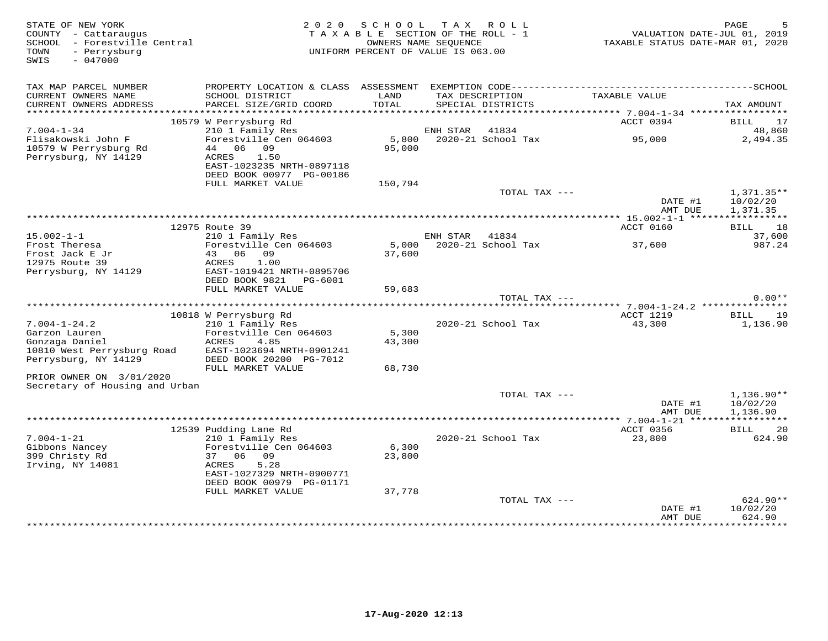| STATE OF NEW YORK<br>COUNTY - Cattaraugus<br>SCHOOL - Forestville Central<br>- Perrysburg<br>TOWN<br>SWIS<br>$-047000$ | 2 0 2 0                                                                                      | SCHOOL<br>TAXABLE SECTION OF THE ROLL - 1<br>OWNERS NAME SEQUENCE<br>UNIFORM PERCENT OF VALUE IS 063.00 |          | TAX ROLL                             | TAXABLE STATUS DATE-MAR 01, 2020                     | PAGE<br>VALUATION DATE-JUL 01, 2019 |
|------------------------------------------------------------------------------------------------------------------------|----------------------------------------------------------------------------------------------|---------------------------------------------------------------------------------------------------------|----------|--------------------------------------|------------------------------------------------------|-------------------------------------|
| TAX MAP PARCEL NUMBER                                                                                                  | PROPERTY LOCATION & CLASS ASSESSMENT EXEMPTION CODE-----------------------------------SCHOOL |                                                                                                         |          |                                      |                                                      |                                     |
| CURRENT OWNERS NAME<br>CURRENT OWNERS ADDRESS                                                                          | SCHOOL DISTRICT<br>PARCEL SIZE/GRID COORD                                                    | LAND<br>TOTAL                                                                                           |          | TAX DESCRIPTION<br>SPECIAL DISTRICTS | TAXABLE VALUE                                        | TAX AMOUNT                          |
|                                                                                                                        | 10579 W Perrysburg Rd                                                                        |                                                                                                         |          |                                      | ACCT 0394                                            | BILL<br>17                          |
| $7.004 - 1 - 34$                                                                                                       | 210 1 Family Res                                                                             |                                                                                                         | ENH STAR | 41834                                |                                                      | 48,860                              |
| Flisakowski John F                                                                                                     | Forestville Cen 064603                                                                       | 5,800                                                                                                   |          | 2020-21 School Tax                   | 95,000                                               | 2,494.35                            |
| 10579 W Perrysburg Rd                                                                                                  | 44 06 09                                                                                     | 95,000                                                                                                  |          |                                      |                                                      |                                     |
| Perrysburg, NY 14129                                                                                                   | ACRES<br>1.50<br>EAST-1023235 NRTH-0897118<br>DEED BOOK 00977 PG-00186                       |                                                                                                         |          |                                      |                                                      |                                     |
|                                                                                                                        | FULL MARKET VALUE                                                                            | 150,794                                                                                                 |          |                                      |                                                      |                                     |
|                                                                                                                        |                                                                                              |                                                                                                         |          | TOTAL TAX ---                        | DATE #1                                              | $1,371.35**$<br>10/02/20            |
|                                                                                                                        |                                                                                              |                                                                                                         |          |                                      | AMT DUE<br>***************** 15.002-1-1 ******       | 1,371.35<br>***********             |
|                                                                                                                        | 12975 Route 39                                                                               |                                                                                                         |          |                                      | ACCT 0160                                            | 18<br>BILL                          |
| $15.002 - 1 - 1$                                                                                                       | 210 1 Family Res                                                                             |                                                                                                         | ENH STAR | 41834                                |                                                      | 37,600                              |
| Frost Theresa                                                                                                          | Forestville Cen 064603                                                                       | 5,000                                                                                                   |          | 2020-21 School Tax                   | 37,600                                               | 987.24                              |
| Frost Jack E Jr                                                                                                        | 43 06<br>09                                                                                  | 37,600                                                                                                  |          |                                      |                                                      |                                     |
| 12975 Route 39<br>Perrysburg, NY 14129                                                                                 | ACRES<br>1.00<br>EAST-1019421 NRTH-0895706                                                   |                                                                                                         |          |                                      |                                                      |                                     |
|                                                                                                                        | DEED BOOK 9821<br>PG-6001                                                                    |                                                                                                         |          |                                      |                                                      |                                     |
|                                                                                                                        | FULL MARKET VALUE                                                                            | 59,683                                                                                                  |          |                                      |                                                      |                                     |
|                                                                                                                        |                                                                                              |                                                                                                         |          | TOTAL TAX ---                        |                                                      | $0.00**$                            |
|                                                                                                                        | 10818 W Perrysburg Rd                                                                        |                                                                                                         |          |                                      | *********** 7.004-1-24.2 **************<br>ACCT 1219 | BILL<br>19                          |
| $7.004 - 1 - 24.2$                                                                                                     | 210 1 Family Res                                                                             |                                                                                                         |          | 2020-21 School Tax                   | 43,300                                               | 1,136.90                            |
| Garzon Lauren                                                                                                          | Forestville Cen 064603                                                                       | 5,300                                                                                                   |          |                                      |                                                      |                                     |
| Gonzaga Daniel                                                                                                         | ACRES<br>4.85                                                                                | 43,300                                                                                                  |          |                                      |                                                      |                                     |
| 10810 West Perrysburg Road                                                                                             | EAST-1023694 NRTH-0901241                                                                    |                                                                                                         |          |                                      |                                                      |                                     |
| Perrysburg, NY 14129                                                                                                   | DEED BOOK 20200 PG-7012<br>FULL MARKET VALUE                                                 | 68,730                                                                                                  |          |                                      |                                                      |                                     |
| PRIOR OWNER ON 3/01/2020                                                                                               |                                                                                              |                                                                                                         |          |                                      |                                                      |                                     |
| Secretary of Housing and Urban                                                                                         |                                                                                              |                                                                                                         |          |                                      |                                                      |                                     |
|                                                                                                                        |                                                                                              |                                                                                                         |          | TOTAL TAX ---                        |                                                      | $1,136.90**$                        |
|                                                                                                                        |                                                                                              |                                                                                                         |          |                                      | DATE #1                                              | 10/02/20                            |
|                                                                                                                        |                                                                                              |                                                                                                         |          |                                      | AMT DUE                                              | 1,136.90                            |
|                                                                                                                        | 12539 Pudding Lane Rd                                                                        |                                                                                                         |          |                                      | ACCT 0356                                            | <b>BILL</b><br>20                   |
| $7.004 - 1 - 21$                                                                                                       | 210 1 Family Res                                                                             |                                                                                                         |          | 2020-21 School Tax                   | 23,800                                               | 624.90                              |
| Gibbons Nancey                                                                                                         | Forestville Cen 064603                                                                       | 6,300                                                                                                   |          |                                      |                                                      |                                     |
| 399 Christy Rd                                                                                                         | 37 06 09                                                                                     | 23,800                                                                                                  |          |                                      |                                                      |                                     |
| Irving, NY 14081                                                                                                       | ACRES<br>5.28<br>EAST-1027329 NRTH-0900771<br>DEED BOOK 00979 PG-01171                       |                                                                                                         |          |                                      |                                                      |                                     |
|                                                                                                                        | FULL MARKET VALUE                                                                            | 37,778                                                                                                  |          |                                      |                                                      |                                     |
|                                                                                                                        |                                                                                              |                                                                                                         |          | TOTAL TAX ---                        |                                                      | $624.90**$                          |
|                                                                                                                        |                                                                                              |                                                                                                         |          |                                      | DATE #1                                              | 10/02/20                            |
|                                                                                                                        |                                                                                              |                                                                                                         |          |                                      | AMT DUE<br>****************                          | 624.90<br>**********                |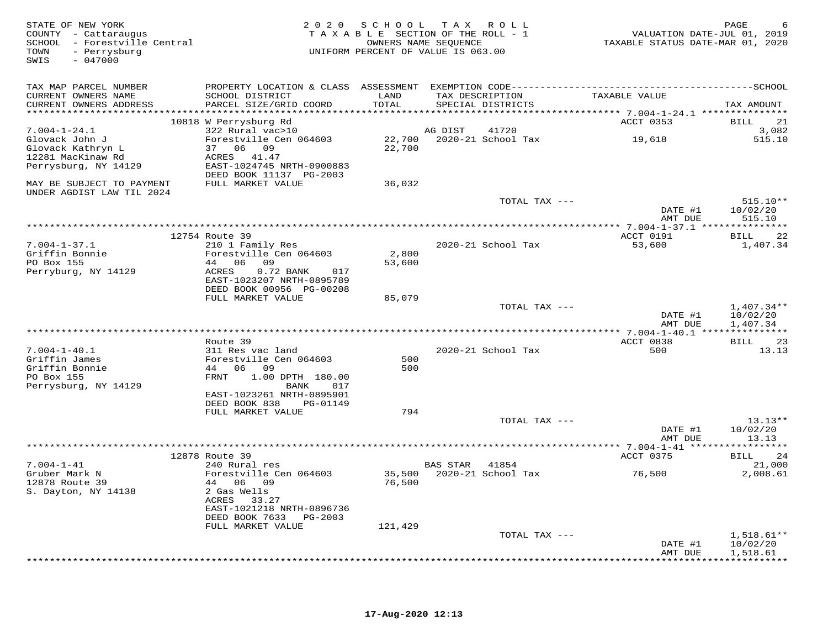| STATE OF NEW YORK<br>COUNTY - Cattaraugus<br>SCHOOL - Forestville Central<br>- Perrysburg<br>TOWN<br>SWIS<br>$-047000$ | 2 0 2 0                                                             |                  | SCHOOL TAX ROLL<br>TAXABLE SECTION OF THE ROLL - 1<br>OWNERS NAME SEQUENCE<br>UNIFORM PERCENT OF VALUE IS 063.00 |               | VALUATION DATE-JUL 01, 2019<br>TAXABLE STATUS DATE-MAR 01, 2020 | PAGE                   |
|------------------------------------------------------------------------------------------------------------------------|---------------------------------------------------------------------|------------------|------------------------------------------------------------------------------------------------------------------|---------------|-----------------------------------------------------------------|------------------------|
| TAX MAP PARCEL NUMBER                                                                                                  |                                                                     |                  |                                                                                                                  |               |                                                                 |                        |
| CURRENT OWNERS NAME<br>CURRENT OWNERS ADDRESS                                                                          | SCHOOL DISTRICT<br>PARCEL SIZE/GRID COORD                           | LAND<br>TOTAL    | TAX DESCRIPTION<br>SPECIAL DISTRICTS                                                                             |               | TAXABLE VALUE                                                   | TAX AMOUNT             |
|                                                                                                                        | 10818 W Perrysburg Rd                                               |                  |                                                                                                                  |               | ******************** 7.004-1-24.1 ****************<br>ACCT 0353 | BILL<br>21             |
| $7.004 - 1 - 24.1$                                                                                                     | 322 Rural vac>10                                                    |                  | AG DIST                                                                                                          | 41720         |                                                                 | 3,082                  |
| Glovack John J<br>Glovack Kathryn L                                                                                    | Forestville Cen 064603<br>37 06 09                                  | 22,700<br>22,700 | 2020-21 School Tax                                                                                               |               | 19,618                                                          | 515.10                 |
| 12281 MacKinaw Rd<br>Perrysburg, NY 14129                                                                              | ACRES 41.47<br>EAST-1024745 NRTH-0900883<br>DEED BOOK 11137 PG-2003 |                  |                                                                                                                  |               |                                                                 |                        |
| MAY BE SUBJECT TO PAYMENT<br>UNDER AGDIST LAW TIL 2024                                                                 | FULL MARKET VALUE                                                   | 36,032           |                                                                                                                  |               |                                                                 |                        |
|                                                                                                                        |                                                                     |                  |                                                                                                                  | TOTAL TAX --- | DATE #1                                                         | $515.10**$<br>10/02/20 |
|                                                                                                                        |                                                                     |                  |                                                                                                                  |               | AMT DUE                                                         | 515.10                 |
|                                                                                                                        | 12754 Route 39                                                      |                  |                                                                                                                  |               | ACCT 0191                                                       | 22<br><b>BILL</b>      |
| $7.004 - 1 - 37.1$                                                                                                     | 210 1 Family Res                                                    |                  | 2020-21 School Tax                                                                                               |               | 53,600                                                          | 1,407.34               |
| Griffin Bonnie                                                                                                         | Forestville Cen 064603                                              | 2,800            |                                                                                                                  |               |                                                                 |                        |
| PO Box 155                                                                                                             | 44 06 09<br>ACRES<br>017                                            | 53,600           |                                                                                                                  |               |                                                                 |                        |
| Perryburg, NY 14129                                                                                                    | $0.72$ BANK<br>EAST-1023207 NRTH-0895789                            |                  |                                                                                                                  |               |                                                                 |                        |
|                                                                                                                        | DEED BOOK 00956 PG-00208                                            |                  |                                                                                                                  |               |                                                                 |                        |
|                                                                                                                        | FULL MARKET VALUE                                                   | 85,079           |                                                                                                                  |               |                                                                 |                        |
|                                                                                                                        |                                                                     |                  |                                                                                                                  | TOTAL TAX --- |                                                                 | $1,407.34**$           |
|                                                                                                                        |                                                                     |                  |                                                                                                                  |               | DATE #1<br>AMT DUE                                              | 10/02/20<br>1,407.34   |
|                                                                                                                        |                                                                     |                  |                                                                                                                  |               |                                                                 |                        |
|                                                                                                                        | Route 39                                                            |                  |                                                                                                                  |               | ACCT 0838                                                       | BILL<br>23             |
| $7.004 - 1 - 40.1$                                                                                                     | 311 Res vac land                                                    |                  | 2020-21 School Tax                                                                                               |               | 500                                                             | 13.13                  |
| Griffin James                                                                                                          | Forestville Cen 064603                                              | 500              |                                                                                                                  |               |                                                                 |                        |
| Griffin Bonnie<br>PO Box 155                                                                                           | 44 06 09<br>FRNT<br>1.00 DPTH 180.00                                | 500              |                                                                                                                  |               |                                                                 |                        |
| Perrysburg, NY 14129                                                                                                   | BANK<br>017                                                         |                  |                                                                                                                  |               |                                                                 |                        |
|                                                                                                                        | EAST-1023261 NRTH-0895901                                           |                  |                                                                                                                  |               |                                                                 |                        |
|                                                                                                                        | DEED BOOK 838<br>PG-01149                                           |                  |                                                                                                                  |               |                                                                 |                        |
|                                                                                                                        | FULL MARKET VALUE                                                   | 794              |                                                                                                                  |               |                                                                 |                        |
|                                                                                                                        |                                                                     |                  |                                                                                                                  | TOTAL TAX --- | DATE #1                                                         | $13.13**$<br>10/02/20  |
|                                                                                                                        |                                                                     |                  |                                                                                                                  |               | AMT DUE                                                         | 13.13                  |
|                                                                                                                        |                                                                     |                  |                                                                                                                  |               |                                                                 |                        |
|                                                                                                                        | 12878 Route 39                                                      |                  |                                                                                                                  |               | ACCT 0375                                                       | BILL<br>24             |
| $7.004 - 1 - 41$                                                                                                       | 240 Rural res                                                       |                  | BAS STAR                                                                                                         | 41854         |                                                                 | 21,000                 |
| Gruber Mark N<br>12878 Route 39                                                                                        | Forestville Cen 064603<br>44 06 09                                  | 76,500           | 35,500 2020-21 School Tax                                                                                        |               | 76,500                                                          | 2,008.61               |
| S. Dayton, NY 14138                                                                                                    | 2 Gas Wells                                                         |                  |                                                                                                                  |               |                                                                 |                        |
|                                                                                                                        | ACRES 33.27                                                         |                  |                                                                                                                  |               |                                                                 |                        |
|                                                                                                                        | EAST-1021218 NRTH-0896736                                           |                  |                                                                                                                  |               |                                                                 |                        |
|                                                                                                                        | DEED BOOK 7633<br>PG-2003<br>FULL MARKET VALUE                      | 121,429          |                                                                                                                  |               |                                                                 |                        |
|                                                                                                                        |                                                                     |                  |                                                                                                                  | TOTAL TAX --- |                                                                 | $1,518.61**$           |
|                                                                                                                        |                                                                     |                  |                                                                                                                  |               | DATE #1                                                         | 10/02/20               |
|                                                                                                                        |                                                                     |                  |                                                                                                                  |               | AMT DUE                                                         | 1,518.61               |
|                                                                                                                        |                                                                     |                  |                                                                                                                  |               |                                                                 | ************           |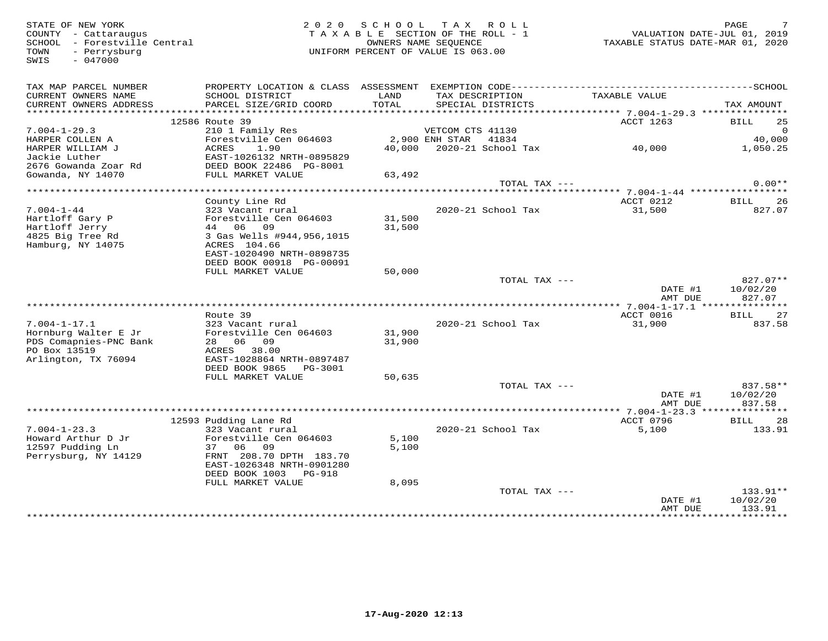SWIS - 047000

FRIE OF NEW YORK PORT AND RAGE THE SECTION OF THE ROLL TO LAND RAGE THE SECTION OF THE ROLL - 1 COUNTY - Cattaraugus TAXABLE SECTION OF THE ROLL - 1 COUNTY - Cattaraugus TAXABLE STATUS DATE-JUL 01, 2019<br>SCHOOL - Forestvill TAX A B L E SECTION OF THE ROLL - 1 SCHOOL - Forestville Central OWNERS NAME SEQUENCE TAXABLE STATUS DATE-MAR 01, 2020TOWN - Perrysburg UNIFORM PERCENT OF VALUE IS 063.00

| TAX MAP PARCEL NUMBER<br>CURRENT OWNERS NAME<br>CURRENT OWNERS ADDRESS | PROPERTY LOCATION & CLASS ASSESSMENT<br>SCHOOL DISTRICT<br>PARCEL SIZE/GRID COORD | LAND<br>TOTAL | TAX DESCRIPTION<br>SPECIAL DISTRICTS | TAXABLE VALUE      | TAX AMOUNT         |
|------------------------------------------------------------------------|-----------------------------------------------------------------------------------|---------------|--------------------------------------|--------------------|--------------------|
| ***********************                                                |                                                                                   |               |                                      |                    |                    |
|                                                                        | 12586 Route 39                                                                    |               |                                      | ACCT 1263          | <b>BILL</b><br>25  |
| $7.004 - 1 - 29.3$                                                     | 210 1 Family Res                                                                  |               | VETCOM CTS 41130                     |                    | $\Omega$           |
| HARPER COLLEN A                                                        | Forestville Cen 064603                                                            |               | 2,900 ENH STAR<br>41834              |                    | 40,000             |
| HARPER WILLIAM J                                                       | 1.90<br>ACRES                                                                     | 40,000        | 2020-21 School Tax                   | 40,000             | 1,050.25           |
| Jackie Luther                                                          | EAST-1026132 NRTH-0895829                                                         |               |                                      |                    |                    |
| 2676 Gowanda Zoar Rd                                                   | DEED BOOK 22486 PG-8001                                                           |               |                                      |                    |                    |
| Gowanda, NY 14070                                                      | FULL MARKET VALUE                                                                 | 63,492        |                                      |                    |                    |
|                                                                        |                                                                                   |               | TOTAL TAX ---                        |                    | $0.00**$           |
| ******************************                                         |                                                                                   |               |                                      |                    |                    |
|                                                                        | County Line Rd                                                                    |               |                                      | ACCT 0212          | 26<br>BILL         |
| $7.004 - 1 - 44$                                                       | 323 Vacant rural                                                                  |               | 2020-21 School Tax                   | 31,500             | 827.07             |
| Hartloff Gary P                                                        | Forestville Cen 064603                                                            | 31,500        |                                      |                    |                    |
| Hartloff Jerry                                                         | 09<br>44 06                                                                       | 31,500        |                                      |                    |                    |
| 4825 Big Tree Rd                                                       | 3 Gas Wells #944,956,1015                                                         |               |                                      |                    |                    |
| Hamburg, NY 14075                                                      | ACRES 104.66                                                                      |               |                                      |                    |                    |
|                                                                        | EAST-1020490 NRTH-0898735                                                         |               |                                      |                    |                    |
|                                                                        | DEED BOOK 00918 PG-00091                                                          |               |                                      |                    |                    |
|                                                                        | FULL MARKET VALUE                                                                 | 50,000        |                                      |                    |                    |
|                                                                        |                                                                                   |               | TOTAL TAX ---                        |                    | 827.07**           |
|                                                                        |                                                                                   |               |                                      | DATE #1            | 10/02/20           |
|                                                                        |                                                                                   |               |                                      | AMT DUE            | 827.07             |
|                                                                        |                                                                                   |               |                                      |                    |                    |
|                                                                        |                                                                                   |               |                                      |                    |                    |
|                                                                        | Route 39                                                                          |               |                                      | ACCT 0016          | <b>BILL</b><br>27  |
| $7.004 - 1 - 17.1$                                                     | 323 Vacant rural                                                                  |               | 2020-21 School Tax                   | 31,900             | 837.58             |
| Hornburg Walter E Jr                                                   | Forestville Cen 064603                                                            | 31,900        |                                      |                    |                    |
| PDS Comapnies-PNC Bank                                                 | 06<br>09<br>28                                                                    | 31,900        |                                      |                    |                    |
| PO Box 13519                                                           | ACRES<br>38.00                                                                    |               |                                      |                    |                    |
| Arlington, TX 76094                                                    | EAST-1028864 NRTH-0897487                                                         |               |                                      |                    |                    |
|                                                                        | DEED BOOK 9865<br>PG-3001                                                         |               |                                      |                    |                    |
|                                                                        | FULL MARKET VALUE                                                                 | 50,635        |                                      |                    |                    |
|                                                                        |                                                                                   |               | TOTAL TAX ---                        |                    | 837.58**           |
|                                                                        |                                                                                   |               |                                      | DATE #1            | 10/02/20           |
|                                                                        |                                                                                   |               |                                      | AMT DUE            | 837.58             |
|                                                                        |                                                                                   |               |                                      |                    |                    |
|                                                                        | 12593 Pudding Lane Rd                                                             |               |                                      | ACCT 0796          | <b>BILL</b><br>28  |
| $7.004 - 1 - 23.3$                                                     | 323 Vacant rural                                                                  |               | 2020-21 School Tax                   | 5,100              | 133.91             |
| Howard Arthur D Jr                                                     | Forestville Cen 064603                                                            | 5,100         |                                      |                    |                    |
| 12597 Pudding Ln                                                       | 37<br>06<br>09                                                                    | 5,100         |                                      |                    |                    |
| Perrysburg, NY 14129                                                   | FRNT 208.70 DPTH 183.70                                                           |               |                                      |                    |                    |
|                                                                        | EAST-1026348 NRTH-0901280                                                         |               |                                      |                    |                    |
|                                                                        | DEED BOOK 1003<br>PG-918                                                          |               |                                      |                    |                    |
|                                                                        | FULL MARKET VALUE                                                                 | 8,095         |                                      |                    |                    |
|                                                                        |                                                                                   |               | TOTAL TAX ---                        |                    | 133.91**           |
|                                                                        |                                                                                   |               |                                      | DATE #1<br>AMT DUE | 10/02/20<br>133.91 |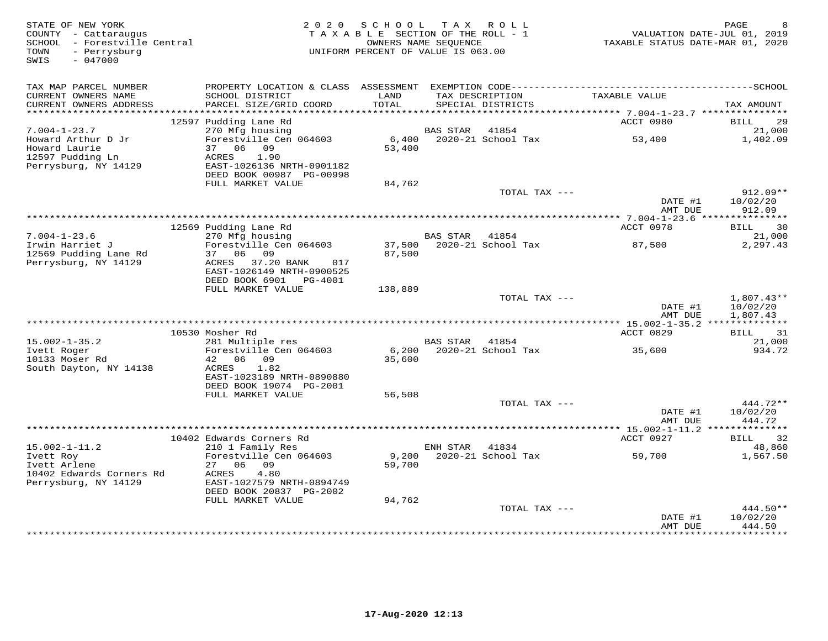| STATE OF NEW YORK<br>COUNTY - Cattaraugus<br>SCHOOL - Forestville Central<br>- Perrysburg<br>TOWN<br>$-047000$<br>SWIS | 2 0 2 0                                                                | SCHOOL<br>TAXABLE SECTION OF THE ROLL - 1<br>OWNERS NAME SEOUENCE<br>UNIFORM PERCENT OF VALUE IS 063.00 |                 | TAX ROLL                             | TAXABLE STATUS DATE-MAR 01, 2020 | PAGE<br>8<br>VALUATION DATE-JUL 01, 2019 |
|------------------------------------------------------------------------------------------------------------------------|------------------------------------------------------------------------|---------------------------------------------------------------------------------------------------------|-----------------|--------------------------------------|----------------------------------|------------------------------------------|
| TAX MAP PARCEL NUMBER                                                                                                  |                                                                        |                                                                                                         |                 |                                      |                                  |                                          |
| CURRENT OWNERS NAME<br>CURRENT OWNERS ADDRESS<br>***********************                                               | SCHOOL DISTRICT<br>PARCEL SIZE/GRID COORD                              | LAND<br>TOTAL                                                                                           |                 | TAX DESCRIPTION<br>SPECIAL DISTRICTS | TAXABLE VALUE                    | TAX AMOUNT                               |
|                                                                                                                        | 12597 Pudding Lane Rd                                                  |                                                                                                         |                 |                                      | ACCT 0980                        | <b>BILL</b><br>29                        |
| $7.004 - 1 - 23.7$                                                                                                     | 270 Mfg housing                                                        |                                                                                                         | BAS STAR        | 41854                                |                                  | 21,000                                   |
| Howard Arthur D Jr<br>Howard Laurie                                                                                    | Forestville Cen 064603<br>37 06 09                                     | 6,400<br>53,400                                                                                         |                 | 2020-21 School Tax                   | 53,400                           | 1,402.09                                 |
| 12597 Pudding Ln<br>Perrysburg, NY 14129                                                                               | ACRES<br>1.90<br>EAST-1026136 NRTH-0901182<br>DEED BOOK 00987 PG-00998 |                                                                                                         |                 |                                      |                                  |                                          |
|                                                                                                                        | FULL MARKET VALUE                                                      | 84,762                                                                                                  |                 |                                      |                                  |                                          |
|                                                                                                                        |                                                                        |                                                                                                         |                 | TOTAL TAX ---                        | DATE #1<br>AMT DUE               | $912.09**$<br>10/02/20<br>912.09         |
|                                                                                                                        |                                                                        |                                                                                                         |                 |                                      | ********** 7.004-1-23.6 ***      | * * * * * * * * * * *                    |
|                                                                                                                        | 12569 Pudding Lane Rd                                                  |                                                                                                         |                 |                                      | ACCT 0978                        | 30<br>BILL                               |
| $7.004 - 1 - 23.6$                                                                                                     | 270 Mfg housing                                                        |                                                                                                         | <b>BAS STAR</b> | 41854                                |                                  | 21,000                                   |
| Irwin Harriet J                                                                                                        | Forestville Cen 064603<br>37 06 09                                     | 37,500                                                                                                  |                 | 2020-21 School Tax                   | 87,500                           | 2,297.43                                 |
| 12569 Pudding Lane Rd<br>Perrysburg, NY 14129                                                                          | ACRES 37.20 BANK<br>017<br>EAST-1026149 NRTH-0900525                   | 87,500                                                                                                  |                 |                                      |                                  |                                          |
|                                                                                                                        | DEED BOOK 6901 PG-4001                                                 |                                                                                                         |                 |                                      |                                  |                                          |
|                                                                                                                        | FULL MARKET VALUE                                                      | 138,889                                                                                                 |                 |                                      |                                  |                                          |
|                                                                                                                        |                                                                        |                                                                                                         |                 | TOTAL TAX ---                        | DATE #1<br>AMT DUE               | $1,807.43**$<br>10/02/20<br>1,807.43     |
|                                                                                                                        |                                                                        |                                                                                                         |                 |                                      |                                  |                                          |
|                                                                                                                        | 10530 Mosher Rd                                                        |                                                                                                         |                 |                                      | ACCT 0829                        | BILL<br>31                               |
| $15.002 - 1 - 35.2$<br>Ivett Roger                                                                                     | 281 Multiple res<br>Forestville Cen 064603                             | 6,200                                                                                                   | BAS STAR 41854  | 2020-21 School Tax                   |                                  | 21,000<br>934.72                         |
| 10133 Moser Rd                                                                                                         | 42 06 09                                                               | 35,600                                                                                                  |                 |                                      | 35,600                           |                                          |
| South Dayton, NY 14138                                                                                                 | 1.82<br>ACRES                                                          |                                                                                                         |                 |                                      |                                  |                                          |
|                                                                                                                        | EAST-1023189 NRTH-0890880                                              |                                                                                                         |                 |                                      |                                  |                                          |
|                                                                                                                        | DEED BOOK 19074 PG-2001                                                |                                                                                                         |                 |                                      |                                  |                                          |
|                                                                                                                        | FULL MARKET VALUE                                                      | 56,508                                                                                                  |                 | TOTAL TAX ---                        |                                  | 444.72**                                 |
|                                                                                                                        |                                                                        |                                                                                                         |                 |                                      | DATE #1                          | 10/02/20                                 |
|                                                                                                                        |                                                                        |                                                                                                         |                 |                                      | AMT DUE                          | 444.72                                   |
|                                                                                                                        |                                                                        |                                                                                                         |                 |                                      |                                  |                                          |
| $15.002 - 1 - 11.2$                                                                                                    | 10402 Edwards Corners Rd                                               |                                                                                                         | ENH STAR        | 41834                                | ACCT 0927                        | 32<br>BILL<br>48,860                     |
| Ivett Roy                                                                                                              | 210 1 Family Res<br>Forestville Cen 064603                             | 9,200                                                                                                   |                 | 2020-21 School Tax                   | 59,700                           | 1,567.50                                 |
| Ivett Arlene                                                                                                           | 27<br>06 09                                                            | 59,700                                                                                                  |                 |                                      |                                  |                                          |
| 10402 Edwards Corners Rd                                                                                               | ACRES<br>4.80                                                          |                                                                                                         |                 |                                      |                                  |                                          |
| Perrysburg, NY 14129                                                                                                   | EAST-1027579 NRTH-0894749                                              |                                                                                                         |                 |                                      |                                  |                                          |
|                                                                                                                        | DEED BOOK 20837 PG-2002<br>FULL MARKET VALUE                           | 94,762                                                                                                  |                 |                                      |                                  |                                          |
|                                                                                                                        |                                                                        |                                                                                                         |                 | TOTAL TAX ---                        |                                  | 444.50**                                 |
|                                                                                                                        |                                                                        |                                                                                                         |                 |                                      | DATE #1<br>AMT DUE               | 10/02/20<br>444.50                       |
|                                                                                                                        |                                                                        |                                                                                                         |                 | **************************           | *************                    | .                                        |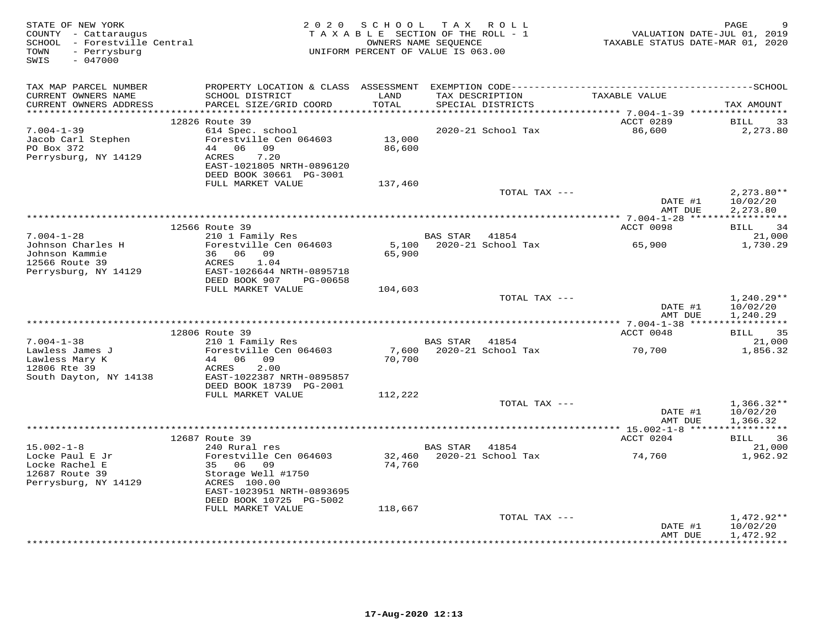| STATE OF NEW YORK<br>COUNTY - Cattaraugus<br>SCHOOL - Forestville Central<br>- Perrysburg<br>TOWN<br>$-047000$<br>SWIS |                                                                              | 2020 SCHOOL TAX ROLL<br>TAXABLE SECTION OF THE ROLL - 1<br>UNIFORM PERCENT OF VALUE IS 063.00 | OWNERS NAME SEQUENCE |                                      | TAXABLE STATUS DATE-MAR 01, 2020 | PAGE<br>VALUATION DATE-JUL 01, 2019  |
|------------------------------------------------------------------------------------------------------------------------|------------------------------------------------------------------------------|-----------------------------------------------------------------------------------------------|----------------------|--------------------------------------|----------------------------------|--------------------------------------|
| TAX MAP PARCEL NUMBER                                                                                                  | PROPERTY LOCATION & CLASS ASSESSMENT                                         |                                                                                               |                      |                                      |                                  |                                      |
| CURRENT OWNERS NAME<br>CURRENT OWNERS ADDRESS<br>************************                                              | SCHOOL DISTRICT<br>PARCEL SIZE/GRID COORD<br>******************************* | LAND<br>TOTAL                                                                                 |                      | TAX DESCRIPTION<br>SPECIAL DISTRICTS | TAXABLE VALUE                    | TAX AMOUNT                           |
|                                                                                                                        | 12826 Route 39                                                               |                                                                                               |                      |                                      | ACCT 0289                        | BILL<br>33                           |
| $7.004 - 1 - 39$                                                                                                       | 614 Spec. school                                                             |                                                                                               |                      | 2020-21 School Tax                   | 86,600                           | 2,273.80                             |
| Jacob Carl Stephen                                                                                                     | Forestville Cen 064603                                                       | 13,000                                                                                        |                      |                                      |                                  |                                      |
| PO Box 372                                                                                                             | 44 06 09                                                                     | 86,600                                                                                        |                      |                                      |                                  |                                      |
| Perrysburg, NY 14129                                                                                                   | 7.20<br>ACRES<br>EAST-1021805 NRTH-0896120                                   |                                                                                               |                      |                                      |                                  |                                      |
|                                                                                                                        | DEED BOOK 30661 PG-3001<br>FULL MARKET VALUE                                 | 137,460                                                                                       |                      |                                      |                                  |                                      |
|                                                                                                                        |                                                                              |                                                                                               |                      | TOTAL TAX ---                        |                                  | $2,273.80**$                         |
|                                                                                                                        |                                                                              |                                                                                               |                      |                                      | DATE #1                          | 10/02/20                             |
|                                                                                                                        |                                                                              |                                                                                               |                      |                                      | AMT DUE                          | 2,273.80                             |
|                                                                                                                        |                                                                              |                                                                                               |                      |                                      |                                  |                                      |
| $7.004 - 1 - 28$                                                                                                       | 12566 Route 39                                                               |                                                                                               | BAS STAR 41854       |                                      | ACCT 0098                        | BILL 34<br>21,000                    |
| Johnson Charles H                                                                                                      | 210 1 Family Res<br>Forestville Cen 064603                                   | 5,100                                                                                         |                      | 2020-21 School Tax                   | 65,900                           | 1,730.29                             |
| Johnson Kammie                                                                                                         | 36 06 09                                                                     | 65,900                                                                                        |                      |                                      |                                  |                                      |
| 12566 Route 39                                                                                                         | 1.04<br>ACRES                                                                |                                                                                               |                      |                                      |                                  |                                      |
| Perrysburg, NY 14129                                                                                                   | EAST-1026644 NRTH-0895718<br>DEED BOOK 907<br>PG-00658                       |                                                                                               |                      |                                      |                                  |                                      |
|                                                                                                                        | FULL MARKET VALUE                                                            | 104,603                                                                                       |                      |                                      |                                  |                                      |
|                                                                                                                        |                                                                              |                                                                                               |                      | TOTAL TAX ---                        | DATE #1<br>AMT DUE               | $1,240.29**$<br>10/02/20<br>1,240.29 |
|                                                                                                                        |                                                                              |                                                                                               |                      |                                      |                                  |                                      |
|                                                                                                                        | 12806 Route 39                                                               |                                                                                               |                      |                                      | ACCT 0048                        | 35<br>BILL                           |
| $7.004 - 1 - 38$                                                                                                       | 210 1 Family Res                                                             |                                                                                               | <b>BAS STAR</b>      | 41854                                |                                  | 21,000                               |
| Lawless James J<br>Lawless Mary K<br>12806 Rte 39                                                                      | Forestville Cen 064603<br>44 06 09<br>ACRES<br>2.00                          | 7,600<br>70,700                                                                               |                      | 2020-21 School Tax                   | 70,700                           | 1,856.32                             |
| South Dayton, NY 14138                                                                                                 | EAST-1022387 NRTH-0895857<br>DEED BOOK 18739 PG-2001                         |                                                                                               |                      |                                      |                                  |                                      |
|                                                                                                                        | FULL MARKET VALUE                                                            | 112,222                                                                                       |                      |                                      |                                  |                                      |
|                                                                                                                        |                                                                              |                                                                                               |                      | TOTAL TAX ---                        | DATE #1<br>AMT DUE               | $1,366.32**$<br>10/02/20<br>1,366.32 |
|                                                                                                                        |                                                                              |                                                                                               |                      |                                      |                                  | ***********                          |
|                                                                                                                        | 12687 Route 39                                                               |                                                                                               |                      |                                      | ACCT 0204                        | BILL 36                              |
| $15.002 - 1 - 8$                                                                                                       | 240 Rural res                                                                |                                                                                               | BAS STAR 41854       |                                      |                                  | 21,000                               |
| Locke Paul E Jr                                                                                                        | Forestville Cen 064603<br>35 06<br>09                                        | 32,460                                                                                        |                      | 2020-21 School Tax                   | 74,760                           | 1,962.92                             |
| Locke Rachel E<br>12687 Route 39                                                                                       | Storage Well #1750                                                           | 74,760                                                                                        |                      |                                      |                                  |                                      |
| Perrysburg, NY 14129                                                                                                   | ACRES 100.00<br>EAST-1023951 NRTH-0893695                                    |                                                                                               |                      |                                      |                                  |                                      |
|                                                                                                                        | DEED BOOK 10725 PG-5002                                                      |                                                                                               |                      |                                      |                                  |                                      |
|                                                                                                                        | FULL MARKET VALUE                                                            | 118,667                                                                                       |                      |                                      |                                  |                                      |
|                                                                                                                        |                                                                              |                                                                                               |                      | TOTAL TAX ---                        |                                  | $1,472.92**$                         |
|                                                                                                                        |                                                                              |                                                                                               |                      |                                      | DATE #1<br>AMT DUE               | 10/02/20<br>1,472.92<br>**********   |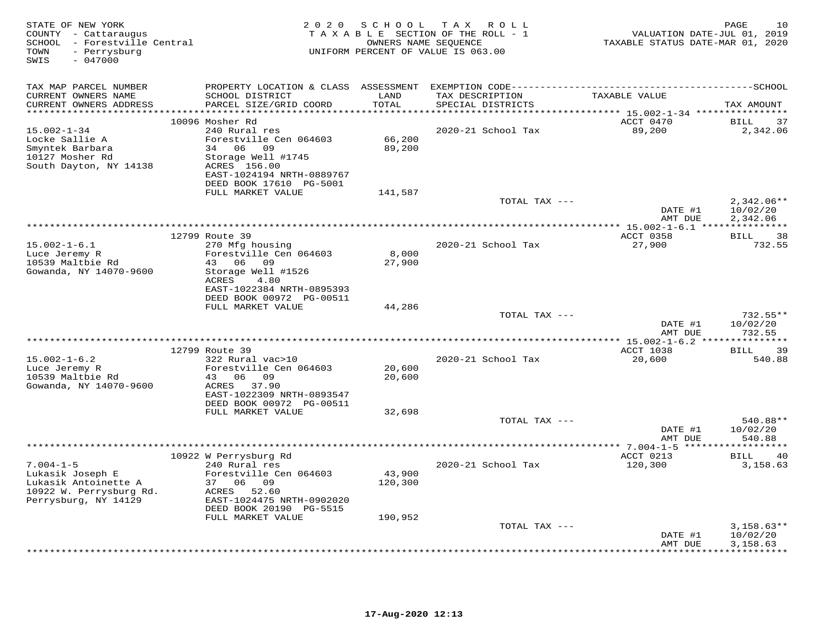| STATE OF NEW YORK<br>COUNTY - Cattaraugus<br>SCHOOL - Forestville Central<br>- Perrysburg<br>TOWN<br>$-047000$<br>SWIS | 2 0 2 0                                    | SCHOOL        | TAX ROLL<br>TAXABLE SECTION OF THE ROLL - 1<br>OWNERS NAME SEQUENCE<br>UNIFORM PERCENT OF VALUE IS 063.00 | VALUATION DATE-JUL 01, 2019<br>TAXABLE STATUS DATE-MAR 01, 2020 | PAGE<br>10            |
|------------------------------------------------------------------------------------------------------------------------|--------------------------------------------|---------------|-----------------------------------------------------------------------------------------------------------|-----------------------------------------------------------------|-----------------------|
| TAX MAP PARCEL NUMBER                                                                                                  |                                            |               |                                                                                                           |                                                                 |                       |
| CURRENT OWNERS NAME<br>CURRENT OWNERS ADDRESS                                                                          | SCHOOL DISTRICT<br>PARCEL SIZE/GRID COORD  | LAND<br>TOTAL | TAX DESCRIPTION<br>SPECIAL DISTRICTS                                                                      | TAXABLE VALUE                                                   | TAX AMOUNT            |
|                                                                                                                        | 10096 Mosher Rd                            |               |                                                                                                           | ACCT 0470                                                       | 37<br><b>BILL</b>     |
| $15.002 - 1 - 34$                                                                                                      | 240 Rural res                              |               | 2020-21 School Tax                                                                                        | 89,200                                                          | 2,342.06              |
| Locke Sallie A                                                                                                         | Forestville Cen 064603                     | 66,200        |                                                                                                           |                                                                 |                       |
| Smyntek Barbara                                                                                                        | 34 06 09                                   | 89,200        |                                                                                                           |                                                                 |                       |
| 10127 Mosher Rd<br>South Dayton, NY 14138                                                                              | Storage Well #1745<br>ACRES 156.00         |               |                                                                                                           |                                                                 |                       |
|                                                                                                                        | EAST-1024194 NRTH-0889767                  |               |                                                                                                           |                                                                 |                       |
|                                                                                                                        | DEED BOOK 17610 PG-5001                    |               |                                                                                                           |                                                                 |                       |
|                                                                                                                        | FULL MARKET VALUE                          | 141,587       |                                                                                                           |                                                                 |                       |
|                                                                                                                        |                                            |               | TOTAL TAX ---                                                                                             |                                                                 | $2,342.06**$          |
|                                                                                                                        |                                            |               |                                                                                                           | DATE #1<br>AMT DUE                                              | 10/02/20<br>2,342.06  |
|                                                                                                                        | 12799 Route 39                             |               |                                                                                                           | ACCT 0358                                                       | 38<br>BILL            |
| $15.002 - 1 - 6.1$                                                                                                     | 270 Mfg housing                            |               | 2020-21 School Tax                                                                                        | 27,900                                                          | 732.55                |
| Luce Jeremy R                                                                                                          | Forestville Cen 064603                     | 8,000         |                                                                                                           |                                                                 |                       |
| 10539 Maltbie Rd                                                                                                       | 43 06 09                                   | 27,900        |                                                                                                           |                                                                 |                       |
| Gowanda, NY 14070-9600                                                                                                 | Storage Well #1526                         |               |                                                                                                           |                                                                 |                       |
|                                                                                                                        | ACRES<br>4.80<br>EAST-1022384 NRTH-0895393 |               |                                                                                                           |                                                                 |                       |
|                                                                                                                        | DEED BOOK 00972 PG-00511                   |               |                                                                                                           |                                                                 |                       |
|                                                                                                                        | FULL MARKET VALUE                          | 44,286        |                                                                                                           |                                                                 |                       |
|                                                                                                                        |                                            |               | TOTAL TAX ---                                                                                             |                                                                 | $732.55**$            |
|                                                                                                                        |                                            |               |                                                                                                           | DATE #1                                                         | 10/02/20              |
|                                                                                                                        |                                            |               |                                                                                                           | AMT DUE                                                         | 732.55                |
|                                                                                                                        | 12799 Route 39                             |               |                                                                                                           | ACCT 1038                                                       | 39<br><b>BILL</b>     |
| $15.002 - 1 - 6.2$                                                                                                     | 322 Rural vac>10                           |               | 2020-21 School Tax                                                                                        | 20,600                                                          | 540.88                |
| Luce Jeremy R                                                                                                          | Forestville Cen 064603                     | 20,600        |                                                                                                           |                                                                 |                       |
| 10539 Maltbie Rd                                                                                                       | 43 06<br>09                                | 20,600        |                                                                                                           |                                                                 |                       |
| Gowanda, NY 14070-9600                                                                                                 | ACRES 37.90<br>EAST-1022309 NRTH-0893547   |               |                                                                                                           |                                                                 |                       |
|                                                                                                                        | DEED BOOK 00972 PG-00511                   |               |                                                                                                           |                                                                 |                       |
|                                                                                                                        | FULL MARKET VALUE                          | 32,698        |                                                                                                           |                                                                 |                       |
|                                                                                                                        |                                            |               | TOTAL TAX ---                                                                                             |                                                                 | 540.88**              |
|                                                                                                                        |                                            |               |                                                                                                           | DATE #1                                                         | 10/02/20              |
|                                                                                                                        |                                            |               |                                                                                                           | AMT DUE                                                         | 540.88                |
|                                                                                                                        | 10922 W Perrysburg Rd                      |               |                                                                                                           | ACCT 0213                                                       | 40<br>BILL            |
| $7.004 - 1 - 5$                                                                                                        | 240 Rural res                              |               | 2020-21 School Tax                                                                                        | 120,300                                                         | 3,158.63              |
| Lukasik Joseph E                                                                                                       | Forestville Cen 064603                     | 43,900        |                                                                                                           |                                                                 |                       |
| Lukasik Antoinette A                                                                                                   | 37 06 09                                   | 120,300       |                                                                                                           |                                                                 |                       |
| 10922 W. Perrysburg Rd.<br>Perrysburg, NY 14129                                                                        | ACRES 52.60<br>EAST-1024475 NRTH-0902020   |               |                                                                                                           |                                                                 |                       |
|                                                                                                                        | DEED BOOK 20190 PG-5515                    |               |                                                                                                           |                                                                 |                       |
|                                                                                                                        | FULL MARKET VALUE                          | 190,952       |                                                                                                           |                                                                 |                       |
|                                                                                                                        |                                            |               | TOTAL TAX ---                                                                                             |                                                                 | $3,158.63**$          |
|                                                                                                                        |                                            |               |                                                                                                           | DATE #1                                                         | 10/02/20              |
|                                                                                                                        |                                            |               |                                                                                                           | AMT DUE                                                         | 3,158.63<br>********* |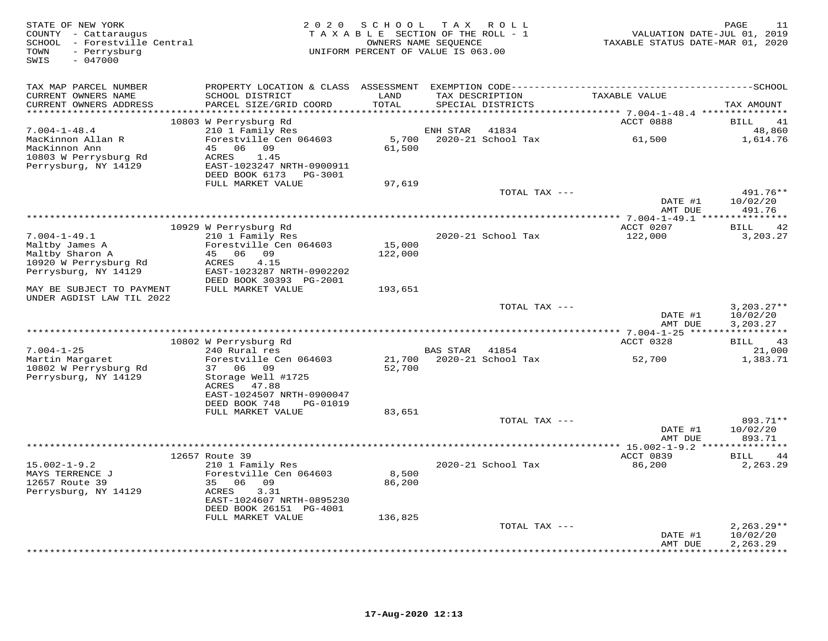| STATE OF NEW YORK<br>COUNTY - Cattaraugus<br>SCHOOL - Forestville Central<br>- Perrysburg<br>TOWN<br>$-047000$<br>SWIS | 2 0 2 0                                                                                                    | SCHOOL                              | T A X<br>R O L L<br>TAXABLE SECTION OF THE ROLL - 1<br>OWNERS NAME SEQUENCE<br>UNIFORM PERCENT OF VALUE IS 063.00 | VALUATION DATE-JUL 01, 2019<br>TAXABLE STATUS DATE-MAR 01, 2020 | PAGE<br>11                           |
|------------------------------------------------------------------------------------------------------------------------|------------------------------------------------------------------------------------------------------------|-------------------------------------|-------------------------------------------------------------------------------------------------------------------|-----------------------------------------------------------------|--------------------------------------|
| TAX MAP PARCEL NUMBER<br>CURRENT OWNERS NAME<br>CURRENT OWNERS ADDRESS<br>***********************                      | SCHOOL DISTRICT<br>PARCEL SIZE/GRID COORD<br>***********************                                       | LAND<br>TOTAL<br>****************** | TAX DESCRIPTION<br>SPECIAL DISTRICTS                                                                              | TAXABLE VALUE                                                   | TAX AMOUNT                           |
|                                                                                                                        | 10803 W Perrysburg Rd                                                                                      |                                     |                                                                                                                   | ACCT 0888                                                       | BILL<br>41                           |
| $7.004 - 1 - 48.4$<br>MacKinnon Allan R<br>MacKinnon Ann<br>10803 W Perrysburg Rd<br>Perrysburg, NY 14129              | 210 1 Family Res<br>Forestville Cen 064603<br>45<br>06 09<br>1.45<br>ACRES<br>EAST-1023247 NRTH-0900911    | 5,700<br>61,500                     | 41834<br>ENH STAR<br>2020-21 School Tax                                                                           | 61,500                                                          | 48,860<br>1,614.76                   |
|                                                                                                                        | DEED BOOK 6173<br>PG-3001                                                                                  |                                     |                                                                                                                   |                                                                 |                                      |
|                                                                                                                        | FULL MARKET VALUE                                                                                          | 97,619                              | TOTAL TAX ---                                                                                                     | DATE #1                                                         | 491.76**<br>10/02/20                 |
|                                                                                                                        |                                                                                                            |                                     |                                                                                                                   | AMT DUE                                                         | 491.76                               |
|                                                                                                                        | 10929 W Perrysburg Rd                                                                                      |                                     |                                                                                                                   | ACCT 0207                                                       | BILL<br>42                           |
| $7.004 - 1 - 49.1$<br>Maltby James A<br>Maltby Sharon A<br>10920 W Perrysburg Rd<br>Perrysburg, NY 14129               | 210 1 Family Res<br>Forestville Cen 064603<br>45 06 09<br>4.15<br>ACRES<br>EAST-1023287 NRTH-0902202       | 15,000<br>122,000                   | 2020-21 School Tax                                                                                                | 122,000                                                         | 3,203.27                             |
| MAY BE SUBJECT TO PAYMENT                                                                                              | DEED BOOK 30393 PG-2001                                                                                    |                                     |                                                                                                                   |                                                                 |                                      |
| UNDER AGDIST LAW TIL 2022                                                                                              | FULL MARKET VALUE                                                                                          | 193,651                             |                                                                                                                   |                                                                 |                                      |
|                                                                                                                        |                                                                                                            |                                     | TOTAL TAX ---                                                                                                     | DATE #1<br>AMT DUE                                              | $3,203.27**$<br>10/02/20<br>3,203.27 |
|                                                                                                                        | 10802 W Perrysburg Rd                                                                                      |                                     |                                                                                                                   | ACCT 0328                                                       | BILL<br>43                           |
| $7.004 - 1 - 25$                                                                                                       | 240 Rural res                                                                                              |                                     | <b>BAS STAR</b><br>41854                                                                                          |                                                                 | 21,000                               |
| Martin Margaret<br>10802 W Perrysburg Rd<br>Perrysburg, NY 14129                                                       | Forestville Cen 064603<br>37 06<br>09<br>Storage Well #1725<br>ACRES<br>47.88<br>EAST-1024507 NRTH-0900047 | 21,700<br>52,700                    | 2020-21 School Tax                                                                                                | 52,700                                                          | 1,383.71                             |
|                                                                                                                        | DEED BOOK 748<br>PG-01019<br>FULL MARKET VALUE                                                             | 83,651                              |                                                                                                                   |                                                                 |                                      |
|                                                                                                                        |                                                                                                            |                                     | TOTAL TAX ---                                                                                                     | DATE #1<br>AMT DUE                                              | 893.71**<br>10/02/20<br>893.71       |
|                                                                                                                        | 12657 Route 39                                                                                             |                                     |                                                                                                                   | ACCT 0839                                                       | 44<br>BILL                           |
| $15.002 - 1 - 9.2$<br>MAYS TERRENCE J<br>12657 Route 39<br>Perrysburg, NY 14129                                        | 210 1 Family Res<br>Forestville Cen 064603<br>35<br>06<br>09<br>ACRES<br>3.31<br>EAST-1024607 NRTH-0895230 | 8,500<br>86,200                     | 2020-21 School Tax                                                                                                | 86,200                                                          | 2,263.29                             |
|                                                                                                                        | DEED BOOK 26151 PG-4001<br>FULL MARKET VALUE                                                               | 136,825                             |                                                                                                                   |                                                                 |                                      |
|                                                                                                                        |                                                                                                            |                                     | TOTAL TAX ---                                                                                                     | DATE #1                                                         | $2,263.29**$<br>10/02/20             |
|                                                                                                                        |                                                                                                            |                                     |                                                                                                                   | AMT DUE                                                         | 2,263.29<br>* * * * * * * * *        |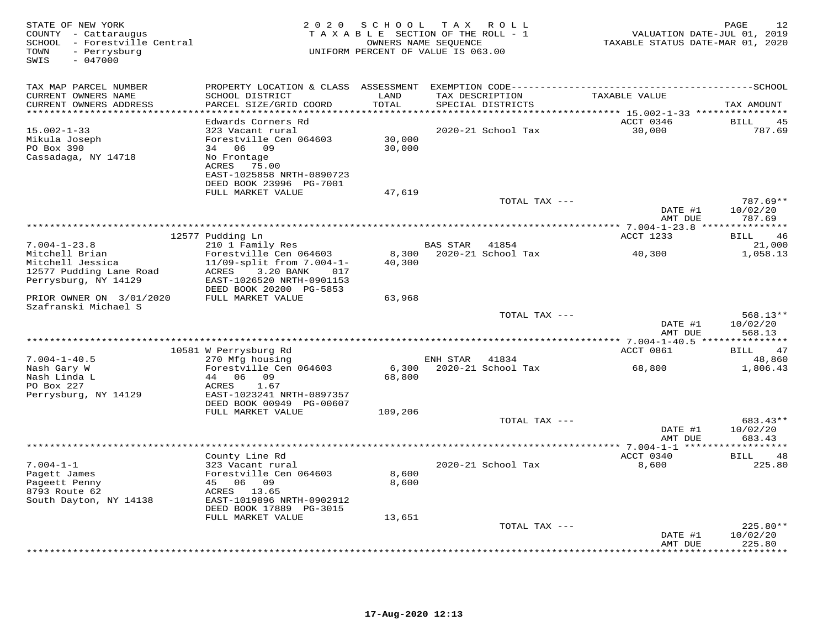| STATE OF NEW YORK<br>COUNTY - Cattaraugus<br>SCHOOL - Forestville Central<br>- Perrysburg<br>TOWN<br>$-047000$<br>SWIS | 2 0 2 0                                                                                                              | S C H O O L<br>TAXABLE SECTION OF THE ROLL - 1<br>OWNERS NAME SEQUENCE<br>UNIFORM PERCENT OF VALUE IS 063.00 |          | TAX ROLL                             | VALUATION DATE-JUL 01, 2019<br>TAXABLE STATUS DATE-MAR 01, 2020 | 12<br>PAGE                       |
|------------------------------------------------------------------------------------------------------------------------|----------------------------------------------------------------------------------------------------------------------|--------------------------------------------------------------------------------------------------------------|----------|--------------------------------------|-----------------------------------------------------------------|----------------------------------|
| TAX MAP PARCEL NUMBER                                                                                                  |                                                                                                                      |                                                                                                              |          |                                      |                                                                 |                                  |
| CURRENT OWNERS NAME<br>CURRENT OWNERS ADDRESS                                                                          | SCHOOL DISTRICT<br>PARCEL SIZE/GRID COORD                                                                            | LAND<br>TOTAL                                                                                                |          | TAX DESCRIPTION<br>SPECIAL DISTRICTS | TAXABLE VALUE                                                   | TAX AMOUNT                       |
| *****************                                                                                                      | *********************<br>Edwards Corners Rd                                                                          | ******                                                                                                       |          |                                      | ******* 15.002-1-33 *****************<br>ACCT 0346              | <b>BILL</b><br>4.5               |
| $15.002 - 1 - 33$<br>Mikula Joseph<br>PO Box 390<br>Cassadaga, NY 14718                                                | 323 Vacant rural<br>Forestville Cen 064603<br>34 06 09<br>No Frontage<br>75.00<br>ACRES<br>EAST-1025858 NRTH-0890723 | 30,000<br>30,000                                                                                             |          | 2020-21 School Tax                   | 30,000                                                          | 787.69                           |
|                                                                                                                        | DEED BOOK 23996 PG-7001                                                                                              |                                                                                                              |          |                                      |                                                                 |                                  |
|                                                                                                                        | FULL MARKET VALUE                                                                                                    | 47,619                                                                                                       |          |                                      |                                                                 |                                  |
|                                                                                                                        |                                                                                                                      |                                                                                                              |          | TOTAL TAX ---                        | DATE #1<br>AMT DUE                                              | 787.69**<br>10/02/20<br>787.69   |
|                                                                                                                        | **************************                                                                                           |                                                                                                              |          |                                      | ******** 7.004-1-23.8 **                                        | *********                        |
| $7.004 - 1 - 23.8$                                                                                                     | 12577 Pudding Ln<br>210 1 Family Res                                                                                 |                                                                                                              | BAS STAR | 41854                                | ACCT 1233                                                       | <b>BILL</b><br>46<br>21,000      |
| Mitchell Brian<br>Mitchell Jessica<br>12577 Pudding Lane Road<br>Perrysburg, NY 14129                                  | Forestville Cen 064603<br>11/09-split from 7.004-1-<br>3.20 BANK<br>ACRES<br>017<br>EAST-1026520 NRTH-0901153        | 8,300<br>40,300                                                                                              |          | 2020-21 School Tax                   | 40,300                                                          | 1,058.13                         |
| PRIOR OWNER ON 3/01/2020                                                                                               | DEED BOOK 20200 PG-5853<br>FULL MARKET VALUE                                                                         | 63,968                                                                                                       |          |                                      |                                                                 |                                  |
| Szafranski Michael S                                                                                                   |                                                                                                                      |                                                                                                              |          | TOTAL TAX ---                        |                                                                 | $568.13**$                       |
|                                                                                                                        |                                                                                                                      |                                                                                                              |          |                                      | DATE #1<br>AMT DUE                                              | 10/02/20<br>568.13               |
|                                                                                                                        |                                                                                                                      | *****************************                                                                                |          |                                      | ******* 7.004-1-40.5 **                                         | *********                        |
| $7.004 - 1 - 40.5$                                                                                                     | 10581 W Perrysburg Rd<br>270 Mfg housing                                                                             |                                                                                                              | ENH STAR | 41834                                | ACCT 0861                                                       | <b>BILL</b><br>47<br>48,860      |
| Nash Gary W<br>Nash Linda L<br>PO Box 227                                                                              | Forestville Cen 064603<br>44<br>06<br>09<br>1.67<br>ACRES                                                            | 6,300<br>68,800                                                                                              |          | 2020-21 School Tax                   | 68,800                                                          | 1,806.43                         |
| Perrysburg, NY 14129                                                                                                   | EAST-1023241 NRTH-0897357<br>DEED BOOK 00949 PG-00607                                                                |                                                                                                              |          |                                      |                                                                 |                                  |
|                                                                                                                        | FULL MARKET VALUE                                                                                                    | 109,206                                                                                                      |          | TOTAL TAX ---                        | DATE #1<br>AMT DUE                                              | $683.43**$<br>10/02/20<br>683.43 |
|                                                                                                                        |                                                                                                                      |                                                                                                              |          |                                      |                                                                 |                                  |
| $7.004 - 1 - 1$<br>Pagett James<br>Pageett Penny<br>8793 Route 62<br>South Dayton, NY 14138                            | County Line Rd<br>323 Vacant rural<br>Forestville Cen 064603<br>45 06 09<br>ACRES 13.65<br>EAST-1019896 NRTH-0902912 | 8,600<br>8,600                                                                                               |          | 2020-21 School Tax                   | ACCT 0340<br>8,600                                              | 48<br>BILL<br>225.80             |
|                                                                                                                        | DEED BOOK 17889 PG-3015<br>FULL MARKET VALUE                                                                         | 13,651                                                                                                       |          |                                      |                                                                 |                                  |
|                                                                                                                        |                                                                                                                      |                                                                                                              |          | TOTAL TAX ---                        | DATE #1<br>AMT DUE                                              | $225.80**$<br>10/02/20<br>225.80 |
|                                                                                                                        |                                                                                                                      |                                                                                                              |          |                                      |                                                                 | .                                |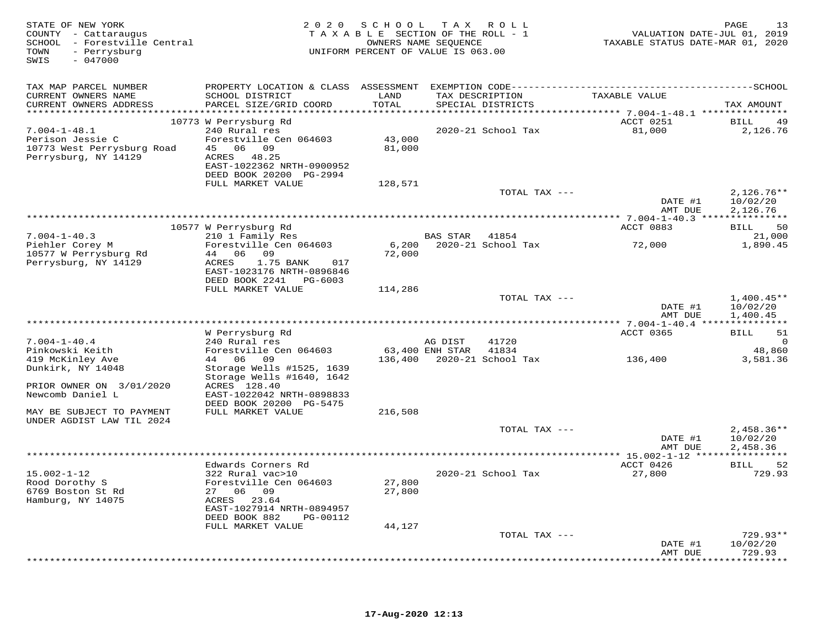| STATE OF NEW YORK<br>COUNTY - Cattaraugus<br>SCHOOL - Forestville Central<br>- Perrysburg<br>TOWN<br>$-047000$<br>SWIS | 2 0 2 0                                                                                         | SCHOOL<br>TAXABLE SECTION OF THE ROLL - 1<br>UNIFORM PERCENT OF VALUE IS 063.00 | OWNERS NAME SEOUENCE       | TAX ROLL                             | VALUATION DATE-JUL 01, 2019<br>TAXABLE STATUS DATE-MAR 01, 2020 | 13<br>PAGE                           |
|------------------------------------------------------------------------------------------------------------------------|-------------------------------------------------------------------------------------------------|---------------------------------------------------------------------------------|----------------------------|--------------------------------------|-----------------------------------------------------------------|--------------------------------------|
| TAX MAP PARCEL NUMBER<br>CURRENT OWNERS NAME<br>CURRENT OWNERS ADDRESS                                                 | SCHOOL DISTRICT<br>PARCEL SIZE/GRID COORD                                                       | LAND<br>TOTAL                                                                   |                            | TAX DESCRIPTION<br>SPECIAL DISTRICTS | TAXABLE VALUE                                                   | TAX AMOUNT                           |
|                                                                                                                        | 10773 W Perrysburg Rd                                                                           |                                                                                 |                            |                                      | ACCT 0251                                                       | 49<br>BILL                           |
| $7.004 - 1 - 48.1$<br>Perison Jessie C<br>10773 West Perrysburg Road<br>Perrysburg, NY 14129                           | 240 Rural res<br>Forestville Cen 064603<br>45 06 09<br>ACRES 48.25<br>EAST-1022362 NRTH-0900952 | 43,000<br>81,000                                                                |                            | 2020-21 School Tax                   | 81,000                                                          | 2,126.76                             |
|                                                                                                                        | DEED BOOK 20200 PG-2994                                                                         |                                                                                 |                            |                                      |                                                                 |                                      |
|                                                                                                                        | FULL MARKET VALUE                                                                               | 128,571                                                                         |                            | TOTAL TAX ---                        | DATE #1<br>AMT DUE                                              | $2,126.76**$<br>10/02/20<br>2,126.76 |
|                                                                                                                        |                                                                                                 |                                                                                 |                            |                                      |                                                                 |                                      |
|                                                                                                                        | 10577 W Perrysburg Rd                                                                           |                                                                                 |                            |                                      | ACCT 0883                                                       | 50<br>BILL                           |
| $7.004 - 1 - 40.3$<br>Piehler Corey M<br>10577 W Perrysburg Rd                                                         | 210 1 Family Res<br>Forestville Cen 064603<br>44 06 09                                          | 72,000                                                                          | BAS STAR                   | 41854<br>6,200 2020-21 School Tax    | 72,000                                                          | 21,000<br>1,890.45                   |
| Perrysburg, NY 14129                                                                                                   | ACRES<br>1.75 BANK<br>017<br>EAST-1023176 NRTH-0896846<br>DEED BOOK 2241 PG-6003                |                                                                                 |                            |                                      |                                                                 |                                      |
|                                                                                                                        | FULL MARKET VALUE                                                                               | 114,286                                                                         |                            |                                      |                                                                 |                                      |
|                                                                                                                        |                                                                                                 |                                                                                 |                            | TOTAL TAX ---                        | DATE #1<br>AMT DUE                                              | $1,400.45**$<br>10/02/20<br>1,400.45 |
|                                                                                                                        |                                                                                                 |                                                                                 |                            |                                      |                                                                 |                                      |
|                                                                                                                        | W Perrysburg Rd<br>240 Rural res                                                                |                                                                                 |                            |                                      | ACCT 0365                                                       | BILL<br>51                           |
| $7.004 - 1 - 40.4$<br>Pinkowski Keith                                                                                  | Forestville Cen 064603                                                                          |                                                                                 | AG DIST<br>63,400 ENH STAR | 41720<br>41834                       |                                                                 | $\Omega$<br>48,860                   |
| 419 McKinley Ave<br>Dunkirk, NY 14048                                                                                  | 44 06 09<br>Storage Wells #1525, 1639<br>Storage Wells #1640, 1642                              |                                                                                 |                            | 136,400 2020-21 School Tax           | 136,400                                                         | 3,581.36                             |
| PRIOR OWNER ON 3/01/2020<br>Newcomb Daniel L                                                                           | ACRES 128.40<br>EAST-1022042 NRTH-0898833<br>DEED BOOK 20200 PG-5475                            |                                                                                 |                            |                                      |                                                                 |                                      |
| MAY BE SUBJECT TO PAYMENT<br>UNDER AGDIST LAW TIL 2024                                                                 | FULL MARKET VALUE                                                                               | 216,508                                                                         |                            |                                      |                                                                 |                                      |
|                                                                                                                        |                                                                                                 |                                                                                 |                            | TOTAL TAX ---                        | DATE #1<br>AMT DUE                                              | $2,458.36**$<br>10/02/20<br>2,458.36 |
|                                                                                                                        | ***************                                                                                 |                                                                                 |                            |                                      |                                                                 |                                      |
| $15.002 - 1 - 12$<br>Rood Dorothy S<br>6769 Boston St Rd                                                               | Edwards Corners Rd<br>322 Rural vac>10<br>Forestville Cen 064603<br>27 06 09                    | 27,800<br>27,800                                                                |                            | 2020-21 School Tax                   | ACCT 0426<br>27,800                                             | 52<br><b>BILL</b><br>729.93          |
| Hamburg, NY 14075                                                                                                      | ACRES 23.64<br>EAST-1027914 NRTH-0894957<br>DEED BOOK 882<br>PG-00112                           |                                                                                 |                            |                                      |                                                                 |                                      |
|                                                                                                                        | FULL MARKET VALUE                                                                               | 44,127                                                                          |                            |                                      |                                                                 |                                      |
|                                                                                                                        |                                                                                                 |                                                                                 |                            | TOTAL TAX ---                        | DATE #1<br>AMT DUE                                              | $729.93**$<br>10/02/20<br>729.93     |
|                                                                                                                        |                                                                                                 |                                                                                 |                            |                                      | · * * * * * * * * * * * * *                                     | ********                             |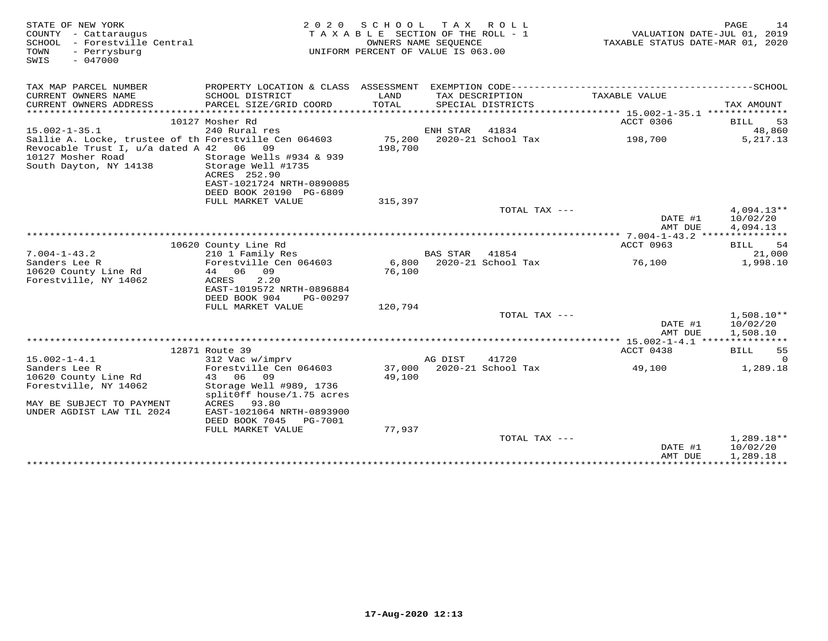| STATE OF NEW YORK<br>COUNTY - Cattaraugus<br>SCHOOL - Forestville Central<br>TOWN<br>- Perrysburg<br>$-047000$<br>SWIS | 2 0 2 0                                        | SCHOOL<br>TAXABLE SECTION OF THE ROLL - 1<br>OWNERS NAME SEQUENCE<br>UNIFORM PERCENT OF VALUE IS 063.00 | T A X           | R O L L                    | VALUATION DATE-JUL 01, 2019<br>TAXABLE STATUS DATE-MAR 01, 2020 | PAGE<br>14            |
|------------------------------------------------------------------------------------------------------------------------|------------------------------------------------|---------------------------------------------------------------------------------------------------------|-----------------|----------------------------|-----------------------------------------------------------------|-----------------------|
| TAX MAP PARCEL NUMBER                                                                                                  | PROPERTY LOCATION & CLASS ASSESSMENT           |                                                                                                         |                 | EXEMPTION CODE------------ | ----------------------------SCHOOL                              |                       |
| CURRENT OWNERS NAME<br>CURRENT OWNERS ADDRESS                                                                          | SCHOOL DISTRICT<br>PARCEL SIZE/GRID COORD      | LAND<br>TOTAL                                                                                           | TAX DESCRIPTION | SPECIAL DISTRICTS          | TAXABLE VALUE                                                   | TAX AMOUNT            |
|                                                                                                                        |                                                |                                                                                                         |                 |                            |                                                                 |                       |
|                                                                                                                        | 10127 Mosher Rd                                |                                                                                                         |                 |                            | ACCT 0306                                                       | 53<br>BILL            |
| $15.002 - 1 - 35.1$                                                                                                    | 240 Rural res                                  |                                                                                                         | ENH STAR        | 41834                      |                                                                 | 48,860                |
| Sallie A. Locke, trustee of th Forestville Cen 064603<br>Revocable Trust I, u/a dated A 42 06                          | 09                                             | 75,200<br>198,700                                                                                       |                 | 2020-21 School Tax         | 198,700                                                         | 5, 217. 13            |
| 10127 Mosher Road<br>South Dayton, NY 14138                                                                            | Storage Wells #934 & 939<br>Storage Well #1735 |                                                                                                         |                 |                            |                                                                 |                       |
|                                                                                                                        | ACRES 252.90<br>EAST-1021724 NRTH-0890085      |                                                                                                         |                 |                            |                                                                 |                       |
|                                                                                                                        | DEED BOOK 20190 PG-6809                        |                                                                                                         |                 |                            |                                                                 |                       |
|                                                                                                                        | FULL MARKET VALUE                              | 315,397                                                                                                 |                 |                            |                                                                 |                       |
|                                                                                                                        |                                                |                                                                                                         |                 | TOTAL TAX ---              |                                                                 | $4,094.13**$          |
|                                                                                                                        |                                                |                                                                                                         |                 |                            | DATE #1                                                         | 10/02/20              |
|                                                                                                                        |                                                |                                                                                                         |                 |                            | AMT DUE                                                         | 4,094.13              |
|                                                                                                                        |                                                |                                                                                                         |                 |                            | ** 7.004-1-43.2 ***                                             |                       |
| $7.004 - 1 - 43.2$                                                                                                     | 10620 County Line Rd<br>210 1 Family Res       |                                                                                                         | <b>BAS STAR</b> | 41854                      | ACCT 0963                                                       | -54<br>BILL<br>21,000 |
| Sanders Lee R                                                                                                          | Forestville Cen 064603                         | 6,800                                                                                                   |                 | 2020-21 School Tax         | 76,100                                                          | 1,998.10              |
| 10620 County Line Rd                                                                                                   | 44 06 09                                       | 76,100                                                                                                  |                 |                            |                                                                 |                       |
| Forestville, NY 14062                                                                                                  | 2.20<br>ACRES                                  |                                                                                                         |                 |                            |                                                                 |                       |
|                                                                                                                        | EAST-1019572 NRTH-0896884                      |                                                                                                         |                 |                            |                                                                 |                       |
|                                                                                                                        | DEED BOOK 904<br>PG-00297                      |                                                                                                         |                 |                            |                                                                 |                       |
|                                                                                                                        | FULL MARKET VALUE                              | 120,794                                                                                                 |                 |                            |                                                                 |                       |
|                                                                                                                        |                                                |                                                                                                         |                 | TOTAL TAX $---$            |                                                                 | $1,508.10**$          |
|                                                                                                                        |                                                |                                                                                                         |                 |                            | DATE #1<br>AMT DUE                                              | 10/02/20<br>1,508.10  |
|                                                                                                                        |                                                |                                                                                                         |                 |                            |                                                                 |                       |
|                                                                                                                        | 12871 Route 39                                 |                                                                                                         |                 |                            | ACCT 0438                                                       | <b>BILL</b><br>55     |
| $15.002 - 1 - 4.1$                                                                                                     | 312 Vac w/imprv                                |                                                                                                         | AG DIST         | 41720                      |                                                                 | $\Omega$              |
| Sanders Lee R                                                                                                          | Forestville Cen 064603                         | 37,000                                                                                                  |                 | 2020-21 School Tax         | 49,100                                                          | 1,289.18              |
| 10620 County Line Rd                                                                                                   | 43 06 09                                       | 49,100                                                                                                  |                 |                            |                                                                 |                       |
| Forestville, NY 14062                                                                                                  | Storage Well #989, 1736                        |                                                                                                         |                 |                            |                                                                 |                       |
| MAY BE SUBJECT TO PAYMENT                                                                                              | split0ff house/1.75 acres<br>ACRES<br>93.80    |                                                                                                         |                 |                            |                                                                 |                       |
| UNDER AGDIST LAW TIL 2024                                                                                              | EAST-1021064 NRTH-0893900                      |                                                                                                         |                 |                            |                                                                 |                       |
|                                                                                                                        | DEED BOOK 7045<br>PG-7001                      |                                                                                                         |                 |                            |                                                                 |                       |
|                                                                                                                        | FULL MARKET VALUE                              | 77,937                                                                                                  |                 |                            |                                                                 |                       |
|                                                                                                                        |                                                |                                                                                                         |                 | TOTAL TAX ---              |                                                                 | $1,289.18**$          |
|                                                                                                                        |                                                |                                                                                                         |                 |                            | DATE #1                                                         | 10/02/20              |
|                                                                                                                        |                                                |                                                                                                         |                 |                            | AMT DUE                                                         | 1,289.18              |
|                                                                                                                        |                                                |                                                                                                         |                 |                            | **************************                                      |                       |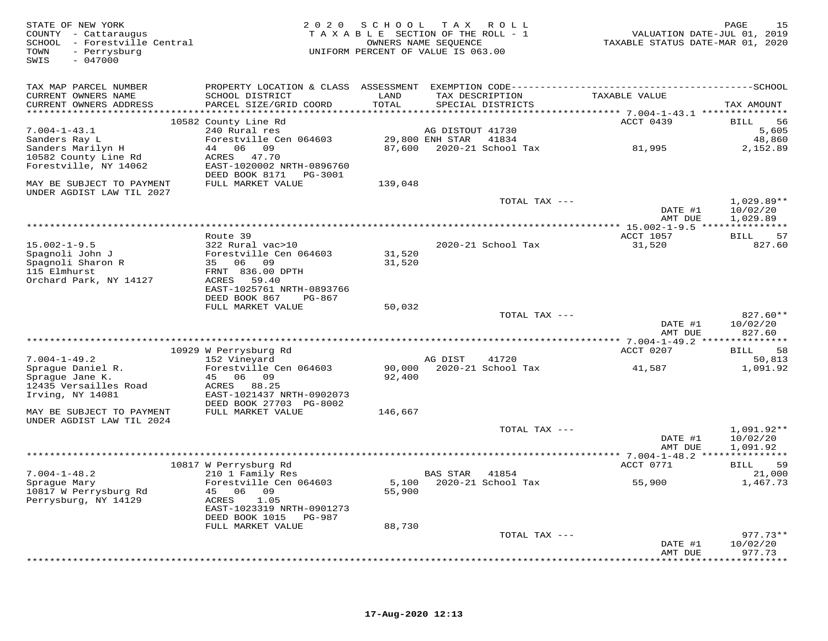| STATE OF NEW YORK<br>COUNTY - Cattaraugus<br>SCHOOL - Forestville Central<br>- Perrysburg<br>TOWN<br>$-047000$<br>SWIS | 2 0 2 0                                             | SCHOOL<br>TAXABLE SECTION OF THE ROLL - 1<br>OWNERS NAME SEOUENCE<br>UNIFORM PERCENT OF VALUE IS 063.00 |                       | TAX ROLL                  | VALUATION DATE-JUL 01, 2019<br>TAXABLE STATUS DATE-MAR 01, 2020 | PAGE<br>15           |
|------------------------------------------------------------------------------------------------------------------------|-----------------------------------------------------|---------------------------------------------------------------------------------------------------------|-----------------------|---------------------------|-----------------------------------------------------------------|----------------------|
| TAX MAP PARCEL NUMBER                                                                                                  |                                                     |                                                                                                         |                       |                           |                                                                 |                      |
| CURRENT OWNERS NAME                                                                                                    | SCHOOL DISTRICT                                     | LAND                                                                                                    |                       | TAX DESCRIPTION           | TAXABLE VALUE                                                   |                      |
| CURRENT OWNERS ADDRESS                                                                                                 | PARCEL SIZE/GRID COORD                              | TOTAL                                                                                                   |                       | SPECIAL DISTRICTS         | ********************** 7.004-1-43.1 ***************             | TAX AMOUNT           |
|                                                                                                                        | 10582 County Line Rd                                |                                                                                                         |                       |                           | ACCT 0439                                                       | 56<br>BILL           |
| $7.004 - 1 - 43.1$                                                                                                     | 240 Rural res                                       |                                                                                                         | AG DISTOUT 41730      |                           |                                                                 | 5,605                |
| Sanders Ray L                                                                                                          | Forestville Cen 064603                              |                                                                                                         | 29,800 ENH STAR 41834 |                           |                                                                 | 48,860               |
| Sanders Marilyn H                                                                                                      | 44 06 09                                            |                                                                                                         |                       | 87,600 2020-21 School Tax | 81,995                                                          | 2,152.89             |
| 10582 County Line Rd                                                                                                   | ACRES 47.70                                         |                                                                                                         |                       |                           |                                                                 |                      |
| Forestville, NY 14062                                                                                                  | EAST-1020002 NRTH-0896760<br>DEED BOOK 8171 PG-3001 |                                                                                                         |                       |                           |                                                                 |                      |
| MAY BE SUBJECT TO PAYMENT                                                                                              | FULL MARKET VALUE                                   | 139,048                                                                                                 |                       |                           |                                                                 |                      |
| UNDER AGDIST LAW TIL 2027                                                                                              |                                                     |                                                                                                         |                       |                           |                                                                 |                      |
|                                                                                                                        |                                                     |                                                                                                         |                       | TOTAL TAX ---             |                                                                 | $1,029.89**$         |
|                                                                                                                        |                                                     |                                                                                                         |                       |                           | DATE #1                                                         | 10/02/20             |
|                                                                                                                        |                                                     |                                                                                                         |                       |                           | AMT DUE                                                         | 1,029.89             |
|                                                                                                                        | Route 39                                            |                                                                                                         |                       |                           | ACCT 1057                                                       | 57<br><b>BILL</b>    |
| $15.002 - 1 - 9.5$                                                                                                     | 322 Rural vac>10                                    |                                                                                                         |                       | 2020-21 School Tax        | 31,520                                                          | 827.60               |
| Spagnoli John J                                                                                                        | Forestville Cen 064603                              | 31,520                                                                                                  |                       |                           |                                                                 |                      |
| Spagnoli Sharon R                                                                                                      | 35 06 09                                            | 31,520                                                                                                  |                       |                           |                                                                 |                      |
| 115 Elmhurst                                                                                                           | FRNT 836.00 DPTH                                    |                                                                                                         |                       |                           |                                                                 |                      |
| Orchard Park, NY 14127                                                                                                 | ACRES<br>59.40<br>EAST-1025761 NRTH-0893766         |                                                                                                         |                       |                           |                                                                 |                      |
|                                                                                                                        | DEED BOOK 867<br>PG-867                             |                                                                                                         |                       |                           |                                                                 |                      |
|                                                                                                                        | FULL MARKET VALUE                                   | 50,032                                                                                                  |                       |                           |                                                                 |                      |
|                                                                                                                        |                                                     |                                                                                                         |                       | TOTAL TAX ---             |                                                                 | $827.60**$           |
|                                                                                                                        |                                                     |                                                                                                         |                       |                           | DATE #1                                                         | 10/02/20             |
|                                                                                                                        |                                                     |                                                                                                         |                       |                           | AMT DUE                                                         | 827.60               |
|                                                                                                                        | 10929 W Perrysburg Rd                               |                                                                                                         |                       |                           | ACCT 0207                                                       | <b>BILL</b><br>58    |
| $7.004 - 1 - 49.2$                                                                                                     | 152 Vineyard                                        |                                                                                                         | AG DIST               | 41720                     |                                                                 | 50,813               |
| Sprague Daniel R.                                                                                                      | Forestville Cen 064603                              | 90,000                                                                                                  |                       | 2020-21 School Tax        | 41,587                                                          | 1,091.92             |
| Spraque Jane K.                                                                                                        | 45 06 09                                            | 92,400                                                                                                  |                       |                           |                                                                 |                      |
| 12435 Versailles Road<br>Irving, NY 14081                                                                              | ACRES 88.25<br>EAST-1021437 NRTH-0902073            |                                                                                                         |                       |                           |                                                                 |                      |
|                                                                                                                        | DEED BOOK 27703 PG-8002                             |                                                                                                         |                       |                           |                                                                 |                      |
| MAY BE SUBJECT TO PAYMENT                                                                                              | FULL MARKET VALUE                                   | 146,667                                                                                                 |                       |                           |                                                                 |                      |
| UNDER AGDIST LAW TIL 2024                                                                                              |                                                     |                                                                                                         |                       |                           |                                                                 |                      |
|                                                                                                                        |                                                     |                                                                                                         |                       | TOTAL TAX ---             |                                                                 | $1,091.92**$         |
|                                                                                                                        |                                                     |                                                                                                         |                       |                           | DATE #1<br>AMT DUE                                              | 10/02/20<br>1,091.92 |
|                                                                                                                        |                                                     |                                                                                                         |                       |                           |                                                                 |                      |
|                                                                                                                        | 10817 W Perrysburg Rd                               |                                                                                                         |                       |                           | ACCT 0771                                                       | 59<br>BILL           |
| $7.004 - 1 - 48.2$                                                                                                     | 210 1 Family Res                                    |                                                                                                         | BAS STAR 41854        |                           |                                                                 | 21,000               |
| Sprague Mary                                                                                                           | Forestville Cen 064603                              | 5,100                                                                                                   |                       | 2020-21 School Tax        | 55,900                                                          | 1,467.73             |
| 10817 W Perrysburg Rd<br>Perrysburg, NY 14129                                                                          | 45 06 09<br>ACRES<br>1.05                           | 55,900                                                                                                  |                       |                           |                                                                 |                      |
|                                                                                                                        | EAST-1023319 NRTH-0901273                           |                                                                                                         |                       |                           |                                                                 |                      |
|                                                                                                                        | DEED BOOK 1015 PG-987                               |                                                                                                         |                       |                           |                                                                 |                      |
|                                                                                                                        | FULL MARKET VALUE                                   | 88,730                                                                                                  |                       |                           |                                                                 |                      |
|                                                                                                                        |                                                     |                                                                                                         |                       | TOTAL TAX ---             |                                                                 | $977.73**$           |
|                                                                                                                        |                                                     |                                                                                                         |                       |                           | DATE #1                                                         | 10/02/20             |
|                                                                                                                        |                                                     |                                                                                                         |                       |                           | AMT DUE                                                         | 977.73               |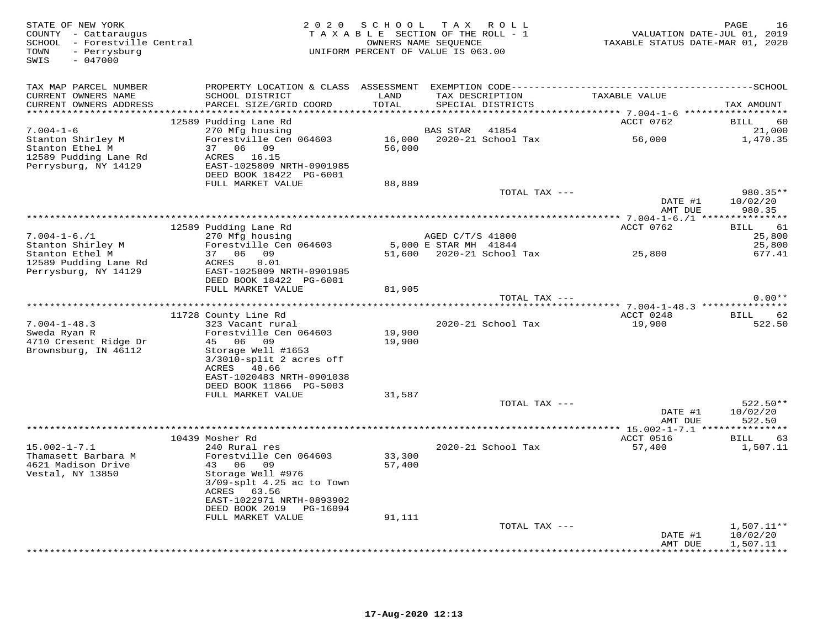| STATE OF NEW YORK<br>COUNTY - Cattaraugus<br>SCHOOL - Forestville Central<br>- Perrysburg<br>TOWN<br>SWIS<br>$-047000$ |                                                                                                                |                  | 2020 SCHOOL TAX ROLL<br>TAXABLE SECTION OF THE ROLL - 1<br>OWNERS NAME SEQUENCE<br>UNIFORM PERCENT OF VALUE IS 063.00 | VALUATION DATE-JUL 01, 2019<br>TAXABLE STATUS DATE-MAR 01, 2020 | PAGE<br>16                                      |
|------------------------------------------------------------------------------------------------------------------------|----------------------------------------------------------------------------------------------------------------|------------------|-----------------------------------------------------------------------------------------------------------------------|-----------------------------------------------------------------|-------------------------------------------------|
| TAX MAP PARCEL NUMBER                                                                                                  |                                                                                                                |                  |                                                                                                                       |                                                                 |                                                 |
| CURRENT OWNERS NAME<br>CURRENT OWNERS ADDRESS                                                                          | SCHOOL DISTRICT<br>PARCEL SIZE/GRID COORD                                                                      | LAND<br>TOTAL    | TAX DESCRIPTION<br>SPECIAL DISTRICTS                                                                                  | TAXABLE VALUE                                                   | TAX AMOUNT                                      |
|                                                                                                                        | 12589 Pudding Lane Rd                                                                                          |                  |                                                                                                                       | ACCT 0762                                                       | BILL<br>60                                      |
| $7.004 - 1 - 6$                                                                                                        | 270 Mfg housing                                                                                                |                  | 41854<br><b>BAS STAR</b>                                                                                              |                                                                 | 21,000                                          |
| Stanton Shirley M                                                                                                      | Forestville Cen 064603                                                                                         |                  | 16,000 2020-21 School Tax                                                                                             | 56,000                                                          | 1,470.35                                        |
| Stanton Ethel M<br>12589 Pudding Lane Rd<br>Perrysburg, NY 14129                                                       | 37 06 09<br>ACRES 16.15<br>EAST-1025809 NRTH-0901985                                                           | 56,000           |                                                                                                                       |                                                                 |                                                 |
|                                                                                                                        | DEED BOOK 18422 PG-6001                                                                                        |                  |                                                                                                                       |                                                                 |                                                 |
|                                                                                                                        | FULL MARKET VALUE                                                                                              | 88,889           | TOTAL TAX ---                                                                                                         |                                                                 | 980.35**                                        |
|                                                                                                                        |                                                                                                                |                  |                                                                                                                       | DATE #1<br>AMT DUE                                              | 10/02/20<br>980.35                              |
|                                                                                                                        |                                                                                                                |                  |                                                                                                                       |                                                                 |                                                 |
|                                                                                                                        | 12589 Pudding Lane Rd                                                                                          |                  |                                                                                                                       | ACCT 0762                                                       | 61<br>BILL                                      |
| $7.004 - 1 - 6.71$                                                                                                     | 270 Mfg housing                                                                                                |                  | AGED C/T/S 41800                                                                                                      |                                                                 | 25,800                                          |
| Stanton Shirley M                                                                                                      | Forestville Cen 064603<br>37 06 09                                                                             |                  | 5,000 E STAR MH 41844<br>51,600  2020-21  School Tax  25,800                                                          |                                                                 | 25,800                                          |
| Stanton Ethel M<br>12589 Pudding Lane Rd<br>Perrysburg, NY 14129                                                       | 0.01<br>ACRES<br>EAST-1025809 NRTH-0901985                                                                     |                  |                                                                                                                       |                                                                 | 677.41                                          |
|                                                                                                                        | DEED BOOK 18422 PG-6001<br>FULL MARKET VALUE                                                                   | 81,905           |                                                                                                                       |                                                                 |                                                 |
|                                                                                                                        |                                                                                                                |                  | TOTAL TAX ---                                                                                                         |                                                                 | $0.00**$                                        |
|                                                                                                                        |                                                                                                                |                  |                                                                                                                       | ******* 7.004-1-48.3 ***************                            |                                                 |
|                                                                                                                        | 11728 County Line Rd                                                                                           |                  |                                                                                                                       | ACCT 0248                                                       | 62<br>BILL                                      |
| $7.004 - 1 - 48.3$                                                                                                     | 323 Vacant rural                                                                                               |                  | 2020-21 School Tax                                                                                                    | 19,900                                                          | 522.50                                          |
| Sweda Ryan R<br>4710 Cresent Ridge Dr                                                                                  | Forestville Cen 064603<br>45 06 09                                                                             | 19,900<br>19,900 |                                                                                                                       |                                                                 |                                                 |
| Brownsburg, IN 46112                                                                                                   | Storage Well #1653                                                                                             |                  |                                                                                                                       |                                                                 |                                                 |
|                                                                                                                        | $3/3010$ -split 2 acres off                                                                                    |                  |                                                                                                                       |                                                                 |                                                 |
|                                                                                                                        | ACRES 48.66                                                                                                    |                  |                                                                                                                       |                                                                 |                                                 |
|                                                                                                                        | EAST-1020483 NRTH-0901038                                                                                      |                  |                                                                                                                       |                                                                 |                                                 |
|                                                                                                                        | DEED BOOK 11866 PG-5003<br>FULL MARKET VALUE                                                                   | 31,587           |                                                                                                                       |                                                                 |                                                 |
|                                                                                                                        |                                                                                                                |                  | TOTAL TAX ---                                                                                                         |                                                                 | $522.50**$                                      |
|                                                                                                                        |                                                                                                                |                  |                                                                                                                       | DATE #1<br>AMT DUE                                              | 10/02/20<br>522.50                              |
|                                                                                                                        |                                                                                                                |                  |                                                                                                                       |                                                                 |                                                 |
|                                                                                                                        | 10439 Mosher Rd                                                                                                |                  |                                                                                                                       | ACCT 0516                                                       | BILL<br>63                                      |
| $15.002 - 1 - 7.1$<br>Thamasett Barbara M                                                                              | 240 Rural res<br>Forestville Cen 064603                                                                        | 33,300           | 2020-21 School Tax                                                                                                    | 57,400                                                          | 1,507.11                                        |
| 4621 Madison Drive<br>Vestal, NY 13850                                                                                 | 43 06<br>09<br>Storage Well #976<br>$3/09$ -splt $4.25$ ac to Town<br>ACRES 63.56<br>EAST-1022971 NRTH-0893902 | 57,400           |                                                                                                                       |                                                                 |                                                 |
|                                                                                                                        | DEED BOOK 2019 PG-16094                                                                                        |                  |                                                                                                                       |                                                                 |                                                 |
|                                                                                                                        | FULL MARKET VALUE                                                                                              | 91,111           |                                                                                                                       |                                                                 |                                                 |
|                                                                                                                        |                                                                                                                |                  | TOTAL TAX ---                                                                                                         |                                                                 | $1,507.11**$                                    |
|                                                                                                                        |                                                                                                                |                  |                                                                                                                       | DATE #1<br>AMT DUE                                              | 10/02/20<br>1,507.11<br>* * * * * * * * * * * * |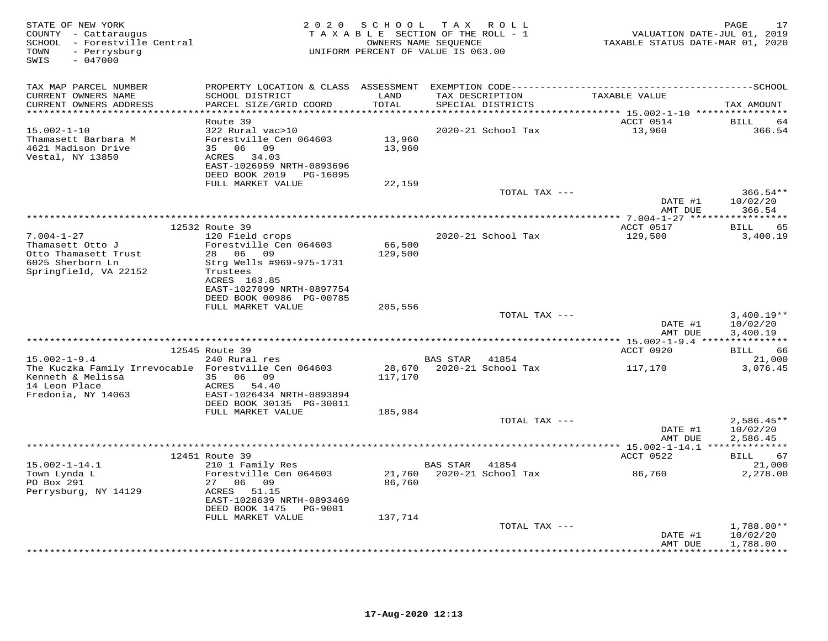| STATE OF NEW YORK<br>COUNTY - Cattaraugus<br>SCHOOL - Forestville Central<br>- Perrysburg<br>TOWN<br>$-047000$<br>SWIS | 2 0 2 0                                       | SCHOOL<br>TAXABLE SECTION OF THE ROLL - 1<br>OWNERS NAME SEQUENCE<br>UNIFORM PERCENT OF VALUE IS 063.00 | T A X          | R O L L                              | VALUATION DATE-JUL 01, 2019<br>TAXABLE STATUS DATE-MAR 01, 2020          | 17<br>PAGE                          |
|------------------------------------------------------------------------------------------------------------------------|-----------------------------------------------|---------------------------------------------------------------------------------------------------------|----------------|--------------------------------------|--------------------------------------------------------------------------|-------------------------------------|
| TAX MAP PARCEL NUMBER                                                                                                  |                                               |                                                                                                         |                |                                      |                                                                          |                                     |
| CURRENT OWNERS NAME<br>CURRENT OWNERS ADDRESS                                                                          | SCHOOL DISTRICT<br>PARCEL SIZE/GRID COORD     | LAND<br>TOTAL                                                                                           |                | TAX DESCRIPTION<br>SPECIAL DISTRICTS | TAXABLE VALUE                                                            | TAX AMOUNT                          |
| **********************                                                                                                 | Route 39                                      | **********                                                                                              |                |                                      | ***************************** 15.002-1-10 *****************<br>ACCT 0514 | <b>BILL</b><br>64                   |
| $15.002 - 1 - 10$                                                                                                      | 322 Rural vac>10                              |                                                                                                         |                | 2020-21 School Tax                   | 13,960                                                                   | 366.54                              |
| Thamasett Barbara M                                                                                                    | Forestville Cen 064603                        | 13,960                                                                                                  |                |                                      |                                                                          |                                     |
| 4621 Madison Drive                                                                                                     | 35 06 09                                      | 13,960                                                                                                  |                |                                      |                                                                          |                                     |
| Vestal, NY 13850                                                                                                       | ACRES 34.03                                   |                                                                                                         |                |                                      |                                                                          |                                     |
|                                                                                                                        | EAST-1026959 NRTH-0893696                     |                                                                                                         |                |                                      |                                                                          |                                     |
|                                                                                                                        | DEED BOOK 2019 PG-16095<br>FULL MARKET VALUE  | 22,159                                                                                                  |                |                                      |                                                                          |                                     |
|                                                                                                                        |                                               |                                                                                                         |                | TOTAL TAX ---                        |                                                                          | $366.54**$                          |
|                                                                                                                        |                                               |                                                                                                         |                |                                      | DATE #1                                                                  | 10/02/20                            |
|                                                                                                                        |                                               |                                                                                                         |                |                                      | AMT DUE                                                                  | 366.54                              |
|                                                                                                                        |                                               |                                                                                                         |                |                                      |                                                                          | **********                          |
|                                                                                                                        | 12532 Route 39                                |                                                                                                         |                |                                      | ACCT 0517                                                                | 65<br>BILL                          |
| $7.004 - 1 - 27$<br>Thamasett Otto J                                                                                   | 120 Field crops<br>Forestville Cen 064603     | 66,500                                                                                                  |                | 2020-21 School Tax                   | 129,500                                                                  | 3,400.19                            |
| Otto Thamasett Trust                                                                                                   | 28 06 09                                      | 129,500                                                                                                 |                |                                      |                                                                          |                                     |
| 6025 Sherborn Ln                                                                                                       | Strg Wells #969-975-1731                      |                                                                                                         |                |                                      |                                                                          |                                     |
| Springfield, VA 22152                                                                                                  | Trustees                                      |                                                                                                         |                |                                      |                                                                          |                                     |
|                                                                                                                        | ACRES 163.85                                  |                                                                                                         |                |                                      |                                                                          |                                     |
|                                                                                                                        | EAST-1027099 NRTH-0897754                     |                                                                                                         |                |                                      |                                                                          |                                     |
|                                                                                                                        | DEED BOOK 00986 PG-00785<br>FULL MARKET VALUE | 205,556                                                                                                 |                |                                      |                                                                          |                                     |
|                                                                                                                        |                                               |                                                                                                         |                | TOTAL TAX ---                        |                                                                          | $3,400.19**$                        |
|                                                                                                                        |                                               |                                                                                                         |                |                                      | DATE #1<br>AMT DUE                                                       | 10/02/20<br>3,400.19                |
|                                                                                                                        |                                               |                                                                                                         |                |                                      | **** 15.002-1-9.4 ***                                                    | * * * * * * * * * *                 |
|                                                                                                                        | 12545 Route 39                                |                                                                                                         |                |                                      | ACCT 0920                                                                | <b>BILL</b><br>66                   |
| $15.002 - 1 - 9.4$                                                                                                     | 240 Rural res                                 |                                                                                                         | BAS STAR       | 41854                                |                                                                          | 21,000                              |
| The Kuczka Family Irrevocable Forestville Cen 064603                                                                   |                                               | 28,670                                                                                                  |                | 2020-21 School Tax                   | 117,170                                                                  | 3,076.45                            |
| Kenneth & Melissa<br>14 Leon Place                                                                                     | 35<br>06<br>09<br>ACRES 54.40                 | 117,170                                                                                                 |                |                                      |                                                                          |                                     |
| Fredonia, NY 14063                                                                                                     | EAST-1026434 NRTH-0893894                     |                                                                                                         |                |                                      |                                                                          |                                     |
|                                                                                                                        | DEED BOOK 30135 PG-30011                      |                                                                                                         |                |                                      |                                                                          |                                     |
|                                                                                                                        | FULL MARKET VALUE                             | 185,984                                                                                                 |                |                                      |                                                                          |                                     |
|                                                                                                                        |                                               |                                                                                                         |                | TOTAL TAX ---                        |                                                                          | $2,586.45**$                        |
|                                                                                                                        |                                               |                                                                                                         |                |                                      | DATE #1                                                                  | 10/02/20                            |
|                                                                                                                        |                                               |                                                                                                         |                |                                      | AMT DUE                                                                  | 2,586.45                            |
|                                                                                                                        | 12451 Route 39                                |                                                                                                         |                |                                      | ACCT 0522                                                                | 67<br><b>BILL</b>                   |
| $15.002 - 1 - 14.1$                                                                                                    | 210 1 Family Res                              |                                                                                                         | BAS STAR 41854 |                                      |                                                                          | 21,000                              |
| Town Lynda L                                                                                                           | Forestville Cen 064603                        | 21,760                                                                                                  |                | 2020-21 School Tax                   | 86,760                                                                   | 2,278.00                            |
| PO Box 291                                                                                                             | 27 06 09                                      | 86,760                                                                                                  |                |                                      |                                                                          |                                     |
| Perrysburg, NY 14129                                                                                                   | ACRES 51.15<br>EAST-1028639 NRTH-0893469      |                                                                                                         |                |                                      |                                                                          |                                     |
|                                                                                                                        | DEED BOOK 1475<br>PG-9001                     |                                                                                                         |                |                                      |                                                                          |                                     |
|                                                                                                                        | FULL MARKET VALUE                             | 137,714                                                                                                 |                |                                      |                                                                          |                                     |
|                                                                                                                        |                                               |                                                                                                         |                | TOTAL TAX ---                        |                                                                          | 1,788.00**                          |
|                                                                                                                        |                                               |                                                                                                         |                |                                      | DATE #1                                                                  | 10/02/20                            |
|                                                                                                                        |                                               |                                                                                                         |                |                                      | AMT DUE                                                                  | 1,788.00<br>. + + + + + + + + + + . |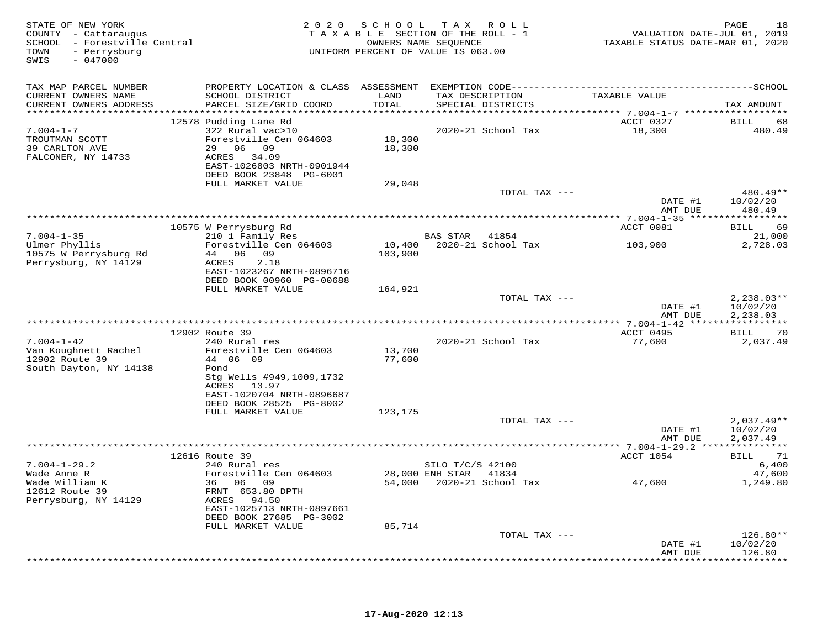| STATE OF NEW YORK<br>COUNTY - Cattaraugus<br>SCHOOL - Forestville Central<br>- Perrysburg<br>TOWN<br>$-047000$<br>SWIS |                                            |               | 2020 SCHOOL TAX ROLL<br>TAXABLE SECTION OF THE ROLL - 1<br>OWNERS NAME SEQUENCE<br>UNIFORM PERCENT OF VALUE IS 063.00 | VALUATION DATE-JUL 01, 2019<br>TAXABLE STATUS DATE-MAR 01, 2020 | 18<br>PAGE          |
|------------------------------------------------------------------------------------------------------------------------|--------------------------------------------|---------------|-----------------------------------------------------------------------------------------------------------------------|-----------------------------------------------------------------|---------------------|
| TAX MAP PARCEL NUMBER                                                                                                  |                                            |               |                                                                                                                       |                                                                 |                     |
| CURRENT OWNERS NAME<br>CURRENT OWNERS ADDRESS                                                                          | SCHOOL DISTRICT<br>PARCEL SIZE/GRID COORD  | LAND<br>TOTAL | TAX DESCRIPTION<br>SPECIAL DISTRICTS                                                                                  | TAXABLE VALUE                                                   | TAX AMOUNT          |
|                                                                                                                        |                                            |               |                                                                                                                       |                                                                 |                     |
|                                                                                                                        | 12578 Pudding Lane Rd                      |               |                                                                                                                       | ACCT 0327                                                       | <b>BILL</b><br>68   |
| $7.004 - 1 - 7$                                                                                                        | 322 Rural vac>10                           |               | 2020-21 School Tax                                                                                                    | 18,300                                                          | 480.49              |
| TROUTMAN SCOTT                                                                                                         | Forestville Cen 064603                     | 18,300        |                                                                                                                       |                                                                 |                     |
| 39 CARLTON AVE<br>FALCONER, NY 14733                                                                                   | 29 06 09<br>ACRES 34.09                    | 18,300        |                                                                                                                       |                                                                 |                     |
|                                                                                                                        | EAST-1026803 NRTH-0901944                  |               |                                                                                                                       |                                                                 |                     |
|                                                                                                                        | DEED BOOK 23848 PG-6001                    |               |                                                                                                                       |                                                                 |                     |
|                                                                                                                        | FULL MARKET VALUE                          | 29,048        |                                                                                                                       |                                                                 |                     |
|                                                                                                                        |                                            |               | TOTAL TAX ---                                                                                                         |                                                                 | 480.49**            |
|                                                                                                                        |                                            |               |                                                                                                                       | DATE #1                                                         | 10/02/20            |
|                                                                                                                        |                                            |               |                                                                                                                       | AMT DUE                                                         | 480.49              |
|                                                                                                                        | 10575 W Perrysburg Rd                      |               |                                                                                                                       | ACCT 0081                                                       | BILL 69             |
| $7.004 - 1 - 35$                                                                                                       | 210 1 Family Res                           |               | BAS STAR 41854                                                                                                        |                                                                 | 21,000              |
| Ulmer Phyllis                                                                                                          | Forestville Cen 064603                     | 10,400        | 2020-21 School Tax                                                                                                    | 103,900                                                         | 2,728.03            |
| 10575 W Perrysburg Rd                                                                                                  | 44 06 09                                   | 103,900       |                                                                                                                       |                                                                 |                     |
| Perrysburg, NY 14129                                                                                                   | ACRES<br>2.18<br>EAST-1023267 NRTH-0896716 |               |                                                                                                                       |                                                                 |                     |
|                                                                                                                        | DEED BOOK 00960 PG-00688                   |               |                                                                                                                       |                                                                 |                     |
|                                                                                                                        | FULL MARKET VALUE                          | 164,921       |                                                                                                                       |                                                                 |                     |
|                                                                                                                        |                                            |               | TOTAL TAX ---                                                                                                         |                                                                 | $2,238.03**$        |
|                                                                                                                        |                                            |               |                                                                                                                       | DATE #1                                                         | 10/02/20            |
|                                                                                                                        |                                            |               |                                                                                                                       | AMT DUE                                                         | 2,238.03            |
|                                                                                                                        | 12902 Route 39                             |               |                                                                                                                       | ACCT 0495                                                       | BILL<br>70          |
| $7.004 - 1 - 42$                                                                                                       | 240 Rural res                              |               | 2020-21 School Tax                                                                                                    | 77,600                                                          | 2,037.49            |
| Van Koughnett Rachel                                                                                                   | Forestville Cen 064603                     | 13,700        |                                                                                                                       |                                                                 |                     |
| 12902 Route 39                                                                                                         | 44 06 09                                   | 77,600        |                                                                                                                       |                                                                 |                     |
| South Dayton, NY 14138                                                                                                 | Pond                                       |               |                                                                                                                       |                                                                 |                     |
|                                                                                                                        | Stg Wells #949,1009,1732                   |               |                                                                                                                       |                                                                 |                     |
|                                                                                                                        | ACRES 13.97<br>EAST-1020704 NRTH-0896687   |               |                                                                                                                       |                                                                 |                     |
|                                                                                                                        | DEED BOOK 28525 PG-8002                    |               |                                                                                                                       |                                                                 |                     |
|                                                                                                                        | FULL MARKET VALUE                          | 123,175       |                                                                                                                       |                                                                 |                     |
|                                                                                                                        |                                            |               | TOTAL TAX ---                                                                                                         |                                                                 | $2,037.49**$        |
|                                                                                                                        |                                            |               |                                                                                                                       | DATE #1                                                         | 10/02/20            |
|                                                                                                                        |                                            |               |                                                                                                                       | AMT DUE                                                         | 2,037.49            |
|                                                                                                                        | 12616 Route 39                             |               |                                                                                                                       | ACCT 1054                                                       | 71<br>BILL          |
| $7.004 - 1 - 29.2$                                                                                                     | 240 Rural res                              |               | SILO T/C/S 42100                                                                                                      |                                                                 | 6,400               |
| Wade Anne R                                                                                                            | Forestville Cen 064603                     |               | 28,000 ENH STAR 41834                                                                                                 |                                                                 | 47,600              |
| Wade William K                                                                                                         | 36 06 09                                   |               | 54,000 2020-21 School Tax                                                                                             | 47,600                                                          | 1,249.80            |
| 12612 Route 39                                                                                                         | FRNT 653.80 DPTH                           |               |                                                                                                                       |                                                                 |                     |
| Perrysburg, NY 14129                                                                                                   | ACRES 94.50<br>EAST-1025713 NRTH-0897661   |               |                                                                                                                       |                                                                 |                     |
|                                                                                                                        | DEED BOOK 27685 PG-3002                    |               |                                                                                                                       |                                                                 |                     |
|                                                                                                                        | FULL MARKET VALUE                          | 85,714        |                                                                                                                       |                                                                 |                     |
|                                                                                                                        |                                            |               | TOTAL TAX ---                                                                                                         |                                                                 | $126.80**$          |
|                                                                                                                        |                                            |               |                                                                                                                       | DATE #1                                                         | 10/02/20            |
|                                                                                                                        |                                            |               |                                                                                                                       | AMT DUE                                                         | 126.80<br>********* |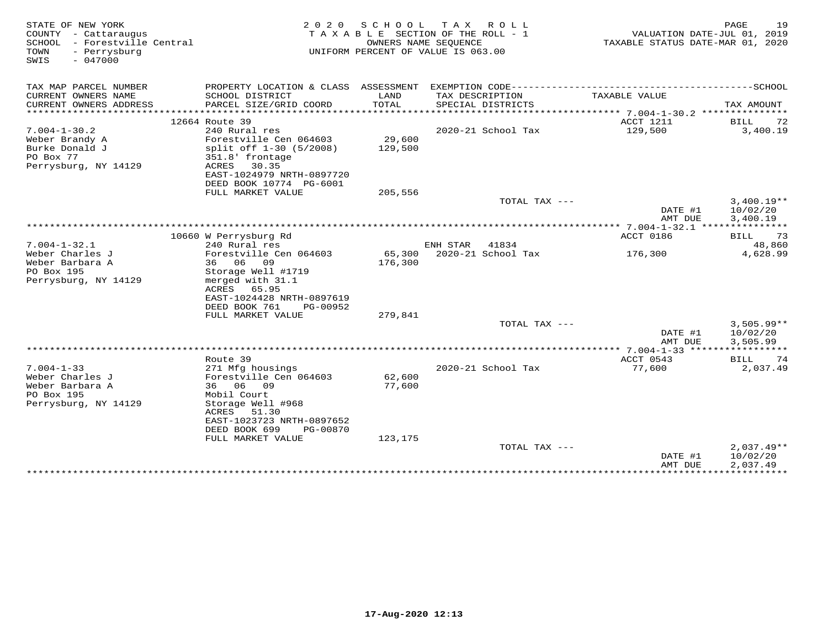| STATE OF NEW YORK<br>COUNTY - Cattaraugus<br>SCHOOL - Forestville Central<br>TOWN<br>- Perrysburg<br>$-047000$<br>SWIS | 2 0 2 0                                    | SCHOOL               | T A X<br>R O L L<br>TAXABLE SECTION OF THE ROLL - 1<br>OWNERS NAME SEOUENCE<br>UNIFORM PERCENT OF VALUE IS 063.00 | VALUATION DATE-JUL 01, 2019<br>TAXABLE STATUS DATE-MAR 01, 2020 | PAGE<br>19   |
|------------------------------------------------------------------------------------------------------------------------|--------------------------------------------|----------------------|-------------------------------------------------------------------------------------------------------------------|-----------------------------------------------------------------|--------------|
| TAX MAP PARCEL NUMBER                                                                                                  |                                            |                      |                                                                                                                   |                                                                 |              |
| CURRENT OWNERS NAME<br>CURRENT OWNERS ADDRESS                                                                          | SCHOOL DISTRICT<br>PARCEL SIZE/GRID COORD  | LAND<br><b>TOTAL</b> | TAX DESCRIPTION<br>SPECIAL DISTRICTS                                                                              | TAXABLE VALUE                                                   | TAX AMOUNT   |
| **********************                                                                                                 | ********************************           |                      |                                                                                                                   |                                                                 |              |
|                                                                                                                        | 12664 Route 39                             |                      |                                                                                                                   | ACCT 1211                                                       | BILL<br>72   |
| $7.004 - 1 - 30.2$                                                                                                     | 240 Rural res                              |                      | 2020-21 School Tax                                                                                                | 129,500                                                         | 3,400.19     |
| Weber Brandy A<br>Burke Donald J                                                                                       | Forestville Cen 064603                     | 29,600               |                                                                                                                   |                                                                 |              |
| PO Box 77                                                                                                              | split off 1-30 (5/2008)                    | 129,500              |                                                                                                                   |                                                                 |              |
| Perrysburg, NY 14129                                                                                                   | 351.8' frontage<br>ACRES<br>30.35          |                      |                                                                                                                   |                                                                 |              |
|                                                                                                                        | EAST-1024979 NRTH-0897720                  |                      |                                                                                                                   |                                                                 |              |
|                                                                                                                        | DEED BOOK 10774 PG-6001                    |                      |                                                                                                                   |                                                                 |              |
|                                                                                                                        | FULL MARKET VALUE                          | 205,556              |                                                                                                                   |                                                                 |              |
|                                                                                                                        |                                            |                      | TOTAL TAX ---                                                                                                     |                                                                 | $3,400.19**$ |
|                                                                                                                        |                                            |                      |                                                                                                                   | DATE #1                                                         | 10/02/20     |
|                                                                                                                        |                                            |                      |                                                                                                                   | AMT DUE                                                         | 3,400.19     |
|                                                                                                                        |                                            |                      |                                                                                                                   | ********** 7.004-1-32.1 ***************                         |              |
|                                                                                                                        | 10660 W Perrysburg Rd                      |                      |                                                                                                                   | ACCT 0186                                                       | BILL 73      |
| $7.004 - 1 - 32.1$                                                                                                     | 240 Rural res                              |                      | ENH STAR<br>41834                                                                                                 |                                                                 | 48,860       |
| Weber Charles J                                                                                                        | Forestville Cen 064603                     | 65,300               | 2020-21 School Tax                                                                                                | 176,300                                                         | 4,628.99     |
| Weber Barbara A                                                                                                        | 36 06 09                                   | 176,300              |                                                                                                                   |                                                                 |              |
| PO Box 195                                                                                                             | Storage Well #1719                         |                      |                                                                                                                   |                                                                 |              |
| Perrysburg, NY 14129                                                                                                   | merged with 31.1                           |                      |                                                                                                                   |                                                                 |              |
|                                                                                                                        | ACRES<br>65.95                             |                      |                                                                                                                   |                                                                 |              |
|                                                                                                                        | EAST-1024428 NRTH-0897619                  |                      |                                                                                                                   |                                                                 |              |
|                                                                                                                        | DEED BOOK 761<br>PG-00952                  |                      |                                                                                                                   |                                                                 |              |
|                                                                                                                        | FULL MARKET VALUE                          | 279,841              |                                                                                                                   |                                                                 |              |
|                                                                                                                        |                                            |                      | TOTAL TAX ---                                                                                                     |                                                                 | $3.505.99**$ |
|                                                                                                                        |                                            |                      |                                                                                                                   | DATE #1                                                         | 10/02/20     |
|                                                                                                                        |                                            |                      |                                                                                                                   | AMT DUE                                                         | 3,505.99     |
|                                                                                                                        |                                            |                      |                                                                                                                   |                                                                 |              |
| $7.004 - 1 - 33$                                                                                                       | Route 39                                   |                      |                                                                                                                   | ACCT 0543                                                       | 74<br>BILL   |
| Weber Charles J                                                                                                        | 271 Mfg housings<br>Forestville Cen 064603 | 62,600               | 2020-21 School Tax                                                                                                | 77,600                                                          | 2,037.49     |
| Weber Barbara A                                                                                                        | 36 06 09                                   | 77,600               |                                                                                                                   |                                                                 |              |
| PO Box 195                                                                                                             | Mobil Court                                |                      |                                                                                                                   |                                                                 |              |
| Perrysburg, NY 14129                                                                                                   | Storage Well #968                          |                      |                                                                                                                   |                                                                 |              |
|                                                                                                                        | ACRES<br>51.30                             |                      |                                                                                                                   |                                                                 |              |
|                                                                                                                        | EAST-1023723 NRTH-0897652                  |                      |                                                                                                                   |                                                                 |              |
|                                                                                                                        | DEED BOOK 699<br>PG-00870                  |                      |                                                                                                                   |                                                                 |              |
|                                                                                                                        | FULL MARKET VALUE                          | 123,175              |                                                                                                                   |                                                                 |              |
|                                                                                                                        |                                            |                      | TOTAL TAX ---                                                                                                     |                                                                 | $2,037.49**$ |
|                                                                                                                        |                                            |                      |                                                                                                                   | DATE #1                                                         | 10/02/20     |
|                                                                                                                        |                                            |                      |                                                                                                                   | AMT DUE                                                         | 2,037.49     |
|                                                                                                                        |                                            |                      |                                                                                                                   |                                                                 |              |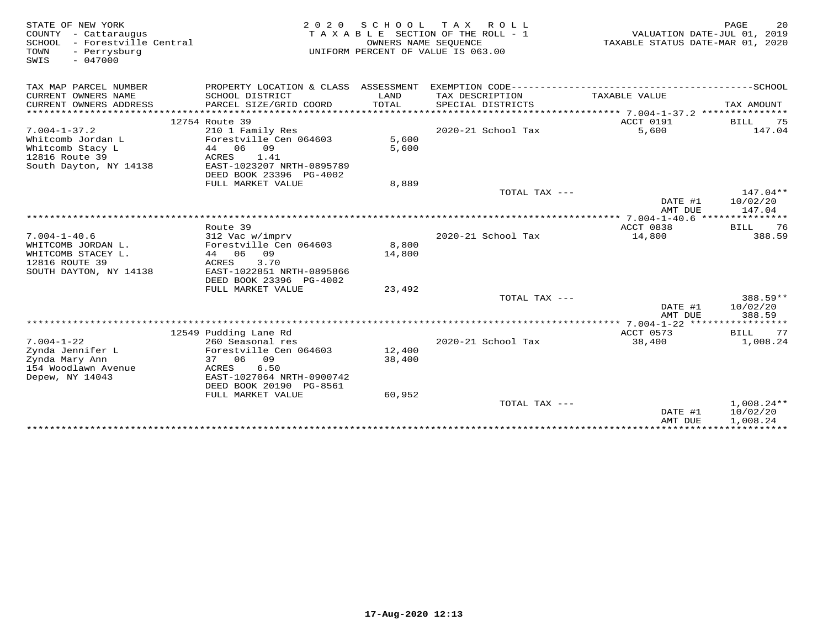|                                                      |                                                                                                                                                                                                                                                                                                                                                                              | SCHOOL TAX ROLL                                                                                                  |                                                                                                                                                                                                    | PAGE                                                                                              | 20                                                                                                                                                                                                                                                   |
|------------------------------------------------------|------------------------------------------------------------------------------------------------------------------------------------------------------------------------------------------------------------------------------------------------------------------------------------------------------------------------------------------------------------------------------|------------------------------------------------------------------------------------------------------------------|----------------------------------------------------------------------------------------------------------------------------------------------------------------------------------------------------|---------------------------------------------------------------------------------------------------|------------------------------------------------------------------------------------------------------------------------------------------------------------------------------------------------------------------------------------------------------|
|                                                      |                                                                                                                                                                                                                                                                                                                                                                              |                                                                                                                  |                                                                                                                                                                                                    |                                                                                                   |                                                                                                                                                                                                                                                      |
| PARCEL SIZE/GRID COORD                               | TOTAL                                                                                                                                                                                                                                                                                                                                                                        | SPECIAL DISTRICTS                                                                                                |                                                                                                                                                                                                    | TAX AMOUNT                                                                                        |                                                                                                                                                                                                                                                      |
|                                                      |                                                                                                                                                                                                                                                                                                                                                                              |                                                                                                                  |                                                                                                                                                                                                    |                                                                                                   | 75                                                                                                                                                                                                                                                   |
|                                                      |                                                                                                                                                                                                                                                                                                                                                                              |                                                                                                                  |                                                                                                                                                                                                    |                                                                                                   |                                                                                                                                                                                                                                                      |
| Forestville Cen 064603<br>44 06<br>09                | 5,600<br>5,600                                                                                                                                                                                                                                                                                                                                                               |                                                                                                                  |                                                                                                                                                                                                    |                                                                                                   |                                                                                                                                                                                                                                                      |
| EAST-1023207 NRTH-0895789<br>DEED BOOK 23396 PG-4002 |                                                                                                                                                                                                                                                                                                                                                                              |                                                                                                                  |                                                                                                                                                                                                    |                                                                                                   |                                                                                                                                                                                                                                                      |
|                                                      |                                                                                                                                                                                                                                                                                                                                                                              |                                                                                                                  |                                                                                                                                                                                                    |                                                                                                   |                                                                                                                                                                                                                                                      |
|                                                      |                                                                                                                                                                                                                                                                                                                                                                              |                                                                                                                  |                                                                                                                                                                                                    | 10/02/20                                                                                          |                                                                                                                                                                                                                                                      |
|                                                      |                                                                                                                                                                                                                                                                                                                                                                              |                                                                                                                  |                                                                                                                                                                                                    |                                                                                                   |                                                                                                                                                                                                                                                      |
| Route 39                                             |                                                                                                                                                                                                                                                                                                                                                                              |                                                                                                                  | ACCT 0838                                                                                                                                                                                          | BILL                                                                                              | 76                                                                                                                                                                                                                                                   |
| 312 Vac w/imprv                                      |                                                                                                                                                                                                                                                                                                                                                                              | 2020-21 School Tax                                                                                               | 14,800                                                                                                                                                                                             |                                                                                                   |                                                                                                                                                                                                                                                      |
|                                                      |                                                                                                                                                                                                                                                                                                                                                                              |                                                                                                                  |                                                                                                                                                                                                    |                                                                                                   |                                                                                                                                                                                                                                                      |
|                                                      |                                                                                                                                                                                                                                                                                                                                                                              |                                                                                                                  |                                                                                                                                                                                                    |                                                                                                   |                                                                                                                                                                                                                                                      |
|                                                      |                                                                                                                                                                                                                                                                                                                                                                              |                                                                                                                  |                                                                                                                                                                                                    |                                                                                                   |                                                                                                                                                                                                                                                      |
|                                                      |                                                                                                                                                                                                                                                                                                                                                                              |                                                                                                                  |                                                                                                                                                                                                    |                                                                                                   |                                                                                                                                                                                                                                                      |
|                                                      |                                                                                                                                                                                                                                                                                                                                                                              |                                                                                                                  |                                                                                                                                                                                                    |                                                                                                   |                                                                                                                                                                                                                                                      |
|                                                      |                                                                                                                                                                                                                                                                                                                                                                              | TOTAL TAX ---                                                                                                    |                                                                                                                                                                                                    | 388.59**                                                                                          |                                                                                                                                                                                                                                                      |
|                                                      |                                                                                                                                                                                                                                                                                                                                                                              |                                                                                                                  |                                                                                                                                                                                                    | 10/02/20                                                                                          |                                                                                                                                                                                                                                                      |
|                                                      |                                                                                                                                                                                                                                                                                                                                                                              |                                                                                                                  |                                                                                                                                                                                                    | 388.59                                                                                            |                                                                                                                                                                                                                                                      |
|                                                      |                                                                                                                                                                                                                                                                                                                                                                              |                                                                                                                  |                                                                                                                                                                                                    |                                                                                                   |                                                                                                                                                                                                                                                      |
|                                                      |                                                                                                                                                                                                                                                                                                                                                                              |                                                                                                                  |                                                                                                                                                                                                    |                                                                                                   | 77                                                                                                                                                                                                                                                   |
|                                                      |                                                                                                                                                                                                                                                                                                                                                                              |                                                                                                                  |                                                                                                                                                                                                    |                                                                                                   |                                                                                                                                                                                                                                                      |
|                                                      |                                                                                                                                                                                                                                                                                                                                                                              |                                                                                                                  |                                                                                                                                                                                                    |                                                                                                   |                                                                                                                                                                                                                                                      |
| ACRES<br>6.50<br>EAST-1027064 NRTH-0900742           |                                                                                                                                                                                                                                                                                                                                                                              |                                                                                                                  |                                                                                                                                                                                                    |                                                                                                   |                                                                                                                                                                                                                                                      |
|                                                      |                                                                                                                                                                                                                                                                                                                                                                              |                                                                                                                  |                                                                                                                                                                                                    |                                                                                                   |                                                                                                                                                                                                                                                      |
|                                                      |                                                                                                                                                                                                                                                                                                                                                                              |                                                                                                                  |                                                                                                                                                                                                    |                                                                                                   |                                                                                                                                                                                                                                                      |
|                                                      |                                                                                                                                                                                                                                                                                                                                                                              |                                                                                                                  |                                                                                                                                                                                                    | 10/02/20<br>1,008.24                                                                              |                                                                                                                                                                                                                                                      |
|                                                      | SCHOOL DISTRICT<br>12754 Route 39<br>210 1 Family Res<br><b>ACRES</b><br>1.41<br>FULL MARKET VALUE<br>Forestville Cen 064603<br>44 06<br>09<br>3.70<br>ACRES<br>EAST-1022851 NRTH-0895866<br>DEED BOOK 23396 PG-4002<br>FULL MARKET VALUE<br>12549 Pudding Lane Rd<br>260 Seasonal res<br>Forestville Cen 064603<br>37 06 09<br>DEED BOOK 20190 PG-8561<br>FULL MARKET VALUE | PROPERTY LOCATION & CLASS ASSESSMENT<br>LAND<br>8,889<br>8,800<br>14,800<br>23,492<br>12,400<br>38,400<br>60,952 | TAXABLE SECTION OF THE ROLL - 1<br>OWNERS NAME SEQUENCE<br>UNIFORM PERCENT OF VALUE IS 063.00<br>TAX DESCRIPTION<br>2020-21 School Tax<br>TOTAL TAX ---<br>$2020 - 21$ School Tax<br>TOTAL TAX --- | EXEMPTION CODE---------------------<br>TAXABLE VALUE<br>ACCT 0191<br>5,600<br>ACCT 0573<br>38,400 | VALUATION DATE-JUL 01, 2019<br>TAXABLE STATUS DATE-MAR 01, 2020<br>----------------SCHOOL<br>BILL.<br>147.04<br>$147.04**$<br>DATE #1<br>147.04<br>AMT DUE<br>388.59<br>DATE #1<br>AMT DUE<br>BILL<br>1,008.24<br>$1,008.24**$<br>DATE #1<br>AMT DUE |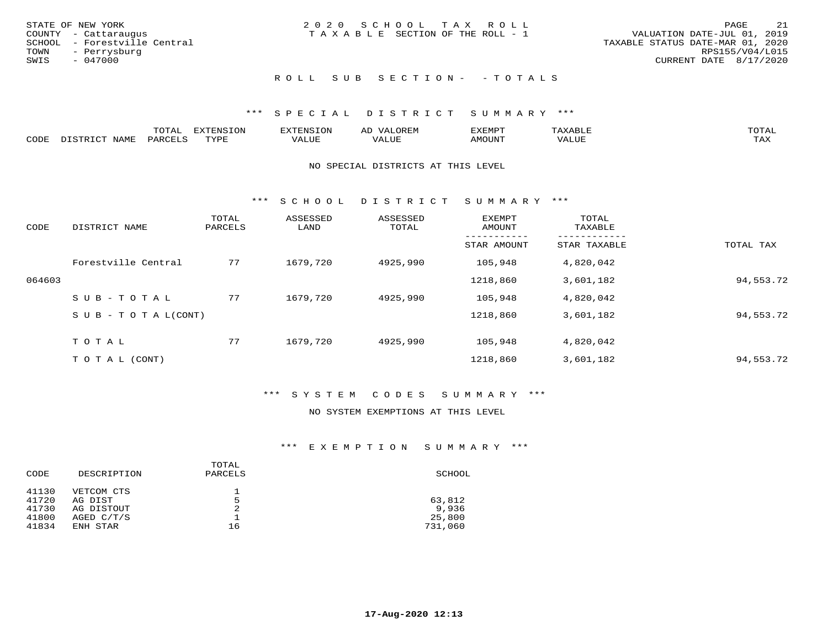|      | STATE OF NEW YORK            | 2020 SCHOOL TAX ROLL            |  |                                  |                        | PAGE | 21 |
|------|------------------------------|---------------------------------|--|----------------------------------|------------------------|------|----|
|      | COUNTY - Cattaraugus         | TAXABLE SECTION OF THE ROLL - 1 |  | VALUATION DATE-JUL 01, 2019      |                        |      |    |
|      | SCHOOL - Forestville Central |                                 |  | TAXABLE STATUS DATE-MAR 01, 2020 |                        |      |    |
|      | TOWN - Perrysburg            |                                 |  |                                  | RPS155/V04/L015        |      |    |
| SWIS | - 047000                     |                                 |  |                                  | CURRENT DATE 8/17/2020 |      |    |
|      |                              |                                 |  |                                  |                        |      |    |

# ROLL SUB SECTION - - TOTALS

### \*\*\* S P E C I A L D I S T R I C T S U M M A R Y \*\*\*

|      |                      | ----           | <b>FYTFNSION</b><br>- 75 | <b>FNC</b>     | ᅺᅜᄓ                      | SXEMPT | $\Delta$<br>.                  | $m \wedge m \wedge n$ |
|------|----------------------|----------------|--------------------------|----------------|--------------------------|--------|--------------------------------|-----------------------|
| CODE | <b>NTAMT</b><br>⊥∙⊥⊥ | D.ODT.<br>PARL | $m \tau \tau m$<br>.     | T T T<br>ALUF: | , <del>,</del> , , , , , | MOUN.  | , 77 T TT <del>D</del><br>ALUE | TAX                   |

#### NO SPECIAL DISTRICTS AT THIS LEVEL

\*\*\* S C H O O L D I S T R I C T S U M M A R Y \*\*\*

| CODE   | DISTRICT NAME                    | TOTAL<br>PARCELS | ASSESSED<br>LAND | ASSESSED<br>TOTAL | <b>EXEMPT</b><br>AMOUNT | TOTAL<br>TAXABLE |           |
|--------|----------------------------------|------------------|------------------|-------------------|-------------------------|------------------|-----------|
|        |                                  |                  |                  |                   | STAR AMOUNT             | STAR TAXABLE     | TOTAL TAX |
|        | Forestville Central              | 77               | 1679,720         | 4925,990          | 105,948                 | 4,820,042        |           |
| 064603 |                                  |                  |                  |                   | 1218,860                | 3,601,182        | 94,553.72 |
|        | SUB-TOTAL                        | 77               | 1679,720         | 4925,990          | 105,948                 | 4,820,042        |           |
|        | $S \cup B - T \cup T A L (CONT)$ |                  |                  |                   | 1218,860                | 3,601,182        | 94,553.72 |
|        | TOTAL                            | 77               | 1679,720         | 4925,990          | 105,948                 | 4,820,042        |           |
|        | T O T A L (CONT)                 |                  |                  |                   | 1218,860                | 3,601,182        | 94,553.72 |

### \*\*\* S Y S T E M C O D E S S U M M A R Y \*\*\*

#### NO SYSTEM EXEMPTIONS AT THIS LEVEL

| CODE  | DESCRIPTION | TOTAL<br>PARCELS | SCHOOL  |
|-------|-------------|------------------|---------|
| 41130 | VETCOM CTS  |                  |         |
| 41720 | AG DIST     | 5                | 63,812  |
| 41730 | AG DISTOUT  | 2                | 9,936   |
| 41800 | AGED C/T/S  |                  | 25,800  |
| 41834 | ENH STAR    | 16               | 731,060 |
|       |             |                  |         |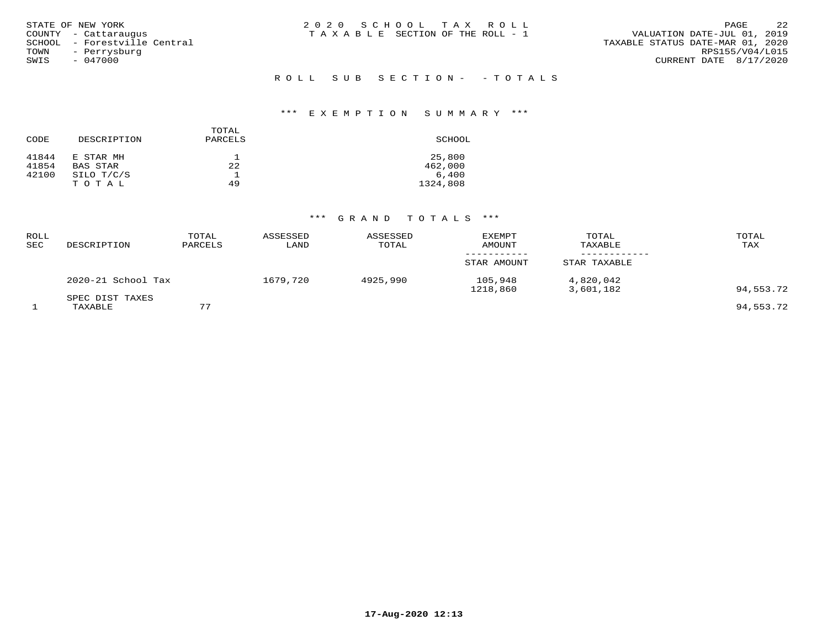| SWIS | STATE OF NEW YORK<br>COUNTY - Cattaraugus<br>SCHOOL - Forestville Central<br>TOWN - Perrysburg<br>- 047000 | 2020 SCHOOL TAX ROLL<br>T A X A B L E SECTION OF THE ROLL - 1<br>TAXABLE STATUS DATE-MAR 01, 2020 | PAGE<br>VALUATION DATE-JUL 01, 2019<br>RPS155/V04/L015<br>CURRENT DATE 8/17/2020 | 22 |
|------|------------------------------------------------------------------------------------------------------------|---------------------------------------------------------------------------------------------------|----------------------------------------------------------------------------------|----|
|      |                                                                                                            | ROLL SUB SECTION- -TOTALS                                                                         |                                                                                  |    |

# \*\*\* E X E M P T I O N S U M M A R Y \*\*\*

|       |             | TOTAL   |          |
|-------|-------------|---------|----------|
| CODE  | DESCRIPTION | PARCELS | SCHOOL   |
| 41844 | E STAR MH   |         | 25,800   |
| 41854 | BAS STAR    | 22      | 462,000  |
| 42100 | SILO T/C/S  |         | 6.400    |
|       | TOTAL       | 49      | 1324,808 |

| <b>ROLL</b><br>SEC | DESCRIPTION                | TOTAL<br>PARCELS | ASSESSED<br>LAND | ASSESSED<br>TOTAL | <b>EXEMPT</b><br><b>AMOUNT</b> | TOTAL<br>TAXABLE       | TOTAL<br>TAX |
|--------------------|----------------------------|------------------|------------------|-------------------|--------------------------------|------------------------|--------------|
|                    |                            |                  |                  |                   | STAR AMOUNT                    | STAR TAXABLE           |              |
|                    | 2020-21 School Tax         |                  | 1679,720         | 4925,990          | 105,948<br>1218,860            | 4,820,042<br>3,601,182 | 94,553.72    |
|                    | SPEC DIST TAXES<br>TAXABLE | 77               |                  |                   |                                |                        | 94,553.72    |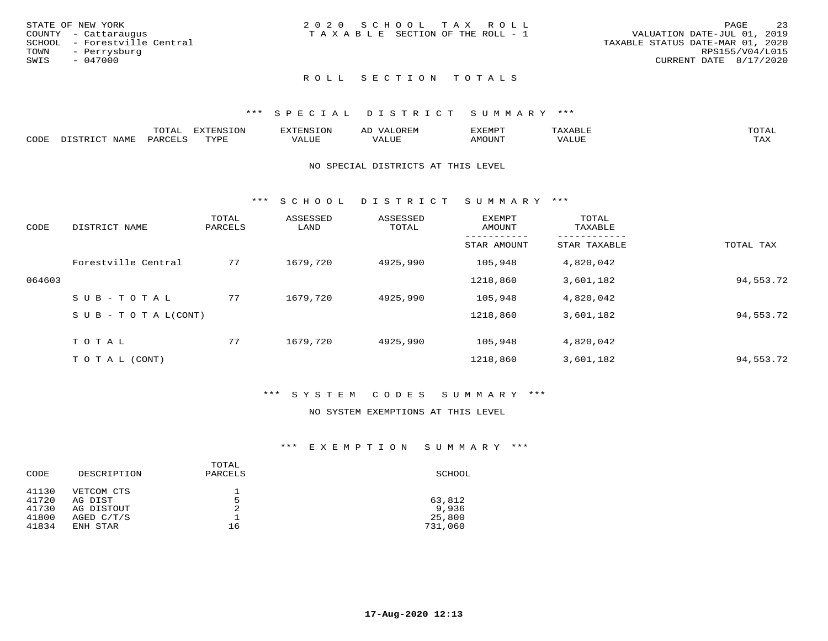|      | STATE OF NEW YORK            | 2020 SCHOOL TAX ROLL                  | PAGE                             | -23             |
|------|------------------------------|---------------------------------------|----------------------------------|-----------------|
|      | COUNTY - Cattaraugus         | T A X A B L E SECTION OF THE ROLL - 1 | VALUATION DATE-JUL 01, 2019      |                 |
|      | SCHOOL - Forestville Central |                                       | TAXABLE STATUS DATE-MAR 01, 2020 |                 |
|      | TOWN - Perrysburg            |                                       |                                  | RPS155/V04/L015 |
| SWIS | - 047000                     |                                       | CURRENT DATE 8/17/2020           |                 |
|      |                              |                                       |                                  |                 |

### \*\*\* S P E C I A L D I S T R I C T S U M M A R Y \*\*\*

|      | $m \wedge m \wedge n$<br>.UTAL          | <b>EXTENSION</b> | BUN S | OR∏N<br>AĽ<br>11 J I V I LI | 'XEMPT        | AAABLE            | $m \wedge m \wedge n$ |
|------|-----------------------------------------|------------------|-------|-----------------------------|---------------|-------------------|-----------------------|
| CODE | $NT\Delta MT$<br>$DA$ $R$ $R$ $T$ . $C$ | <b>TVDL</b>      | VALUE | $- - - -$<br>.<br>. Alur    | <b>AMOUNT</b> | VALU <sub>r</sub> | TA Y<br>⊥∟∆∆          |

#### NO SPECIAL DISTRICTS AT THIS LEVEL

\*\*\* S C H O O L D I S T R I C T S U M M A R Y \*\*\*

| CODE   | DISTRICT NAME                    | TOTAL<br>PARCELS | ASSESSED<br>LAND | ASSESSED<br>TOTAL | <b>EXEMPT</b><br>AMOUNT | TOTAL<br>TAXABLE |           |
|--------|----------------------------------|------------------|------------------|-------------------|-------------------------|------------------|-----------|
|        |                                  |                  |                  |                   | STAR AMOUNT             | STAR TAXABLE     | TOTAL TAX |
|        | Forestville Central              | 77               | 1679,720         | 4925,990          | 105,948                 | 4,820,042        |           |
| 064603 |                                  |                  |                  |                   | 1218,860                | 3,601,182        | 94,553.72 |
|        | SUB-TOTAL                        | 77               | 1679,720         | 4925,990          | 105,948                 | 4,820,042        |           |
|        | $S \cup B - T \cup T A L (CONT)$ |                  |                  |                   | 1218,860                | 3,601,182        | 94,553.72 |
|        | TOTAL                            | 77               | 1679,720         | 4925,990          | 105,948                 | 4,820,042        |           |
|        | T O T A L (CONT)                 |                  |                  |                   | 1218,860                | 3,601,182        | 94,553.72 |

### \*\*\* S Y S T E M C O D E S S U M M A R Y \*\*\*

### NO SYSTEM EXEMPTIONS AT THIS LEVEL

| CODE  | DESCRIPTION | TOTAL<br>PARCELS | SCHOOL  |
|-------|-------------|------------------|---------|
| 41130 | VETCOM CTS  |                  |         |
| 41720 | AG DIST     | 5                | 63,812  |
| 41730 | AG DISTOUT  | 2                | 9,936   |
| 41800 | AGED C/T/S  |                  | 25,800  |
| 41834 | ENH STAR    | 16               | 731,060 |
|       |             |                  |         |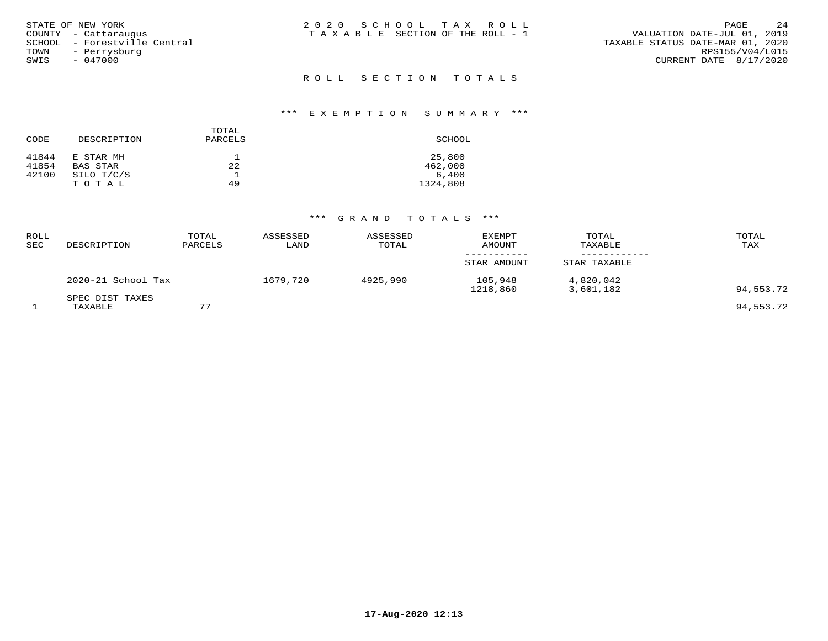| STATE OF NEW YORK            | 2020 SCHOOL TAX ROLL                  | 2.4<br>PAGE                      |
|------------------------------|---------------------------------------|----------------------------------|
| COUNTY - Cattaraugus         | T A X A B L E SECTION OF THE ROLL - 1 | VALUATION DATE-JUL 01, 2019      |
| SCHOOL - Forestville Central |                                       | TAXABLE STATUS DATE-MAR 01, 2020 |
| TOWN<br>- Perrysburg         |                                       | RPS155/V04/L015                  |
| SWIS<br>$-047000$            |                                       | CURRENT DATE 8/17/2020           |
|                              | ROLL SECTION TOTALS                   |                                  |

# \*\*\* E X E M P T I O N S U M M A R Y \*\*\*

|       |             | TOTAL   |          |
|-------|-------------|---------|----------|
| CODE  | DESCRIPTION | PARCELS | SCHOOL   |
| 41844 | E STAR MH   |         | 25,800   |
| 41854 | BAS STAR    | 22      | 462,000  |
| 42100 | SILO T/C/S  |         | 6.400    |
|       | TOTAL       | 49      | 1324,808 |

| <b>ROLL</b><br>SEC | DESCRIPTION                | TOTAL<br>PARCELS | ASSESSED<br>LAND | ASSESSED<br>TOTAL | <b>EXEMPT</b><br>AMOUNT | TOTAL<br>TAXABLE       | TOTAL<br>TAX |
|--------------------|----------------------------|------------------|------------------|-------------------|-------------------------|------------------------|--------------|
|                    |                            |                  |                  |                   | STAR AMOUNT             | STAR TAXABLE           |              |
|                    | 2020-21 School Tax         |                  | 1679,720         | 4925,990          | 105,948<br>1218,860     | 4,820,042<br>3,601,182 | 94,553.72    |
|                    | SPEC DIST TAXES<br>TAXABLE | 77               |                  |                   |                         |                        | 94,553.72    |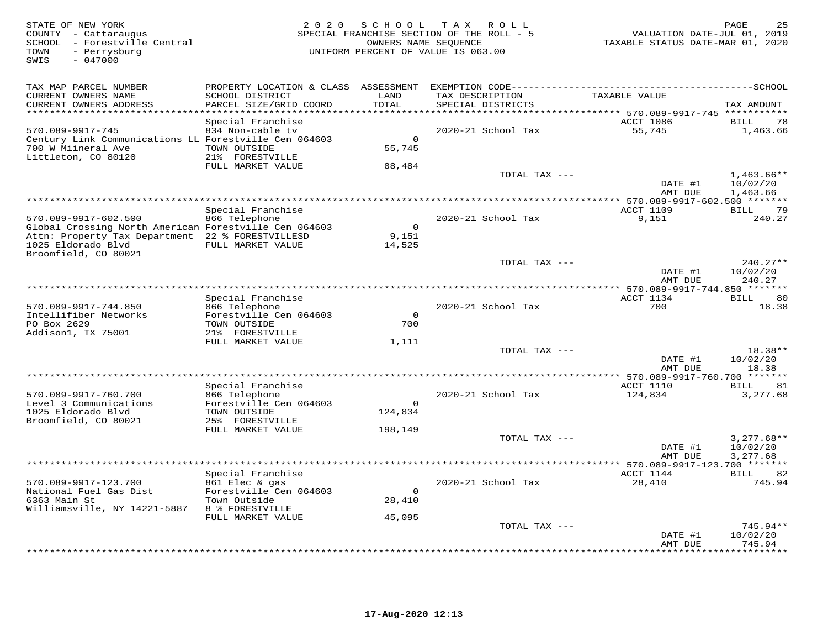| STATE OF NEW YORK<br>COUNTY - Cattaraugus<br>SCHOOL - Forestville Central<br>- Perrysburg<br>TOWN<br>$-047000$<br>SWIS                                  | 2 0 2 0                                                                                             | SCHOOL<br>OWNERS NAME SEQUENCE     | T A X<br>R O L L<br>SPECIAL FRANCHISE SECTION OF THE ROLL - 5<br>UNIFORM PERCENT OF VALUE IS 063.00 | VALUATION DATE-JUL 01, 2019<br>TAXABLE STATUS DATE-MAR 01, 2020 | PAGE                                                |
|---------------------------------------------------------------------------------------------------------------------------------------------------------|-----------------------------------------------------------------------------------------------------|------------------------------------|-----------------------------------------------------------------------------------------------------|-----------------------------------------------------------------|-----------------------------------------------------|
| TAX MAP PARCEL NUMBER<br>CURRENT OWNERS NAME<br>CURRENT OWNERS ADDRESS<br>**********************                                                        | PROPERTY LOCATION & CLASS<br>SCHOOL DISTRICT<br>PARCEL SIZE/GRID COORD<br>************************* | ASSESSMENT<br>LAND<br>TOTAL        | TAX DESCRIPTION<br>SPECIAL DISTRICTS                                                                | TAXABLE VALUE                                                   | TAX AMOUNT                                          |
| 570.089-9917-745<br>Century Link Communications LL Forestville Cen 064603<br>700 W Miineral Ave<br>Littleton, CO 80120                                  | Special Franchise<br>834 Non-cable tv<br>TOWN OUTSIDE<br>21% FORESTVILLE<br>FULL MARKET VALUE       | $\overline{0}$<br>55,745<br>88,484 | 2020-21 School Tax                                                                                  | ACCT 1086<br>55,745                                             | 78<br>BILL<br>1,463.66                              |
|                                                                                                                                                         |                                                                                                     |                                    | TOTAL TAX ---                                                                                       | DATE #1<br>AMT DUE                                              | $1,463.66**$<br>10/02/20<br>1,463.66                |
| 570.089-9917-602.500<br>Global Crossing North American Forestville Cen 064603<br>Attn: Property Tax Department 22 % FORESTVILLESD<br>1025 Eldorado Blvd | Special Franchise<br>866 Telephone<br>FULL MARKET VALUE                                             | $\overline{0}$<br>9,151<br>14,525  | 2020-21 School Tax                                                                                  | ACCT 1109<br>9,151                                              | BILL<br>-79<br>240.27                               |
| Broomfield, CO 80021                                                                                                                                    |                                                                                                     |                                    | TOTAL TAX ---                                                                                       | DATE #1<br>AMT DUE                                              | $240.27**$<br>10/02/20<br>240.27                    |
| 570.089-9917-744.850<br>Intellifiber Networks<br>PO Box 2629<br>Addison1, TX 75001                                                                      | Special Franchise<br>866 Telephone<br>Forestville Cen 064603<br>TOWN OUTSIDE<br>21% FORESTVILLE     | $\Omega$<br>700                    | 2020-21 School Tax                                                                                  | *** 570.089-9917-744.850 *******<br>ACCT 1134<br>700            | 80<br>BILL<br>18.38                                 |
|                                                                                                                                                         | FULL MARKET VALUE                                                                                   | 1,111                              | TOTAL TAX ---                                                                                       | DATE #1<br>AMT DUE                                              | 18.38**<br>10/02/20<br>18.38                        |
| 570.089-9917-760.700<br>Level 3 Communications<br>1025 Eldorado Blvd<br>Broomfield, CO 80021                                                            | Special Franchise<br>866 Telephone<br>Forestville Cen 064603<br>TOWN OUTSIDE<br>25% FORESTVILLE     | $\Omega$<br>124,834                | ************************<br>2020-21 School Tax                                                      | * 570.089-9917-760.700 *******<br>ACCT 1110<br>124,834          | 81<br>BILL<br>3,277.68                              |
|                                                                                                                                                         | FULL MARKET VALUE                                                                                   | 198,149                            | TOTAL TAX ---                                                                                       | DATE #1                                                         | $3,277.68**$<br>10/02/20                            |
|                                                                                                                                                         | Special Franchise                                                                                   |                                    |                                                                                                     | AMT DUE<br>ACCT 1144                                            | 3,277.68<br>BILL 82                                 |
| 570.089-9917-123.700<br>National Fuel Gas Dist<br>6363 Main St<br>Williamsville, NY 14221-5887                                                          | 861 Elec & gas<br>Forestville Cen 064603<br>Town Outside<br>8 % FORESTVILLE<br>FULL MARKET VALUE    | $\Omega$<br>28,410<br>45,095       | 2020-21 School Tax                                                                                  | 28,410                                                          | 745.94                                              |
|                                                                                                                                                         |                                                                                                     |                                    | TOTAL TAX ---                                                                                       | DATE #1<br>AMT DUE                                              | $745.94**$<br>10/02/20<br>745.94<br>* * * * * * * * |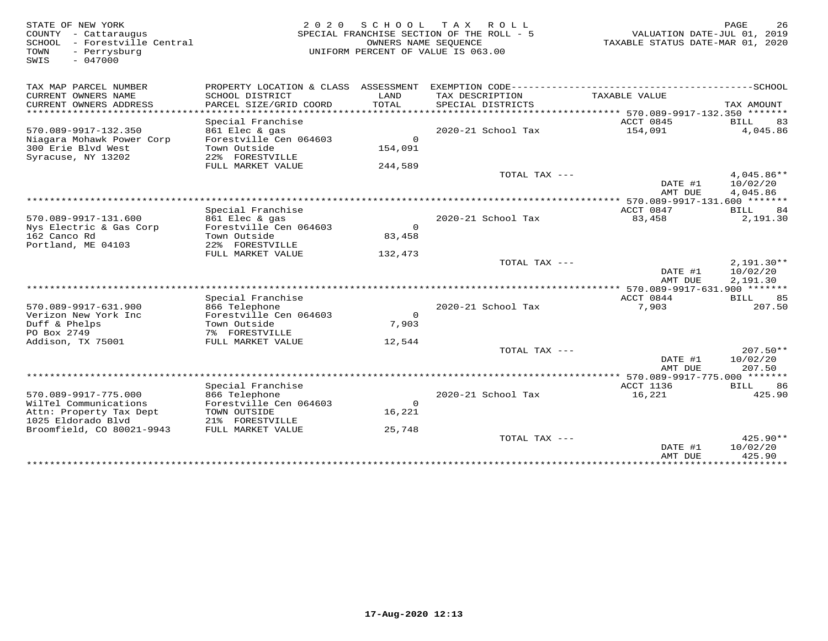| STATE OF NEW YORK<br>COUNTY - Cattaraugus<br>SCHOOL<br>- Forestville Central<br>- Perrysburg<br>TOWN<br>$-047000$<br>SWIS | 2 0 2 0                                                   |                    | SCHOOL TAX ROLL<br>SPECIAL FRANCHISE SECTION OF THE ROLL - 5<br>OWNERS NAME SEQUENCE<br>UNIFORM PERCENT OF VALUE IS 063.00 | VALUATION DATE-JUL 01, 2019<br>TAXABLE STATUS DATE-MAR 01, 2020 | PAGE<br>26                           |
|---------------------------------------------------------------------------------------------------------------------------|-----------------------------------------------------------|--------------------|----------------------------------------------------------------------------------------------------------------------------|-----------------------------------------------------------------|--------------------------------------|
| TAX MAP PARCEL NUMBER                                                                                                     | PROPERTY LOCATION & CLASS ASSESSMENT                      |                    |                                                                                                                            |                                                                 |                                      |
| CURRENT OWNERS NAME<br>CURRENT OWNERS ADDRESS<br>************************                                                 | SCHOOL DISTRICT<br>PARCEL SIZE/GRID COORD                 | LAND<br>TOTAL      | TAX DESCRIPTION<br>SPECIAL DISTRICTS                                                                                       | TAXABLE VALUE                                                   | TAX AMOUNT                           |
|                                                                                                                           | Special Franchise                                         |                    |                                                                                                                            | ACCT 0845                                                       | 83<br>BILL                           |
| 570.089-9917-132.350<br>Niagara Mohawk Power Corp                                                                         | 861 Elec & gas<br>Forestville Cen 064603                  | $\Omega$           | 2020-21 School Tax                                                                                                         | 154,091                                                         | 4,045.86                             |
| 300 Erie Blvd West<br>Syracuse, NY 13202                                                                                  | Town Outside<br>22% FORESTVILLE                           | 154,091            |                                                                                                                            |                                                                 |                                      |
|                                                                                                                           | FULL MARKET VALUE                                         | 244,589            |                                                                                                                            |                                                                 |                                      |
|                                                                                                                           |                                                           |                    | TOTAL TAX ---                                                                                                              | DATE #1<br>AMT DUE                                              | $4.045.86**$<br>10/02/20<br>4,045.86 |
|                                                                                                                           |                                                           |                    |                                                                                                                            | *** 570.089-9917-131.600 *******                                |                                      |
|                                                                                                                           | Special Franchise                                         |                    |                                                                                                                            | ACCT 0847                                                       | 84<br><b>BILL</b>                    |
| 570.089-9917-131.600                                                                                                      | 861 Elec & gas                                            |                    | 2020-21 School Tax                                                                                                         | 83,458                                                          | 2,191.30                             |
| Nys Electric & Gas Corp<br>162 Canco Rd<br>Portland, ME 04103                                                             | Forestville Cen 064603<br>Town Outside<br>22% FORESTVILLE | $\Omega$<br>83,458 |                                                                                                                            |                                                                 |                                      |
|                                                                                                                           | FULL MARKET VALUE                                         | 132,473            |                                                                                                                            |                                                                 |                                      |
|                                                                                                                           |                                                           |                    | TOTAL TAX ---                                                                                                              | DATE #1                                                         | $2,191.30**$<br>10/02/20             |
|                                                                                                                           |                                                           |                    |                                                                                                                            | AMT DUE                                                         | 2,191.30                             |
|                                                                                                                           | Special Franchise                                         |                    |                                                                                                                            | ACCT 0844                                                       | 85<br>BILL                           |
| 570.089-9917-631.900                                                                                                      | 866 Telephone                                             |                    | 2020-21 School Tax                                                                                                         | 7,903                                                           | 207.50                               |
| Verizon New York Inc                                                                                                      | Forestville Cen 064603                                    | $\Omega$           |                                                                                                                            |                                                                 |                                      |
| Duff & Phelps<br>PO Box 2749                                                                                              | Town Outside<br>7% FORESTVILLE                            | 7,903              |                                                                                                                            |                                                                 |                                      |
| Addison, TX 75001                                                                                                         | FULL MARKET VALUE                                         | 12,544             |                                                                                                                            |                                                                 |                                      |
|                                                                                                                           |                                                           |                    | TOTAL TAX ---                                                                                                              |                                                                 | $207.50**$                           |
|                                                                                                                           |                                                           |                    |                                                                                                                            | DATE #1<br>AMT DUE                                              | 10/02/20<br>207.50                   |
|                                                                                                                           |                                                           |                    |                                                                                                                            |                                                                 |                                      |
| 570.089-9917-775.000                                                                                                      | Special Franchise<br>866 Telephone                        |                    | 2020-21 School Tax                                                                                                         | ACCT 1136<br>16,221                                             | 86<br>BILL<br>425.90                 |
| WilTel Communications                                                                                                     | Forestville Cen 064603                                    | $\Omega$           |                                                                                                                            |                                                                 |                                      |
| Attn: Property Tax Dept                                                                                                   | TOWN OUTSIDE                                              | 16,221             |                                                                                                                            |                                                                 |                                      |
| 1025 Eldorado Blvd                                                                                                        | 21% FORESTVILLE                                           |                    |                                                                                                                            |                                                                 |                                      |
| Broomfield, CO 80021-9943                                                                                                 | FULL MARKET VALUE                                         | 25,748             |                                                                                                                            |                                                                 |                                      |
|                                                                                                                           |                                                           |                    | TOTAL TAX ---                                                                                                              | DATE #1                                                         | 425.90**<br>10/02/20                 |
|                                                                                                                           |                                                           |                    |                                                                                                                            | AMT DUE<br>* * * * * * * * * * * * * * *                        | 425.90<br>* * * * * * * * * * * *    |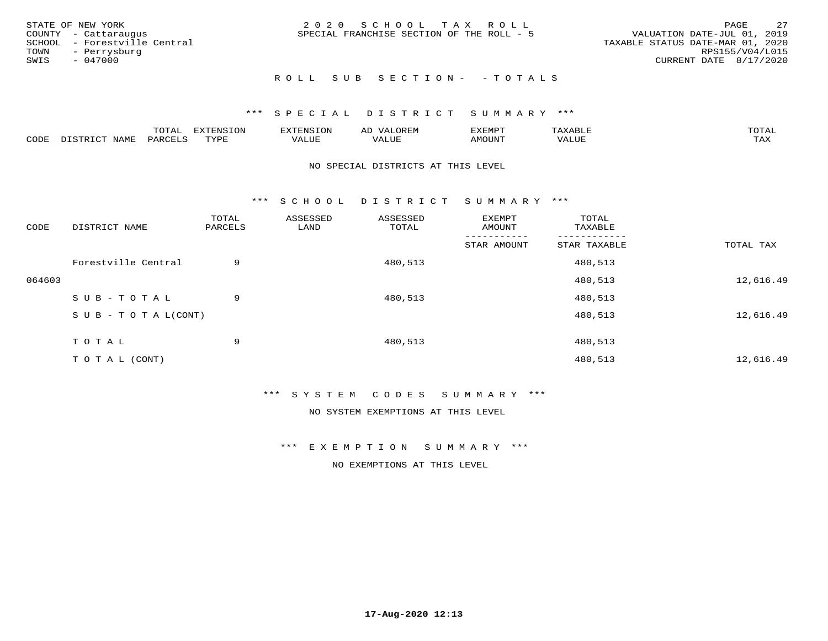|      | STATE OF NEW YORK            | 2020 SCHOOL TAX ROLL                      | PAGE                             | - 27 |
|------|------------------------------|-------------------------------------------|----------------------------------|------|
|      | COUNTY - Cattaraugus         | SPECIAL FRANCHISE SECTION OF THE ROLL - 5 | VALUATION DATE-JUL 01, 2019      |      |
|      | SCHOOL - Forestville Central |                                           | TAXABLE STATUS DATE-MAR 01, 2020 |      |
|      | TOWN - Perrysburg            |                                           | RPS155/V04/L015                  |      |
| SWIS | - 047000                     |                                           | CURRENT DATE 8/17/2020           |      |
|      |                              |                                           |                                  |      |

# ROLL SUB SECTION - - TOTALS

#### \*\*\* S P E C I A L D I S T R I C T S U M M A R Y \*\*\*

|      |                            | ----<br>$\overline{\phantom{a}}$ | EXTENSION | <b>ENS</b>         | AL<br>$\cdots$ | דסאים אי     |                       | momn. |
|------|----------------------------|----------------------------------|-----------|--------------------|----------------|--------------|-----------------------|-------|
| CODE | $ \sim$ $-$<br><b>NAMP</b> | $\Omega$<br>'ARI                 | TVDF      | <b><i>ALUE</i></b> | 'ALUE          | <b>MOUNT</b> | . <del>.</del><br>JUI | TAX   |

#### NO SPECIAL DISTRICTS AT THIS LEVEL

\*\*\* S C H O O L D I S T R I C T S U M M A R Y \*\*\*

| CODE   | DISTRICT NAME                    | TOTAL<br>PARCELS | ASSESSED<br>LAND | ASSESSED<br>TOTAL | EXEMPT<br>AMOUNT | TOTAL<br>TAXABLE |           |
|--------|----------------------------------|------------------|------------------|-------------------|------------------|------------------|-----------|
|        |                                  |                  |                  |                   | STAR AMOUNT      | STAR TAXABLE     | TOTAL TAX |
|        | Forestville Central              | 9                |                  | 480,513           |                  | 480,513          |           |
| 064603 |                                  |                  |                  |                   |                  | 480,513          | 12,616.49 |
|        | SUB-TOTAL                        | 9                |                  | 480,513           |                  | 480,513          |           |
|        | $S \cup B - T \cup T A L (CONT)$ |                  |                  |                   |                  | 480,513          | 12,616.49 |
|        | TOTAL                            | 9                |                  | 480,513           |                  | 480,513          |           |
|        | T O T A L (CONT)                 |                  |                  |                   |                  | 480,513          | 12,616.49 |

\*\*\* S Y S T E M C O D E S S U M M A R Y \*\*\*

NO SYSTEM EXEMPTIONS AT THIS LEVEL

\*\*\* E X E M P T I O N S U M M A R Y \*\*\*

NO EXEMPTIONS AT THIS LEVEL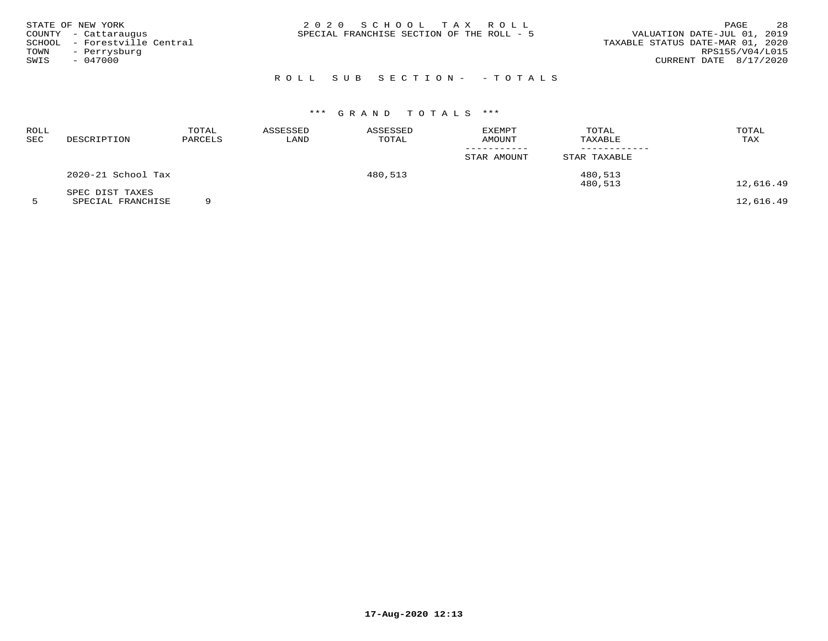| SWIS | STATE OF NEW YORK<br>COUNTY - Cattaraugus<br>SCHOOL - Forestville Central<br>TOWN - Perrysburg<br>$-047000$ |  | 2020 SCHOOL TAX ROLL<br>SPECIAL FRANCHISE SECTION OF THE ROLL - 5 |                            | VALUATION DATE-JUL 01, 2019<br>TAXABLE STATUS DATE-MAR 01, 2020<br>CURRENT DATE 8/17/2020 | PAGE<br>RPS155/V04/L015 | 28 |
|------|-------------------------------------------------------------------------------------------------------------|--|-------------------------------------------------------------------|----------------------------|-------------------------------------------------------------------------------------------|-------------------------|----|
|      |                                                                                                             |  |                                                                   | ROLL SUB SECTION- - TOTALS |                                                                                           |                         |    |

# \*\*\* G R A N D T O T A L S \*\*\*

| ROLL<br>SEC | DESCRIPTION                          | TOTAL<br>PARCELS | ASSESSED<br>LAND | ASSESSED<br>TOTAL | <b>EXEMPT</b><br>AMOUNT | TOTAL<br>TAXABLE | TOTAL<br>TAX                                                                                                          |
|-------------|--------------------------------------|------------------|------------------|-------------------|-------------------------|------------------|-----------------------------------------------------------------------------------------------------------------------|
|             |                                      |                  |                  |                   | STAR AMOUNT             | STAR TAXABLE     |                                                                                                                       |
|             | 2020-21 School Tax                   |                  |                  | 480,513           |                         | 480,513          |                                                                                                                       |
|             | SPEC DIST TAXES<br>----------------- | $\sim$           |                  |                   |                         | 480,513          | 12,616.49<br>$\overline{a}$ $\overline{a}$ $\overline{a}$ $\overline{a}$ $\overline{a}$ $\overline{a}$ $\overline{a}$ |

5 SPECIAL FRANCHISE 9 12,616.49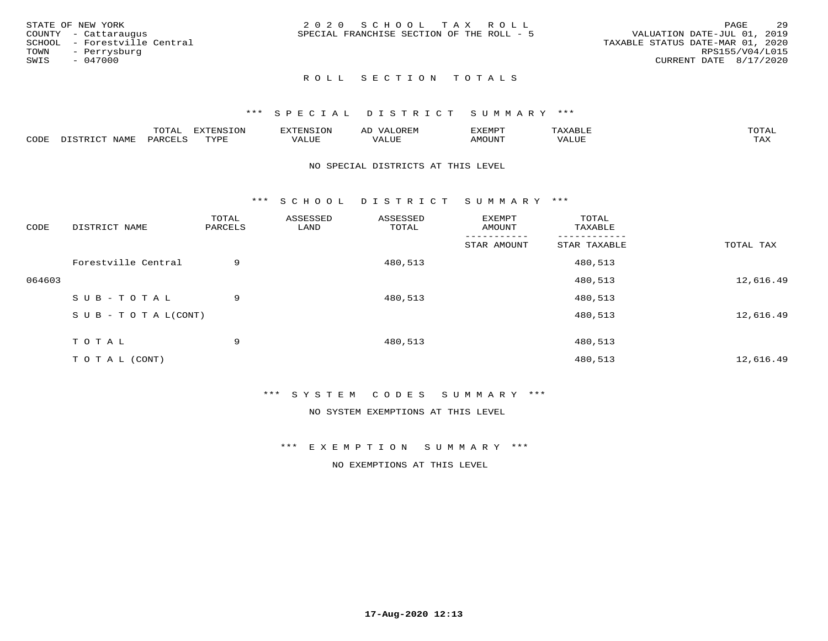| STATE OF NEW YORK            | 2020 SCHOOL TAX ROLL                      | 29<br>PAGE                       |
|------------------------------|-------------------------------------------|----------------------------------|
| COUNTY - Cattaraugus         | SPECIAL FRANCHISE SECTION OF THE ROLL - 5 | VALUATION DATE-JUL 01, 2019      |
| SCHOOL - Forestville Central |                                           | TAXABLE STATUS DATE-MAR 01, 2020 |
| TOWN<br>- Perrysburg         |                                           | RPS155/V04/L015                  |
| SWIS<br>- 047000             |                                           | CURRENT DATE 8/17/2020           |
|                              |                                           |                                  |

#### \*\*\* S P E C I A L D I S T R I C T S U M M A R Y \*\*\*

|      |                           | m∧m⊼ | <b>DVERMOTOM</b><br>LUI | TENSION       | ΑL<br>$\cdots$      | EXEMPT | $\Delta \times \Delta$<br>9 D.L | $m \wedge m \wedge n$<br>$\overline{a}$ |
|------|---------------------------|------|-------------------------|---------------|---------------------|--------|---------------------------------|-----------------------------------------|
| CODE | NTAM <sup>T</sup><br>⊥∙⊥⊥ | PARC | <b>TVDL</b>             | T T T<br>ALUF | <b>TTT</b><br>'ALUE | MOUNT  | VALUE                           | $m \times r$<br>$+$ $  +$ $-$           |

#### NO SPECIAL DISTRICTS AT THIS LEVEL

\*\*\* S C H O O L D I S T R I C T S U M M A R Y \*\*\*

| CODE   | DISTRICT NAME                    | TOTAL<br>PARCELS | ASSESSED<br>LAND | ASSESSED<br>TOTAL | EXEMPT<br>AMOUNT | TOTAL<br>TAXABLE |           |
|--------|----------------------------------|------------------|------------------|-------------------|------------------|------------------|-----------|
|        |                                  |                  |                  |                   | STAR AMOUNT      | STAR TAXABLE     | TOTAL TAX |
|        | Forestville Central              | 9                |                  | 480,513           |                  | 480,513          |           |
| 064603 |                                  |                  |                  |                   |                  | 480,513          | 12,616.49 |
|        | SUB-TOTAL                        | 9                |                  | 480,513           |                  | 480,513          |           |
|        | $S \cup B - T \cup T A L (CONT)$ |                  |                  |                   |                  | 480,513          | 12,616.49 |
|        | TOTAL                            | 9                |                  | 480,513           |                  | 480,513          |           |
|        | T O T A L (CONT)                 |                  |                  |                   |                  | 480,513          | 12,616.49 |

\*\*\* S Y S T E M C O D E S S U M M A R Y \*\*\*

NO SYSTEM EXEMPTIONS AT THIS LEVEL

\*\*\* E X E M P T I O N S U M M A R Y \*\*\*

NO EXEMPTIONS AT THIS LEVEL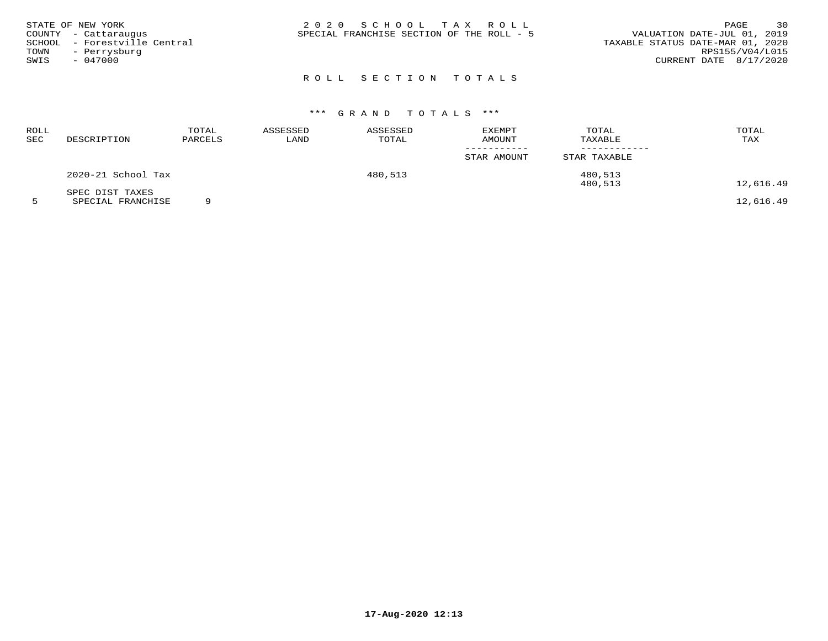| STATE OF NEW YORK<br>COUNTY - Cattaraugus | 2020 SCHOOL TAX ROLL<br>SPECIAL FRANCHISE SECTION OF THE ROLL - 5 | 30<br>PAGE<br>VALUATION DATE-JUL 01, 2019 |
|-------------------------------------------|-------------------------------------------------------------------|-------------------------------------------|
| SCHOOL - Forestville Central              |                                                                   | TAXABLE STATUS DATE-MAR 01, 2020          |
| TOWN<br>- Perrysburg                      |                                                                   | RPS155/V04/L015                           |
| SWIS<br>- 047000                          |                                                                   | CURRENT DATE 8/17/2020                    |
|                                           |                                                                   |                                           |

# \*\*\* G R A N D T O T A L S \*\*\*

| ROLL<br>SEC | DESCRIPTION        | TOTAL<br>PARCELS | ASSESSED<br>LAND | ASSESSED<br>TOTAL | <b>EXEMPT</b><br><b>AMOUNT</b> | TOTAL<br>TAXABLE | TOTAL<br>TAX |
|-------------|--------------------|------------------|------------------|-------------------|--------------------------------|------------------|--------------|
|             |                    |                  |                  |                   | STAR AMOUNT                    | STAR TAXABLE     |              |
|             | 2020-21 School Tax |                  |                  | 480,513           |                                | 480,513          |              |
|             | SPEC DIST TAXES    |                  |                  |                   |                                | 480,513          | 12,616.49    |

5 SPECIAL FRANCHISE 9 12,616.49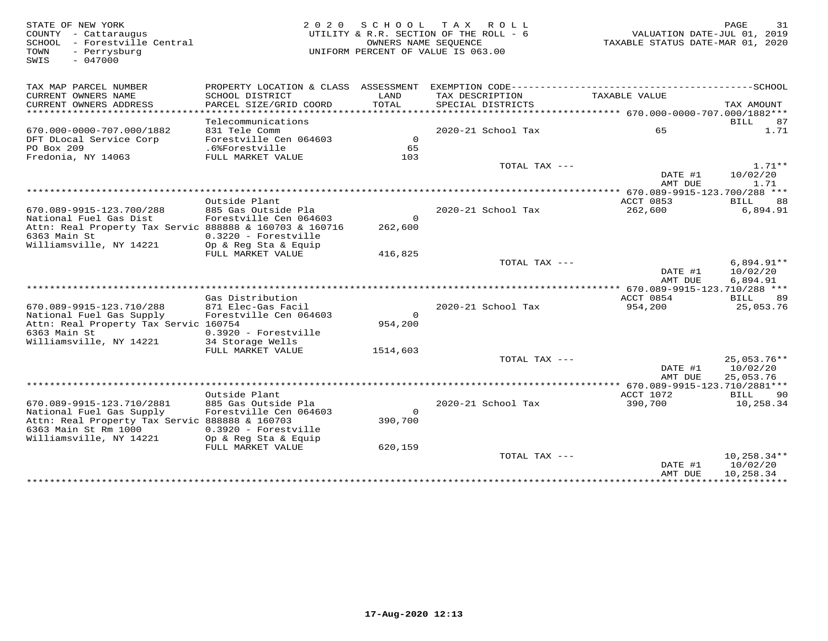STATE OF NEW YORK MORE 2010 SCHOOL TAX ROLL<br>COUNTY - Cattaraugus (COUNTY - Cattaraugus deputy of the COUNTY - Cattaraugus and the UTILITY & R.R. SECTION O<br>SCHOOL - Forestville Central (2020) (COUNTROR DERIGN DEPARTED SOME SWIS - 047000TAX MAP PARCEL NUMBER PROPERTY LOCATION & CLASS ASSESSMENT EXEMPTION CODE------------------------------------------SCHOOL CURRENT OWNERS NAME SCHOOL DISTRICT LAND TAX DESCRIPTION TAXABLE VALUE CURRENT OWNERS ADDRESS PARCEL SIZE/GRID COORD TOTAL SPECIAL DISTRICTS TAX AMOUNT \*\*\*\*\*\*\*\*\*\*\*\*\*\*\*\*\*\*\*\*\*\*\*\*\*\*\*\*\*\*\*\*\*\*\*\*\*\*\*\*\*\*\*\*\*\*\*\*\*\*\*\*\*\*\*\*\*\*\*\*\*\*\*\*\*\*\*\*\*\*\*\*\*\*\*\*\*\*\*\*\*\*\*\*\*\*\*\*\*\*\*\*\*\*\*\*\*\*\*\*\*\*\* 670.000-0000-707.000/1882\*\*\* Telecommunications BILL 87 670.000-0000-707.000/1882 831 Tele Comm 2020-21 School Tax 65 1.71DFT DLocal Service Corp Forestville Cen 064603 0PO Box 209 .6%Forestville 6565 103 Fredonia, NY 14063 FULL MARKET VALUE 103TOTAL TAX  $-- 1.71**$  $\frac{10}{24}$  and  $\frac{10}{22}$  and  $\frac{10}{22}$  and  $\frac{10}{22}$  and  $\frac{10}{22}$  and  $\frac{10}{22}$  and  $\frac{10}{22}$  and  $\frac{10}{22}$  and  $\frac{10}{22}$  and  $\frac{10}{22}$  and  $\frac{10}{22}$  and  $\frac{10}{22}$  and  $\frac{10}{22}$  and  $\frac{10}{22}$  a AMT DUE 1.71 \*\*\*\*\*\*\*\*\*\*\*\*\*\*\*\*\*\*\*\*\*\*\*\*\*\*\*\*\*\*\*\*\*\*\*\*\*\*\*\*\*\*\*\*\*\*\*\*\*\*\*\*\*\*\*\*\*\*\*\*\*\*\*\*\*\*\*\*\*\*\*\*\*\*\*\*\*\*\*\*\*\*\*\*\*\*\*\*\*\*\*\*\*\*\*\*\*\*\*\*\*\*\* 670.089-9915-123.700/288 \*\*\*ACCT 0853 BILL 88 Outside Plant ACCT 0853 BILL 886,894.91 670.089-9915-123.700/288 885 Gas Outside Pla 2020-21 School Tax 262,600 6,894.91National Fuel Gas Dist Forestville Cen 064603 0 Attn: Real Property Tax Servic 888888 & 160703 & 160716 262,6006363 Main St 0.3220 - Forestville Williamsville, NY 14221 Op & Reg Sta & Equip FULL MARKET VALUE 416,825 TOTAL TAX --- 6,894.91\*\* $\text{DATE}$  #1  $10/02/20$ AMT DUE 6,894.91 AMT DUE 6,894.91 \*\*\*\*\*\*\*\*\*\*\*\*\*\*\*\*\*\*\*\*\*\*\*\*\*\*\*\*\*\*\*\*\*\*\*\*\*\*\*\*\*\*\*\*\*\*\*\*\*\*\*\*\*\*\*\*\*\*\*\*\*\*\*\*\*\*\*\*\*\*\*\*\*\*\*\*\*\*\*\*\*\*\*\*\*\*\*\*\*\*\*\*\*\*\*\*\*\*\*\*\*\*\* 670.089-9915-123.710/288 \*\*\* Gas Distribution ACCT 0854 BILL 89670.089-9915-123.710/288 871 Elec-Gas Facil 2020-21 School Tax 954,200 25,053.76National Fuel Gas Supply Forestville Cen 064603 0954,200 Attn: Real Property Tax Servic 160754 6363 Main St 0.3920 - Forestville Williamsville, NY 14221 34 Storage Wells FULL MARKET VALUE 1514,603  ${\tt TOTAL\,\,\, TAX\,\,\,---}\qquad \qquad \qquad 25\, ,053\, .76***$  $\text{DATE}$  #1  $10/02/20$ 25,053.76 AMT DUE 25,053.76 \*\*\*\*\*\*\*\*\*\*\*\*\*\*\*\*\*\*\*\*\*\*\*\*\*\*\*\*\*\*\*\*\*\*\*\*\*\*\*\*\*\*\*\*\*\*\*\*\*\*\*\*\*\*\*\*\*\*\*\*\*\*\*\*\*\*\*\*\*\*\*\*\*\*\*\*\*\*\*\*\*\*\*\*\*\*\*\*\*\*\*\*\*\*\*\*\*\*\*\*\*\*\* 670.089-9915-123.710/2881\*\*\* Outside Plant ACCT 1072 BILL 90 670.089-9915-123.710/2881 885 Gas Outside Pla 2020-21 School Tax 390,700 10,258.34National Fuel Gas Supply Forestville Cen 064603 0 Attn: Real Property Tax Servic 888888 & 160703 390,7006363 Main St Rm 1000 0.3920 - Forestville Williamsville, NY 14221 Op & Reg Sta & Equip FULL MARKET VALUE 620,159 TOTAL TAX --- 10,258.34\*\*10/02/20  $\texttt{DATE}$ #1  $10/02/20$ AMT DUE 10,258.34 AMT DUE 10,258.34 \*\*\*\*\*\*\*\*\*\*\*\*\*\*\*\*\*\*\*\*\*\*\*\*\*\*\*\*\*\*\*\*\*\*\*\*\*\*\*\*\*\*\*\*\*\*\*\*\*\*\*\*\*\*\*\*\*\*\*\*\*\*\*\*\*\*\*\*\*\*\*\*\*\*\*\*\*\*\*\*\*\*\*\*\*\*\*\*\*\*\*\*\*\*\*\*\*\*\*\*\*\*\*\*\*\*\*\*\*\*\*\*\*\*\*\*\*\*\*\*\*\*\*\*\*\*\*\*\*\*\*\*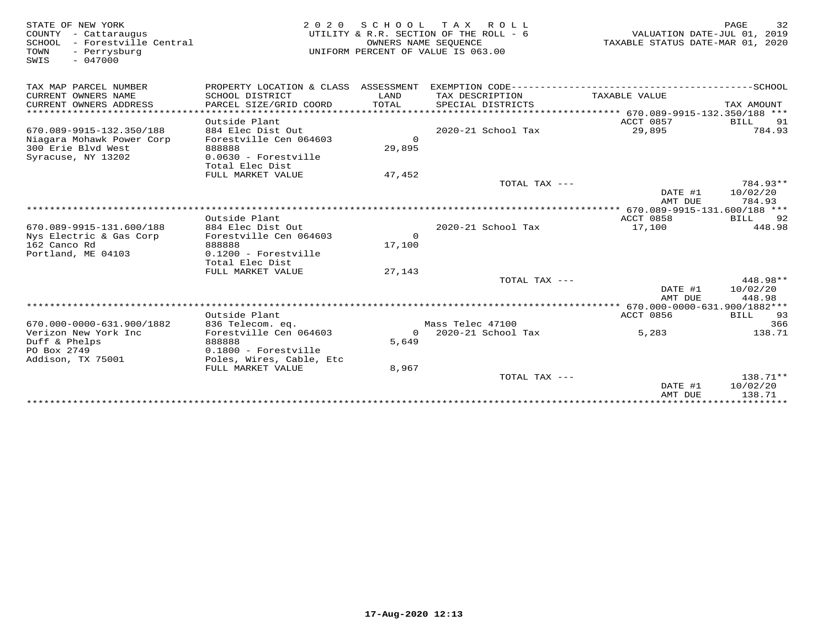| STATE OF NEW YORK<br>COUNTY - Cattaraugus<br>SCHOOL<br>- Forestville Central<br>TOWN<br>- Perrysburg<br>$-047000$<br>SWIS | 2 0 2 0                                                                | S C H O O L<br>OWNERS NAME SEQUENCE | TAX ROLL<br>UTILITY & R.R. SECTION OF THE ROLL - 6<br>UNIFORM PERCENT OF VALUE IS 063.00 | VALUATION DATE-JUL 01, 2019<br>TAXABLE STATUS DATE-MAR 01, 2020 | 32<br>PAGE                     |
|---------------------------------------------------------------------------------------------------------------------------|------------------------------------------------------------------------|-------------------------------------|------------------------------------------------------------------------------------------|-----------------------------------------------------------------|--------------------------------|
| TAX MAP PARCEL NUMBER                                                                                                     | PROPERTY LOCATION & CLASS ASSESSMENT                                   |                                     |                                                                                          |                                                                 |                                |
| CURRENT OWNERS NAME<br>CURRENT OWNERS ADDRESS                                                                             | SCHOOL DISTRICT<br>PARCEL SIZE/GRID COORD                              | LAND<br><b>TOTAL</b>                | TAX DESCRIPTION<br>SPECIAL DISTRICTS                                                     | TAXABLE VALUE                                                   | TAX AMOUNT                     |
| ***********************                                                                                                   |                                                                        |                                     |                                                                                          |                                                                 |                                |
| 670.089-9915-132.350/188<br>Niagara Mohawk Power Corp<br>300 Erie Blvd West                                               | Outside Plant<br>884 Elec Dist Out<br>Forestville Cen 064603<br>888888 | $\Omega$<br>29,895                  | 2020-21 School Tax                                                                       | ACCT 0857<br>29,895                                             | BILL<br>91<br>784.93           |
| Syracuse, NY 13202                                                                                                        | $0.0630$ - Forestville<br>Total Elec Dist                              |                                     |                                                                                          |                                                                 |                                |
|                                                                                                                           | FULL MARKET VALUE                                                      | 47,452                              |                                                                                          |                                                                 |                                |
|                                                                                                                           |                                                                        |                                     | TOTAL TAX ---                                                                            | DATE #1<br>AMT DUE                                              | 784.93**<br>10/02/20<br>784.93 |
|                                                                                                                           |                                                                        |                                     |                                                                                          |                                                                 |                                |
|                                                                                                                           | Outside Plant                                                          |                                     |                                                                                          | ACCT 0858                                                       | BILL<br>92                     |
| 670.089-9915-131.600/188                                                                                                  | 884 Elec Dist Out                                                      |                                     | 2020-21 School Tax                                                                       | 17,100                                                          | 448.98                         |
| Nys Electric & Gas Corp<br>162 Canco Rd                                                                                   | Forestville Cen 064603<br>888888                                       | $\Omega$<br>17,100                  |                                                                                          |                                                                 |                                |
| Portland, ME 04103                                                                                                        | $0.1200$ - Forestville<br>Total Elec Dist                              |                                     |                                                                                          |                                                                 |                                |
|                                                                                                                           | FULL MARKET VALUE                                                      | 27,143                              |                                                                                          |                                                                 |                                |
|                                                                                                                           |                                                                        |                                     | TOTAL TAX ---                                                                            | DATE #1<br>AMT DUE                                              | 448.98**<br>10/02/20<br>448.98 |
|                                                                                                                           |                                                                        |                                     |                                                                                          |                                                                 |                                |
|                                                                                                                           | Outside Plant                                                          |                                     |                                                                                          | ACCT 0856                                                       | BILL 93                        |
| 670.000-0000-631.900/1882                                                                                                 | 836 Telecom. eq.                                                       |                                     | Mass Telec 47100                                                                         |                                                                 | 366                            |
| Verizon New York Inc<br>Duff & Phelps<br>PO Box 2749                                                                      | Forestville Cen 064603<br>888888<br>0.1800 - Forestville               | $\Omega$<br>5,649                   | 2020-21 School Tax                                                                       | 5,283                                                           | 138.71                         |
| Addison, TX 75001                                                                                                         | Poles, Wires, Cable, Etc<br>FULL MARKET VALUE                          | 8,967                               |                                                                                          |                                                                 |                                |
|                                                                                                                           |                                                                        |                                     | TOTAL TAX ---                                                                            |                                                                 | $138.71**$                     |
|                                                                                                                           |                                                                        |                                     |                                                                                          | DATE #1<br>AMT DUE                                              | 10/02/20<br>138.71             |
|                                                                                                                           |                                                                        |                                     |                                                                                          |                                                                 |                                |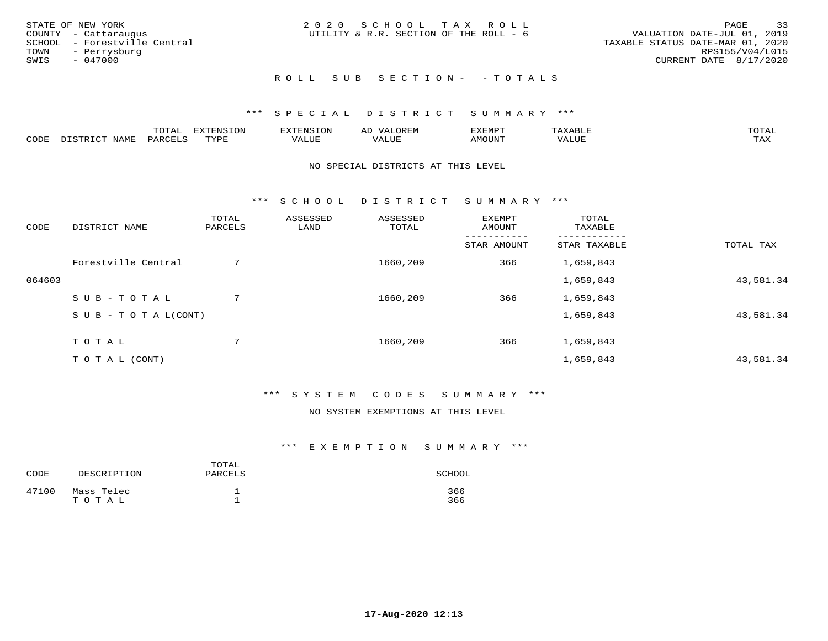| STATE OF NEW YORK<br>COUNTY - Cattaraugus<br>SCHOOL - Forestville Central<br>TOWN<br>- Perrysburg<br>SWIS<br>- 047000 | 2020 SCHOOL TAX ROLL<br>UTILITY & R.R. SECTION OF THE ROLL - 6 | 33<br>PAGE<br>VALUATION DATE-JUL 01, 2019<br>TAXABLE STATUS DATE-MAR 01, 2020<br>RPS155/V04/L015<br>CURRENT DATE 8/17/2020 |
|-----------------------------------------------------------------------------------------------------------------------|----------------------------------------------------------------|----------------------------------------------------------------------------------------------------------------------------|
|                                                                                                                       | ROLL SUB SECTION- - TOTALS                                     |                                                                                                                            |

|      |                                           | $m \wedge m \wedge n$ | EXTENSION       | FNT C    | ΑL<br>ᄯᇊᅜ                        | 57 EB 4 EB 57     | ∙дх.  | $m \wedge m \wedge n$<br>൧ |
|------|-------------------------------------------|-----------------------|-----------------|----------|----------------------------------|-------------------|-------|----------------------------|
| CODE | $T \times T$<br>$T \cap T$<br><b>NAME</b> | 'ARL                  | TVDF<br>- - - - | بالاسلام | , <del>,</del> , , , , ,<br>ALUE | MOUN <sup>T</sup> | 7ALUE | $m \times r$<br>∸∽∸∸       |

#### NO SPECIAL DISTRICTS AT THIS LEVEL

\*\*\* S C H O O L D I S T R I C T S U M M A R Y \*\*\*

| CODE   | DISTRICT NAME                    | TOTAL<br>PARCELS | ASSESSED<br>LAND | ASSESSED<br>TOTAL | <b>EXEMPT</b><br>AMOUNT | TOTAL<br>TAXABLE |           |
|--------|----------------------------------|------------------|------------------|-------------------|-------------------------|------------------|-----------|
|        |                                  |                  |                  |                   | STAR AMOUNT             | STAR TAXABLE     | TOTAL TAX |
|        | Forestville Central              | 7                |                  | 1660,209          | 366                     | 1,659,843        |           |
| 064603 |                                  |                  |                  |                   |                         | 1,659,843        | 43,581.34 |
|        | SUB-TOTAL                        | 7                |                  | 1660,209          | 366                     | 1,659,843        |           |
|        | $S \cup B - T \cup T A L (CONT)$ |                  |                  |                   |                         | 1,659,843        | 43,581.34 |
|        | TOTAL                            | 7                |                  | 1660,209          | 366                     | 1,659,843        |           |
|        | T O T A L (CONT)                 |                  |                  |                   |                         | 1,659,843        | 43,581.34 |

### \*\*\* S Y S T E M C O D E S S U M M A R Y \*\*\*

### NO SYSTEM EXEMPTIONS AT THIS LEVEL

| CODE  | DESCRIPTION         | TOTAL<br>PARCELS | SCHOOL     |
|-------|---------------------|------------------|------------|
| 47100 | Mass Telec<br>TOTAL |                  | 366<br>366 |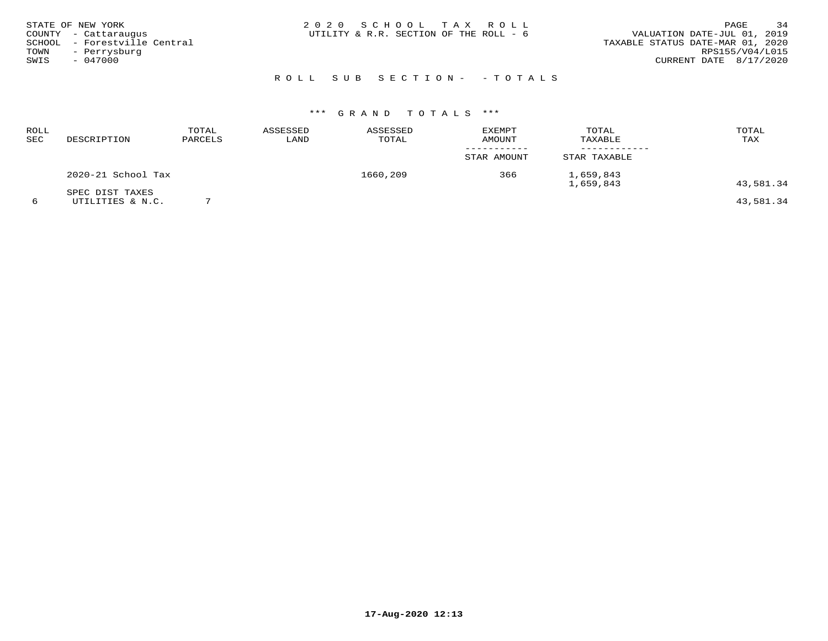| STATE OF NEW YORK |                              | 2020 SCHOOL TAX ROLL                   |  |                                  | PAGE            | 34 |
|-------------------|------------------------------|----------------------------------------|--|----------------------------------|-----------------|----|
|                   | COUNTY - Cattaraugus         | UTILITY & R.R. SECTION OF THE ROLL - 6 |  | VALUATION DATE-JUL 01, 2019      |                 |    |
|                   | SCHOOL - Forestville Central |                                        |  | TAXABLE STATUS DATE-MAR 01, 2020 |                 |    |
| TOWN              | - Perrysburg                 |                                        |  |                                  | RPS155/V04/L015 |    |
| SWIS              | $-047000$                    |                                        |  | CURRENT DATE 8/17/2020           |                 |    |
|                   |                              |                                        |  |                                  |                 |    |

# R O L L S U B S E C T I O N - - T O T A L S

# \*\*\* G R A N D T O T A L S \*\*\*

| <b>ROLL</b><br>SEC | DESCRIPTION                         | TOTAL<br>PARCELS | ASSESSED<br>LAND | ASSESSED<br>TOTAL | <b>EXEMPT</b><br>AMOUNT | TOTAL<br>TAXABLE       | TOTAL<br>TAX |
|--------------------|-------------------------------------|------------------|------------------|-------------------|-------------------------|------------------------|--------------|
|                    |                                     |                  |                  |                   | STAR AMOUNT             | STAR TAXABLE           |              |
|                    | 2020-21 School Tax                  |                  |                  | 1660,209          | 366                     | 1,659,843<br>1,659,843 | 43,581.34    |
| 6                  | SPEC DIST TAXES<br>UTILITIES & N.C. |                  |                  |                   |                         |                        | 43,581.34    |

**17-Aug-2020 12:13**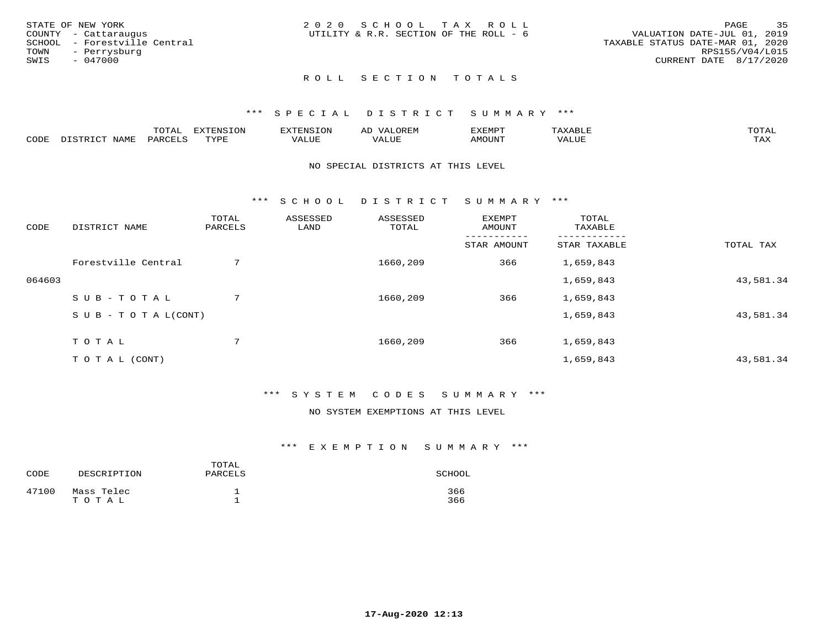| 2020 SCHOOL TAX ROLL<br>STATE OF NEW YORK                      | 35<br>PAGE                       |
|----------------------------------------------------------------|----------------------------------|
| UTILITY & R.R. SECTION OF THE ROLL - 6<br>COUNTY - Cattaraugus | VALUATION DATE-JUL 01, 2019      |
| SCHOOL - Forestville Central                                   | TAXABLE STATUS DATE-MAR 01, 2020 |
| TOWN<br>- Perrysburg                                           | RPS155/V04/L015                  |
| SWIS<br>$-047000$                                              | CURRENT DATE 8/17/2020           |
|                                                                |                                  |

### \*\*\* S P E C I A L D I S T R I C T S U M M A R Y \*\*\*

|      |                  | momn'<br>TATAT     | $\pi \nu \pi \pi \nu \tau \gamma \tau \gamma \gamma$<br>∸™⊃⊤∩™ | ,,,,,,,,,,,<br>N .~    | AD<br>,UR LIY      | ,,, <del>,</del> ,,, <del>,</del><br>ֿישוע<br>ل علالاسلاميت | max<br>$\Delta$ x $\Delta$ .<br>$A\land A\Box\Box$ | $m \wedge m \wedge n$<br>r Al |
|------|------------------|--------------------|----------------------------------------------------------------|------------------------|--------------------|-------------------------------------------------------------|----------------------------------------------------|-------------------------------|
| CODE | NAME<br>ו אידי . | PARCF <sup>T</sup> | TVDF<br>شها به به                                              | <b>TITT</b><br>1 U LIH | $- - - -$<br>/ALUL | <b>MOUNT</b>                                                | VALUE                                              | .<br>∸∽∽                      |

#### NO SPECIAL DISTRICTS AT THIS LEVEL

\*\*\* S C H O O L D I S T R I C T S U M M A R Y \*\*\*

| CODE   | DISTRICT NAME                    | TOTAL<br>PARCELS | ASSESSED<br>LAND | ASSESSED<br>TOTAL | EXEMPT<br>AMOUNT | TOTAL<br>TAXABLE |           |
|--------|----------------------------------|------------------|------------------|-------------------|------------------|------------------|-----------|
|        |                                  |                  |                  |                   | STAR AMOUNT      | STAR TAXABLE     | TOTAL TAX |
|        | Forestville Central              | 7                |                  | 1660,209          | 366              | 1,659,843        |           |
| 064603 |                                  |                  |                  |                   |                  | 1,659,843        | 43,581.34 |
|        | SUB-TOTAL                        | 7                |                  | 1660,209          | 366              | 1,659,843        |           |
|        | $S \cup B - T \cup T A L (CONT)$ |                  |                  |                   |                  | 1,659,843        | 43,581.34 |
|        | TOTAL                            | $7^{\circ}$      |                  | 1660,209          | 366              | 1,659,843        |           |
|        | T O T A L (CONT)                 |                  |                  |                   |                  | 1,659,843        | 43,581.34 |

#### \*\*\* S Y S T E M C O D E S S U M M A R Y \*\*\*

#### NO SYSTEM EXEMPTIONS AT THIS LEVEL

| CODE  | DESCRIPTION         | TOTAL<br>PARCELS | SCHOOL     |
|-------|---------------------|------------------|------------|
| 47100 | Mass Telec<br>TOTAL |                  | 366<br>366 |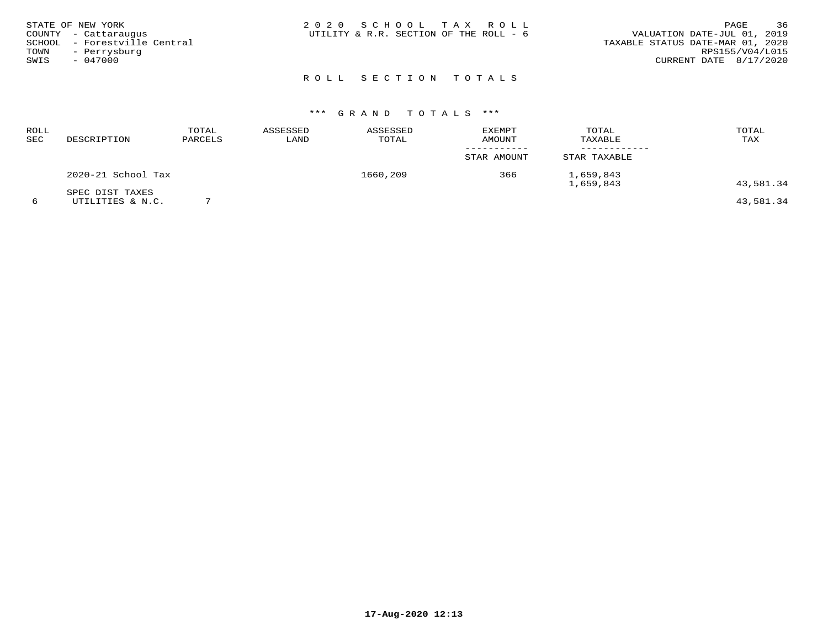| STATE OF NEW YORK    |                              | 2020 SCHOOL TAX ROLL                   |  |                                  | PAGE            | 36 |
|----------------------|------------------------------|----------------------------------------|--|----------------------------------|-----------------|----|
| COUNTY - Cattaraugus |                              | UTILITY & R.R. SECTION OF THE ROLL - 6 |  | VALUATION DATE-JUL 01, 2019      |                 |    |
|                      | SCHOOL - Forestville Central |                                        |  | TAXABLE STATUS DATE-MAR 01, 2020 |                 |    |
| TOWN - Perrysburg    |                              |                                        |  |                                  | RPS155/V04/L015 |    |
| SWIS                 | $-047000$                    |                                        |  | CURRENT DATE 8/17/2020           |                 |    |
|                      |                              |                                        |  |                                  |                 |    |

# \*\*\* G R A N D T O T A L S \*\*\*

| ROLL<br>SEC | DESCRIPTION                         | TOTAL<br>PARCELS | ASSESSED<br>LAND | ASSESSED<br>TOTAL | <b>EXEMPT</b><br><b>AMOUNT</b> | TOTAL<br>TAXABLE       | TOTAL<br>TAX |
|-------------|-------------------------------------|------------------|------------------|-------------------|--------------------------------|------------------------|--------------|
|             |                                     |                  |                  |                   | STAR AMOUNT                    | STAR TAXABLE           |              |
|             | 2020-21 School Tax                  |                  |                  | 1660,209          | 366                            | 1,659,843<br>1,659,843 | 43,581.34    |
|             | SPEC DIST TAXES<br>UTILITIES & N.C. |                  |                  |                   |                                |                        | 43,581.34    |

**17-Aug-2020 12:13**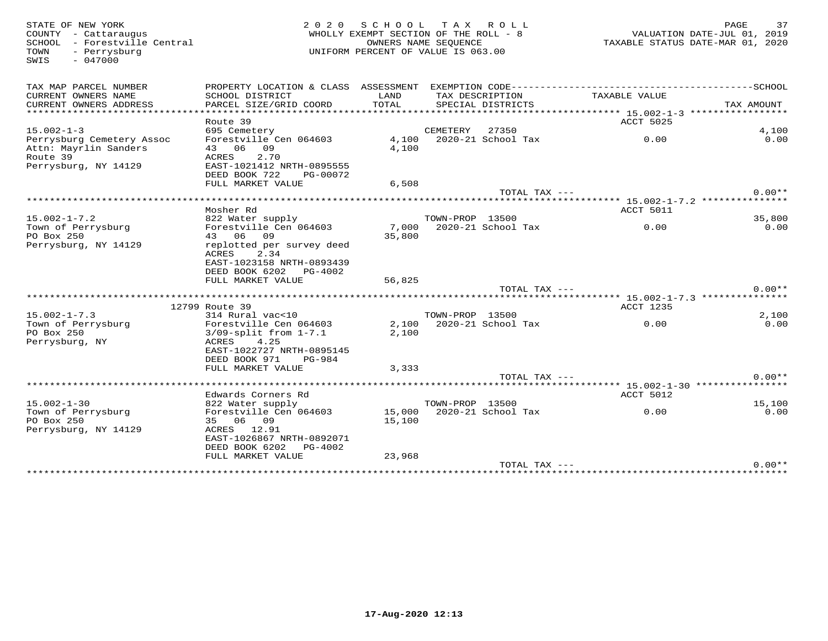SWIS - 047000

#### STATE OF NEW YORK PORT AND RAGE AND RAGE AND RAGE AND RAGE 2 0 2 0 S C H O O L T A X R O L L RAGE THE ROLL - 8<br>COUNTY - Cattaraugus central WHOLLY EXEMPT SECTION OF THE ROLL - 8 AND VALUATION DATE-JUL 01, 2019<br>COUNTY - For WHOLLY EXEMPT SECTION OF THE ROLL -  $8$  SCHOOL - Forestville Central OWNERS NAME SEQUENCE TAXABLE STATUS DATE-MAR 01, 2020TOWN - Perrysburg UNIFORM PERCENT OF VALUE IS 063.00

| TAX MAP PARCEL NUMBER<br>CURRENT OWNERS NAME<br>CURRENT OWNERS ADDRESS<br>**************** | PROPERTY LOCATION & CLASS ASSESSMENT<br>SCHOOL DISTRICT<br>PARCEL SIZE/GRID COORD | LAND<br>TOTAL |                 | TAX DESCRIPTION<br>SPECIAL DISTRICTS | EXEMPTION CODE-----------------------<br>TAXABLE VALUE<br>*********** 15.002-1-3 ****************** | ---------------SCHOOL<br>TAX AMOUNT |
|--------------------------------------------------------------------------------------------|-----------------------------------------------------------------------------------|---------------|-----------------|--------------------------------------|-----------------------------------------------------------------------------------------------------|-------------------------------------|
|                                                                                            | Route 39                                                                          |               |                 |                                      | ACCT 5025                                                                                           |                                     |
| $15.002 - 1 - 3$                                                                           | 695 Cemetery                                                                      |               | CEMETERY        | 27350                                |                                                                                                     | 4,100                               |
| Perrysburg Cemetery Assoc                                                                  | Forestville Cen 064603                                                            | 4,100         |                 | 2020-21 School Tax                   | 0.00                                                                                                | 0.00                                |
| Attn: Mayrlin Sanders                                                                      | 43 06<br>09                                                                       | 4,100         |                 |                                      |                                                                                                     |                                     |
| Route 39                                                                                   | 2.70<br>ACRES                                                                     |               |                 |                                      |                                                                                                     |                                     |
| Perrysburg, NY 14129                                                                       | EAST-1021412 NRTH-0895555                                                         |               |                 |                                      |                                                                                                     |                                     |
|                                                                                            | DEED BOOK 722<br>PG-00072                                                         |               |                 |                                      |                                                                                                     |                                     |
|                                                                                            | FULL MARKET VALUE                                                                 | 6,508         |                 |                                      |                                                                                                     | $0.00**$                            |
|                                                                                            | ***************************                                                       |               |                 | TOTAL TAX $---$                      |                                                                                                     |                                     |
|                                                                                            | Mosher Rd                                                                         |               |                 |                                      | ACCT 5011                                                                                           |                                     |
| $15.002 - 1 - 7.2$                                                                         | 822 Water supply                                                                  |               | TOWN-PROP 13500 |                                      |                                                                                                     | 35,800                              |
| Town of Perrysburg                                                                         | Forestville Cen 064603                                                            | 7,000         |                 | 2020-21 School Tax                   | 0.00                                                                                                | 0.00                                |
| PO Box 250                                                                                 | 43 06 09                                                                          | 35,800        |                 |                                      |                                                                                                     |                                     |
| Perrysburg, NY 14129                                                                       | replotted per survey deed                                                         |               |                 |                                      |                                                                                                     |                                     |
|                                                                                            | ACRES<br>2.34                                                                     |               |                 |                                      |                                                                                                     |                                     |
|                                                                                            | EAST-1023158 NRTH-0893439                                                         |               |                 |                                      |                                                                                                     |                                     |
|                                                                                            | DEED BOOK 6202 PG-4002                                                            |               |                 |                                      |                                                                                                     |                                     |
|                                                                                            | FULL MARKET VALUE                                                                 | 56,825        |                 |                                      |                                                                                                     |                                     |
|                                                                                            | *********************                                                             |               |                 | TOTAL TAX ---                        | ****************************** 15.002-1-7.3 ***************                                         | $0.00**$                            |
|                                                                                            | 12799 Route 39                                                                    |               |                 |                                      | ACCT 1235                                                                                           |                                     |
| $15.002 - 1 - 7.3$                                                                         | 314 Rural vac<10                                                                  |               | TOWN-PROP 13500 |                                      |                                                                                                     | 2,100                               |
| Town of Perrysburg                                                                         | Forestville Cen 064603                                                            | 2,100         |                 | 2020-21 School Tax                   | 0.00                                                                                                | 0.00                                |
| PO Box 250                                                                                 | $3/09$ -split from $1-7.1$                                                        | 2,100         |                 |                                      |                                                                                                     |                                     |
| Perrysburg, NY                                                                             | 4.25<br>ACRES                                                                     |               |                 |                                      |                                                                                                     |                                     |
|                                                                                            | EAST-1022727 NRTH-0895145                                                         |               |                 |                                      |                                                                                                     |                                     |
|                                                                                            | DEED BOOK 971<br>PG-984                                                           |               |                 |                                      |                                                                                                     |                                     |
|                                                                                            | FULL MARKET VALUE                                                                 | 3,333         |                 |                                      |                                                                                                     |                                     |
|                                                                                            |                                                                                   |               |                 | TOTAL TAX $---$                      |                                                                                                     | $0.00**$                            |
|                                                                                            |                                                                                   |               |                 |                                      |                                                                                                     |                                     |
| $15.002 - 1 - 30$                                                                          | Edwards Corners Rd                                                                |               | TOWN-PROP 13500 |                                      | <b>ACCT 5012</b>                                                                                    |                                     |
| Town of Perrysburg                                                                         | 822 Water supply<br>Forestville Cen 064603                                        | 15,000        |                 | 2020-21 School Tax                   | 0.00                                                                                                | 15,100<br>0.00                      |
| PO Box 250                                                                                 | 35 06 09                                                                          | 15,100        |                 |                                      |                                                                                                     |                                     |
| Perrysburg, NY 14129                                                                       | ACRES<br>12.91                                                                    |               |                 |                                      |                                                                                                     |                                     |
|                                                                                            | EAST-1026867 NRTH-0892071                                                         |               |                 |                                      |                                                                                                     |                                     |
|                                                                                            | DEED BOOK 6202<br>PG-4002                                                         |               |                 |                                      |                                                                                                     |                                     |
|                                                                                            | FULL MARKET VALUE                                                                 | 23,968        |                 |                                      |                                                                                                     |                                     |
|                                                                                            |                                                                                   |               |                 | TOTAL TAX ---                        |                                                                                                     | $0.00**$                            |
|                                                                                            |                                                                                   |               |                 |                                      |                                                                                                     |                                     |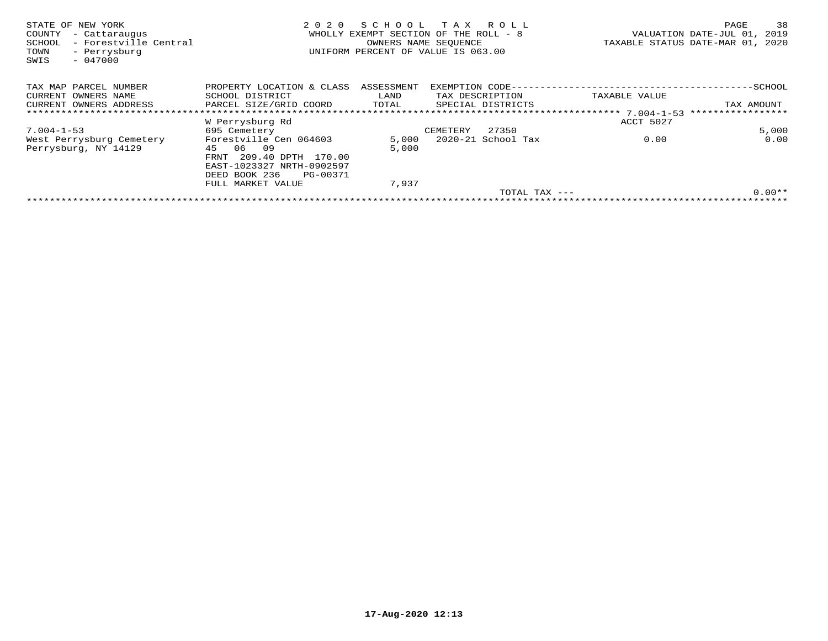| STATE OF NEW YORK<br>COUNTY<br>- Cattaraugus<br>- Forestville Central<br>SCHOOL<br>- Perrysburg<br>TOWN<br>$-047000$<br>SWIS | 2020                       | SCHOOL<br>WHOLLY EXEMPT SECTION OF THE ROLL - 8<br>OWNERS NAME SEOUENCE<br>UNIFORM PERCENT OF VALUE IS 063.00 | T A X             | R O L L            | TAXABLE STATUS DATE-MAR 01, 2020 | PAGE<br>VALUATION DATE-JUL 01, | 38<br>2019 |
|------------------------------------------------------------------------------------------------------------------------------|----------------------------|---------------------------------------------------------------------------------------------------------------|-------------------|--------------------|----------------------------------|--------------------------------|------------|
| TAX MAP PARCEL NUMBER                                                                                                        | PROPERTY LOCATION & CLASS  | ASSESSMENT                                                                                                    | EXEMPTION CODE--- |                    |                                  | --------------SCHOOL           |            |
| CURRENT OWNERS NAME                                                                                                          | SCHOOL DISTRICT            | LAND                                                                                                          | TAX DESCRIPTION   |                    | TAXABLE VALUE                    |                                |            |
| CURRENT OWNERS ADDRESS                                                                                                       | PARCEL SIZE/GRID COORD     | TOTAL                                                                                                         |                   | SPECIAL DISTRICTS  |                                  | TAX AMOUNT                     |            |
|                                                                                                                              |                            |                                                                                                               |                   |                    |                                  |                                |            |
|                                                                                                                              | W Perrysburg Rd            |                                                                                                               |                   |                    | ACCT 5027                        |                                |            |
| $7.004 - 1 - 53$                                                                                                             | 695 Cemetery               |                                                                                                               | CEMETERY          | 27350              |                                  |                                | 5,000      |
| West Perrysburg Cemetery                                                                                                     | Forestville Cen 064603     | 5,000                                                                                                         |                   | 2020-21 School Tax | 0.00                             |                                | 0.00       |
| Perrysburg, NY 14129                                                                                                         | 06<br>09<br>45             | 5,000                                                                                                         |                   |                    |                                  |                                |            |
|                                                                                                                              | 209.40 DPTH 170.00<br>FRNT |                                                                                                               |                   |                    |                                  |                                |            |
|                                                                                                                              | EAST-1023327 NRTH-0902597  |                                                                                                               |                   |                    |                                  |                                |            |
|                                                                                                                              | DEED BOOK 236<br>PG-00371  |                                                                                                               |                   |                    |                                  |                                |            |
|                                                                                                                              | FULL MARKET VALUE          | 7,937                                                                                                         |                   |                    |                                  |                                |            |
|                                                                                                                              |                            |                                                                                                               |                   | TOTAL TAX $---$    |                                  |                                | $0.00**$   |
|                                                                                                                              |                            |                                                                                                               |                   |                    |                                  |                                |            |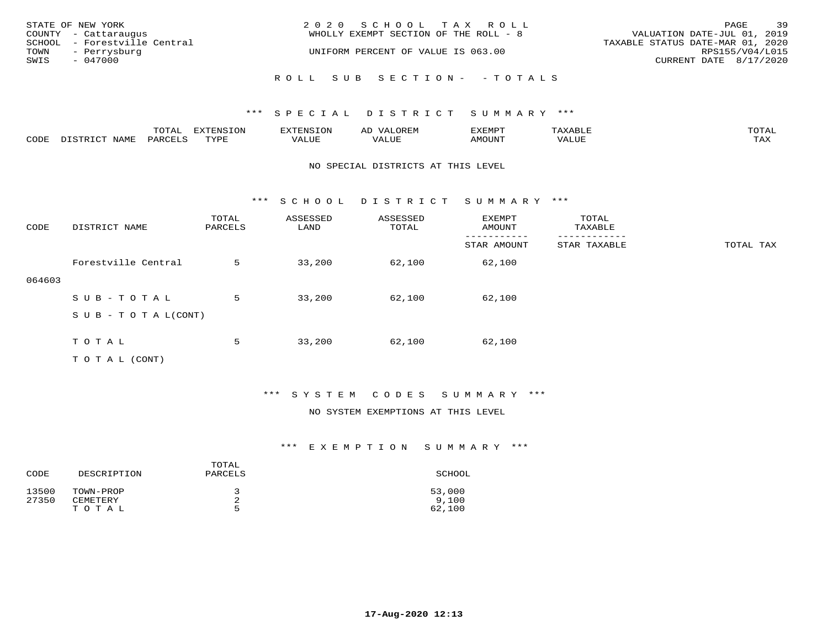| STATE OF NEW YORK<br>COUNTY - Cattaraugus                              | 2020 SCHOOL TAX ROLL<br>WHOLLY EXEMPT SECTION OF THE ROLL - 8 | 39<br>PAGE<br>VALUATION DATE-JUL 01, 2019                                     |
|------------------------------------------------------------------------|---------------------------------------------------------------|-------------------------------------------------------------------------------|
| SCHOOL - Forestville Central<br>TOWN - Perrysburg<br>SWIS<br>$-047000$ | UNIFORM PERCENT OF VALUE IS 063.00                            | TAXABLE STATUS DATE-MAR 01, 2020<br>RPS155/V04/L015<br>CURRENT DATE 8/17/2020 |
|                                                                        | ROLL SUB SECTION- - TOTALS                                    |                                                                               |

|      |      | momn'<br>LUIAL | $\pi$                |      | - |        |       | -----<br>$\sim$  |
|------|------|----------------|----------------------|------|---|--------|-------|------------------|
| CODE | NAME | 'ARI           | TVDL<br><u>ـ د د</u> | ALUE |   | LUITOM | 'ALUL | max 37<br>⊥ ∠~∡∡ |

#### NO SPECIAL DISTRICTS AT THIS LEVEL

\*\*\* S C H O O L D I S T R I C T S U M M A R Y \*\*\*

| CODE   | DISTRICT NAME                    | TOTAL<br>PARCELS | ASSESSED<br>LAND | ASSESSED<br>TOTAL | EXEMPT<br>AMOUNT | TOTAL<br>TAXABLE |           |
|--------|----------------------------------|------------------|------------------|-------------------|------------------|------------------|-----------|
|        |                                  |                  |                  |                   | STAR AMOUNT      | STAR TAXABLE     | TOTAL TAX |
|        | Forestville Central              | 5                | 33,200           | 62,100            | 62,100           |                  |           |
| 064603 |                                  |                  |                  |                   |                  |                  |           |
|        | SUB-TOTAL                        | 5                | 33,200           | 62,100            | 62,100           |                  |           |
|        | $S \cup B - T \cup T A L (CONT)$ |                  |                  |                   |                  |                  |           |
|        |                                  |                  |                  |                   |                  |                  |           |
|        | TOTAL                            | 5                | 33,200           | 62,100            | 62,100           |                  |           |
|        | T O T A L (CONT)                 |                  |                  |                   |                  |                  |           |

### \*\*\* S Y S T E M C O D E S S U M M A R Y \*\*\*

#### NO SYSTEM EXEMPTIONS AT THIS LEVEL

| CODE           | DESCRIPTION           | TOTAL<br>PARCELS | SCHOOL          |
|----------------|-----------------------|------------------|-----------------|
| 13500<br>27350 | TOWN-PROP<br>CEMETERY | <b>.</b>         | 53,000<br>9.100 |
|                | TOTAL                 | г,               | 62,100          |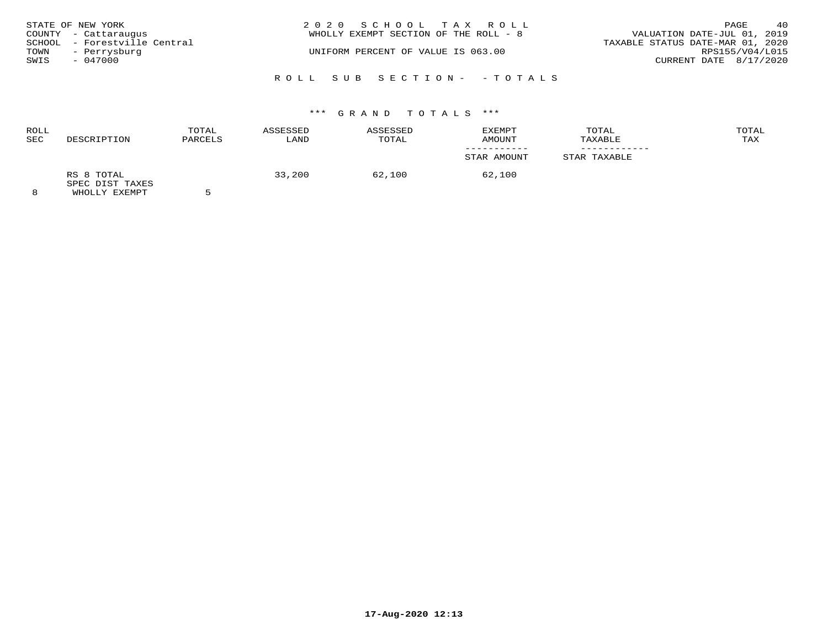|      | STATE OF NEW YORK<br>COUNTY - Cattaraugus    | 2020 SCHOOL TAX ROLL<br>WHOLLY EXEMPT SECTION OF THE ROLL - 8 | PAGE<br>VALUATION DATE-JUL 01, 2019                 | 40 |
|------|----------------------------------------------|---------------------------------------------------------------|-----------------------------------------------------|----|
| TOWN | SCHOOL - Forestville Central<br>- Perrysburg | UNIFORM PERCENT OF VALUE IS 063.00                            | TAXABLE STATUS DATE-MAR 01, 2020<br>RPS155/V04/L015 |    |
| SWIS | $-047000$                                    |                                                               | CURRENT DATE 8/17/2020                              |    |
|      |                                              | ROLL SUB SECTION- - TOTALS                                    |                                                     |    |

# \*\*\* G R A N D T O T A L S \*\*\*

| <b>ROLL</b><br><b>SEC</b> | DESCRIPTION                   | TOTAL<br>PARCELS | ASSESSED<br>LAND | ASSESSED<br>TOTAL | EXEMPT<br>AMOUNT | TOTAL<br>TAXABLE | TOTAL<br>TAX |
|---------------------------|-------------------------------|------------------|------------------|-------------------|------------------|------------------|--------------|
|                           |                               |                  |                  |                   |                  |                  |              |
|                           |                               |                  |                  |                   | STAR AMOUNT      | STAR TAXABLE     |              |
|                           | RS 8 TOTAL<br>SPEC DIST TAXES |                  | 33,200           | 62,100            | 62,100           |                  |              |
| $\Omega$                  | LUICITY THE STREET            |                  |                  |                   |                  |                  |              |

8 WHOLLY EXEMPT 5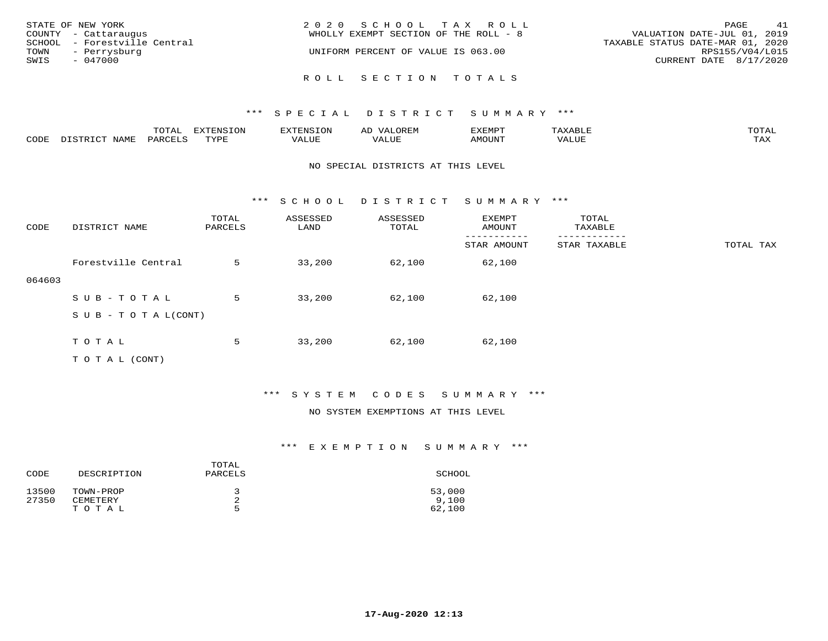| STATE OF NEW YORK<br>COUNTY - Cattaraugus<br>SCHOOL - Forestville Central<br>TOWN<br>- Perrysburg<br>SWIS<br>$-047000$ | 2020 SCHOOL TAX ROLL<br>WHOLLY EXEMPT SECTION OF THE ROLL - 8<br>UNIFORM PERCENT OF VALUE IS 063.00 | 41<br>PAGE<br>VALUATION DATE-JUL 01, 2019<br>TAXABLE STATUS DATE-MAR 01, 2020<br>RPS155/V04/L015<br>CURRENT DATE $8/17/2020$ |
|------------------------------------------------------------------------------------------------------------------------|-----------------------------------------------------------------------------------------------------|------------------------------------------------------------------------------------------------------------------------------|
|                                                                                                                        | ROLL SECTION TOTALS                                                                                 |                                                                                                                              |

|      |                                       | $m \wedge m \wedge n$<br>⊥∪⊥AL | $maxC = 21$<br>mazma<br>⊥∪⊥ | 'H'IN - | ΑIJ<br>urei | <i>S</i> XEMPT | `XABL∟<br>$\rightarrow$ | TOTA <sup>.</sup>   |
|------|---------------------------------------|--------------------------------|-----------------------------|---------|-------------|----------------|-------------------------|---------------------|
| CODE | NAME<br>. ו פידי פידר<br>$T^{\prime}$ | PARO                           | TVDL<br><u>ی ہے</u> ۔       | VALUE   | , Alut      | MOUNT          | VALUE                   | $m \times r$<br>LΑΔ |

#### NO SPECIAL DISTRICTS AT THIS LEVEL

\*\*\* S C H O O L D I S T R I C T S U M M A R Y \*\*\*

| CODE   | DISTRICT NAME                    | TOTAL<br>PARCELS | ASSESSED<br>LAND | ASSESSED<br>TOTAL | EXEMPT<br>AMOUNT | TOTAL<br>TAXABLE |           |
|--------|----------------------------------|------------------|------------------|-------------------|------------------|------------------|-----------|
|        |                                  |                  |                  |                   | STAR AMOUNT      | STAR TAXABLE     | TOTAL TAX |
|        | Forestville Central              | 5                | 33,200           | 62,100            | 62,100           |                  |           |
| 064603 |                                  |                  |                  |                   |                  |                  |           |
|        | SUB-TOTAL                        | 5                | 33,200           | 62,100            | 62,100           |                  |           |
|        | $S \cup B - T \cup T A L (CONT)$ |                  |                  |                   |                  |                  |           |
|        |                                  |                  |                  |                   |                  |                  |           |
|        | TOTAL                            | 5                | 33,200           | 62,100            | 62,100           |                  |           |
|        | T O T A L (CONT)                 |                  |                  |                   |                  |                  |           |

### \*\*\* S Y S T E M C O D E S S U M M A R Y \*\*\*

#### NO SYSTEM EXEMPTIONS AT THIS LEVEL

| CODE           | DESCRIPTION           | TOTAL<br>PARCELS | SCHOOL          |
|----------------|-----------------------|------------------|-----------------|
| 13500<br>27350 | TOWN-PROP<br>CEMETERY | <b>.</b>         | 53,000<br>9.100 |
|                | TOTAL                 | г,               | 62,100          |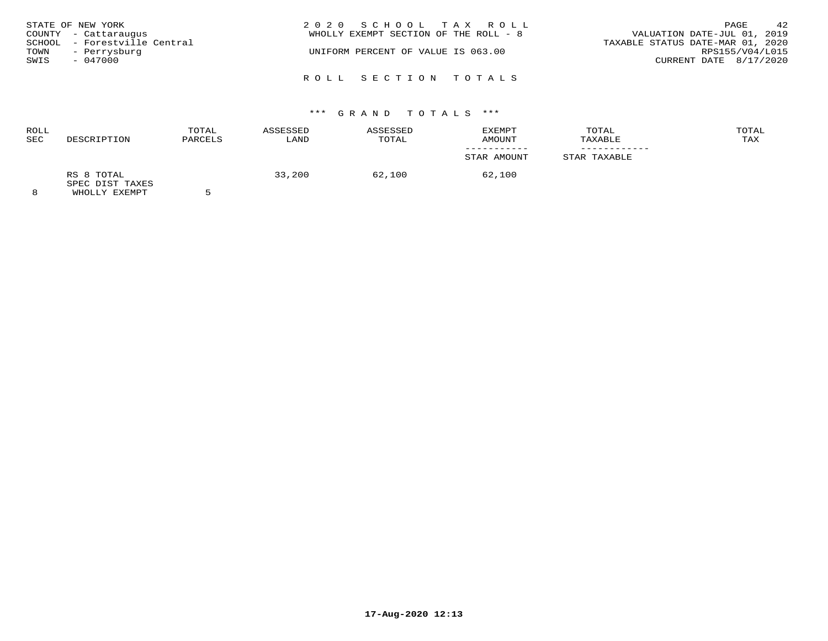| STATE OF NEW YORK<br>COUNTY - Cattaraugus<br>SCHOOL - Forestville Central<br>TOWN<br>- Perrysburg<br>SWIS<br>$-047000$ | 2020 SCHOOL TAX ROLL<br>WHOLLY EXEMPT SECTION OF THE ROLL - 8<br>UNIFORM PERCENT OF VALUE IS 063.00 | 42<br>PAGE<br>VALUATION DATE-JUL 01, 2019<br>TAXABLE STATUS DATE-MAR 01, 2020<br>RPS155/V04/L015<br>CURRENT DATE 8/17/2020 |
|------------------------------------------------------------------------------------------------------------------------|-----------------------------------------------------------------------------------------------------|----------------------------------------------------------------------------------------------------------------------------|
|                                                                                                                        | ROLL SECTION TOTALS                                                                                 |                                                                                                                            |

# \*\*\* G R A N D T O T A L S \*\*\*

| <b>ROLL</b><br><b>SEC</b> | DESCRIPTION                   | TOTAL<br>PARCELS | ASSESSED<br>LAND | ASSESSED<br>TOTAL | EXEMPT<br>AMOUNT | TOTAL<br>TAXABLE | TOTAL<br>TAX |
|---------------------------|-------------------------------|------------------|------------------|-------------------|------------------|------------------|--------------|
|                           |                               |                  |                  |                   |                  |                  |              |
|                           |                               |                  |                  |                   | STAR AMOUNT      | STAR TAXABLE     |              |
|                           | RS 8 TOTAL<br>SPEC DIST TAXES |                  | 33,200           | 62,100            | 62,100           |                  |              |
| $\Omega$                  | LUICITY THE STREET            |                  |                  |                   |                  |                  |              |

8 WHOLLY EXEMPT 5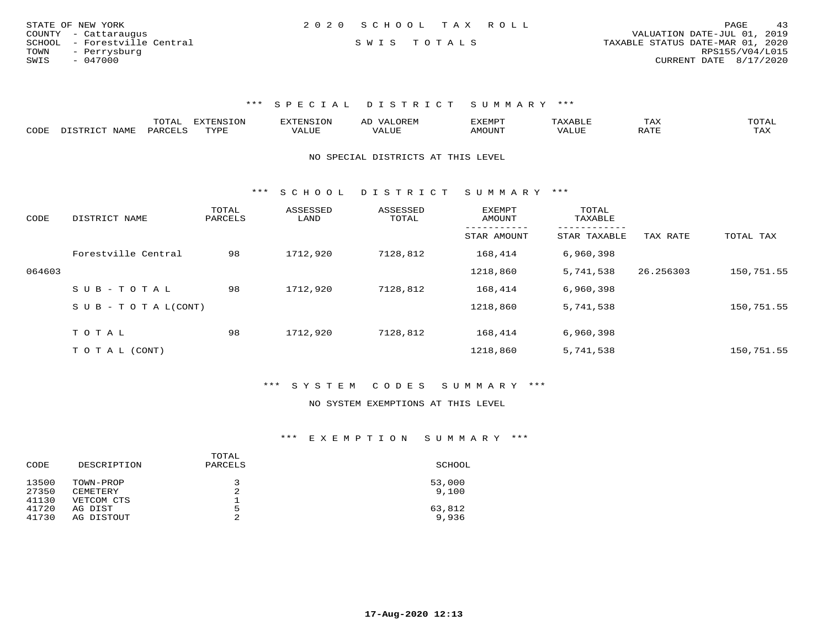| STATE OF NEW YORK            |  | 2020 SCHOOL TAX ROLL |                                  | PAGE                   | 43 |
|------------------------------|--|----------------------|----------------------------------|------------------------|----|
| COUNTY - Cattaraugus         |  |                      | VALUATION DATE-JUL 01, 2019      |                        |    |
| SCHOOL - Forestville Central |  | SWIS TOTALS          | TAXABLE STATUS DATE-MAR 01, 2020 |                        |    |
| TOWN<br>- Perrysburg         |  |                      |                                  | RPS155/V04/L015        |    |
| SWIS<br>$-047000$            |  |                      |                                  | CURRENT DATE 8/17/2020 |    |

|      | ----<br>. U 1 1 1 1 | mmATATAT<br><b>A</b> | ▵ | <b>EMP</b> | t Land               | _____ |
|------|---------------------|----------------------|---|------------|----------------------|-------|
| CODE |                     | $n \tau \tau n \tau$ |   | MOTIN.     | $\sim$ $\sim$ $\sim$ |       |

NO SPECIAL DISTRICTS AT THIS LEVEL

\*\*\* S C H O O L D I S T R I C T S U M M A R Y \*\*\*

| CODE   | DISTRICT NAME              | TOTAL<br>PARCELS | ASSESSED<br>LAND | ASSESSED<br>TOTAL | EXEMPT<br>AMOUNT | TOTAL<br>TAXABLE        |           |            |
|--------|----------------------------|------------------|------------------|-------------------|------------------|-------------------------|-----------|------------|
|        |                            |                  |                  |                   | STAR AMOUNT      | -------<br>STAR TAXABLE | TAX RATE  | TOTAL TAX  |
|        | Forestville Central        | 98               | 1712,920         | 7128,812          | 168,414          | 6,960,398               |           |            |
| 064603 |                            |                  |                  |                   | 1218,860         | 5,741,538               | 26.256303 | 150,751.55 |
|        | SUB-TOTAL                  | 98               | 1712,920         | 7128,812          | 168,414          | 6,960,398               |           |            |
|        | S U B - T O T A $L$ (CONT) |                  |                  |                   | 1218,860         | 5,741,538               |           | 150,751.55 |
|        | TOTAL                      | 98               | 1712,920         | 7128,812          | 168,414          | 6,960,398               |           |            |
|        |                            |                  |                  |                   |                  |                         |           |            |
|        | T O T A L (CONT)           |                  |                  |                   | 1218,860         | 5,741,538               |           | 150,751.55 |

\*\*\* S Y S T E M C O D E S S U M M A R Y \*\*\*

#### NO SYSTEM EXEMPTIONS AT THIS LEVEL

| CODE  | DESCRIPTION | TOTAL<br>PARCELS | SCHOOL |
|-------|-------------|------------------|--------|
| 13500 | TOWN-PROP   | 3                | 53,000 |
| 27350 | CEMETERY    | 2                | 9.100  |
| 41130 | VETCOM CTS  | ᅩ                |        |
| 41720 | AG DIST     | 5                | 63,812 |
| 41730 | AG DISTOUT  | っ<br>∠           | 9,936  |
|       |             |                  |        |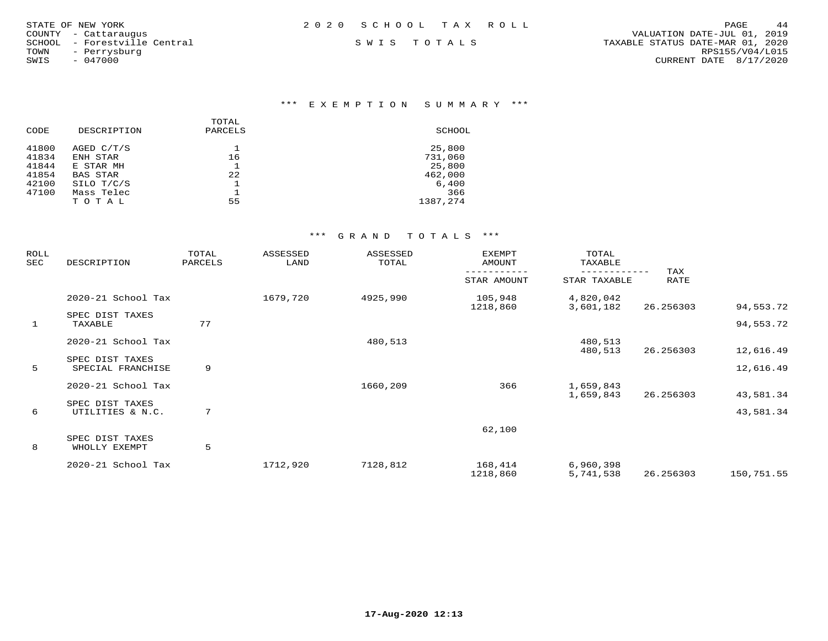| 2020 SCHOOL TAX ROLL | 44<br>PAGE                       |
|----------------------|----------------------------------|
|                      | VALUATION DATE-JUL 01, 2019      |
| SWIS TOTALS          | TAXABLE STATUS DATE-MAR 01, 2020 |
|                      | RPS155/V04/L015                  |
|                      | CURRENT DATE 8/17/2020           |
|                      |                                  |
|                      |                                  |

# \*\*\* E X E M P T I O N S U M M A R Y \*\*\*

|             | TOTAL   |          |
|-------------|---------|----------|
| DESCRIPTION | PARCELS | SCHOOL   |
| AGED C/T/S  |         | 25,800   |
| ENH STAR    | 16      | 731,060  |
| E STAR MH   |         | 25,800   |
| BAS STAR    | 22      | 462,000  |
| SILO T/C/S  |         | 6,400    |
| Mass Telec  |         | 366      |
| TOTAL       | 55      | 1387,274 |
|             |         |          |

| DESCRIPTION                          | TOTAL<br>PARCELS | ASSESSED<br>LAND | ASSESSED<br>TOTAL | <b>EXEMPT</b><br>AMOUNT | TOTAL<br>TAXABLE       |                                               |                                            |
|--------------------------------------|------------------|------------------|-------------------|-------------------------|------------------------|-----------------------------------------------|--------------------------------------------|
|                                      |                  |                  |                   | STAR AMOUNT             | STAR TAXABLE           | <b>RATE</b>                                   |                                            |
| 2020-21 School Tax                   |                  | 1679,720         | 4925,990          | 105,948                 | 4,820,042              |                                               | 94,553.72                                  |
| SPEC DIST TAXES<br>TAXABLE           | 77               |                  |                   |                         |                        |                                               | 94,553.72                                  |
| 2020-21 School Tax                   |                  |                  | 480,513           |                         | 480,513                |                                               | 12,616.49                                  |
| SPEC DIST TAXES<br>SPECIAL FRANCHISE | 9                |                  |                   |                         |                        |                                               | 12,616.49                                  |
| 2020-21 School Tax                   |                  |                  | 1660,209          | 366                     | 1,659,843<br>1,659,843 | 26.256303                                     | 43,581.34                                  |
| SPEC DIST TAXES<br>UTILITIES & N.C.  | 7                |                  |                   |                         |                        |                                               | 43,581.34                                  |
| SPEC DIST TAXES                      |                  |                  |                   | 62,100                  |                        |                                               |                                            |
| 2020-21 School Tax                   |                  | 1712,920         | 7128,812          | 168,414                 | 6,960,398              |                                               | 150,751.55                                 |
|                                      | WHOLLY EXEMPT    | 5                |                   |                         | 1218,860               | 3,601,182<br>480,513<br>1218,860<br>5,741,538 | TAX<br>26.256303<br>26.256303<br>26.256303 |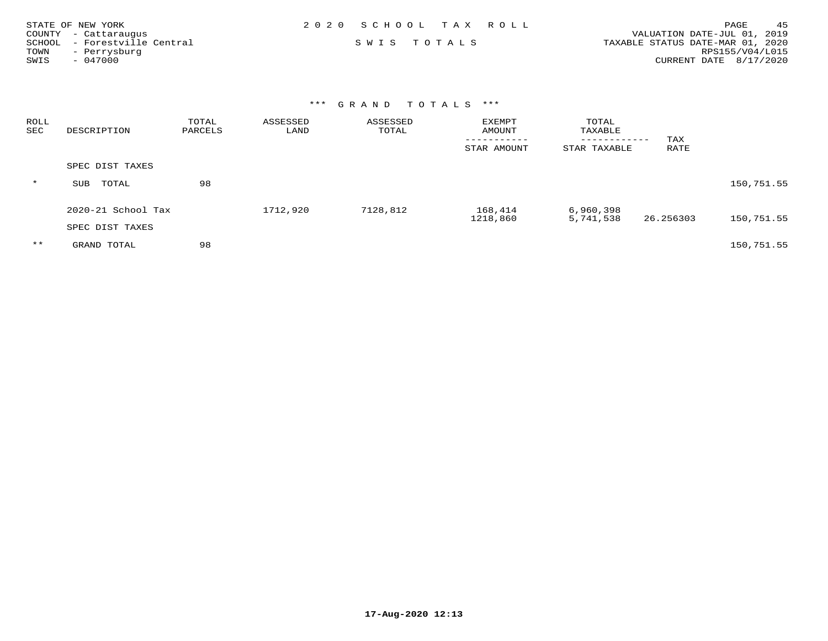| STATE OF NEW YORK            | 2020 SCHOOL TAX ROLL | 45<br>PAGE                       |
|------------------------------|----------------------|----------------------------------|
| COUNTY - Cattaraugus         |                      | VALUATION DATE-JUL 01, 2019      |
| SCHOOL - Forestville Central | SWIS TOTALS          | TAXABLE STATUS DATE-MAR 01, 2020 |
| TOWN<br>- Perrysburg         |                      | RPS155/V04/L015                  |
| SWIS<br>$-047000$            |                      | CURRENT DATE 8/17/2020           |

| ROLL<br>SEC | DESCRIPTION            | TOTAL<br>PARCELS | ASSESSED<br>LAND | ASSESSED<br>TOTAL | <b>EXEMPT</b><br>AMOUNT<br>-----------<br>STAR AMOUNT | TOTAL<br>TAXABLE<br>------------<br>STAR TAXABLE | TAX<br>RATE |            |
|-------------|------------------------|------------------|------------------|-------------------|-------------------------------------------------------|--------------------------------------------------|-------------|------------|
|             | SPEC DIST TAXES        |                  |                  |                   |                                                       |                                                  |             |            |
| $\star$     | TOTAL<br>SUB           | 98               |                  |                   |                                                       |                                                  |             | 150,751.55 |
|             | $2020 - 21$ School Tax |                  | 1712,920         | 7128,812          | 168,414<br>1218,860                                   | 6,960,398<br>5,741,538                           | 26.256303   | 150,751.55 |
|             | SPEC DIST TAXES        |                  |                  |                   |                                                       |                                                  |             |            |
| $* *$       | GRAND TOTAL            | 98               |                  |                   |                                                       |                                                  |             | 150,751.55 |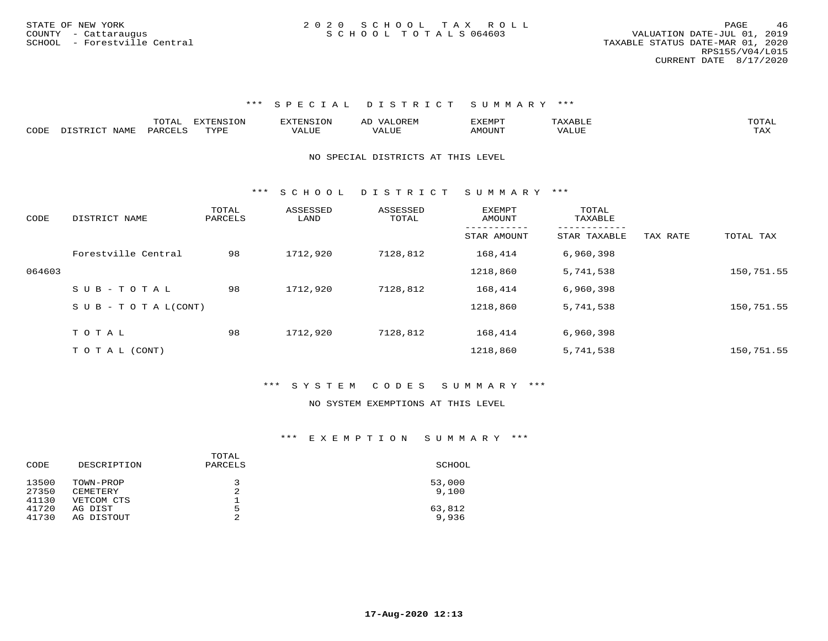|      |             | ----<br>UIAI | ਸ∨ਰਸਾਮ⊂ T∩N<br>∸∽ | $117$ $mm$ $177$ $\alpha$ $\tau$ $\alpha$ $\tau$ | $\rightarrow$ |                |       | ͲႶͲϪͳ |
|------|-------------|--------------|-------------------|--------------------------------------------------|---------------|----------------|-------|-------|
| CODE | <b>NAME</b> | QAPCHT.C     | <b>TITT</b>       | ′A⊥∪⊥                                            | `'ALUL        | <b>MOTTNTO</b> | VALUE |       |

#### NO SPECIAL DISTRICTS AT THIS LEVEL

\*\*\* S C H O O L D I S T R I C T S U M M A R Y \*\*\*

| CODE   | DISTRICT NAME                    | TOTAL<br>PARCELS | ASSESSED<br>LAND | ASSESSED<br>TOTAL | EXEMPT<br>AMOUNT | TOTAL<br>TAXABLE |          |            |
|--------|----------------------------------|------------------|------------------|-------------------|------------------|------------------|----------|------------|
|        |                                  |                  |                  |                   | STAR AMOUNT      | STAR TAXABLE     | TAX RATE | TOTAL TAX  |
|        | Forestville Central              | 98               | 1712,920         | 7128,812          | 168,414          | 6,960,398        |          |            |
| 064603 |                                  |                  |                  |                   | 1218,860         | 5,741,538        |          | 150,751.55 |
|        | $SUB - TO T AL$                  | 98               | 1712,920         | 7128,812          | 168,414          | 6,960,398        |          |            |
|        | $S \cup B - T \cup T A L (CONT)$ |                  |                  |                   | 1218,860         | 5,741,538        |          | 150,751.55 |
|        | TOTAL                            | 98               | 1712,920         | 7128,812          | 168,414          | 6,960,398        |          |            |
|        |                                  |                  |                  |                   |                  |                  |          |            |
|        | T O T A L (CONT)                 |                  |                  |                   | 1218,860         | 5,741,538        |          | 150,751.55 |

#### \*\*\* S Y S T E M C O D E S S U M M A R Y \*\*\*

#### NO SYSTEM EXEMPTIONS AT THIS LEVEL

| CODE  | DESCRIPTION | TOTAL<br>PARCELS | SCHOOL |
|-------|-------------|------------------|--------|
| 13500 | TOWN-PROP   | 3                | 53,000 |
| 27350 | CEMETERY    | 2                | 9.100  |
| 41130 | VETCOM CTS  |                  |        |
| 41720 | AG DIST     | 5                | 63,812 |
| 41730 | AG DISTOUT  | 2                | 9,936  |
|       |             |                  |        |